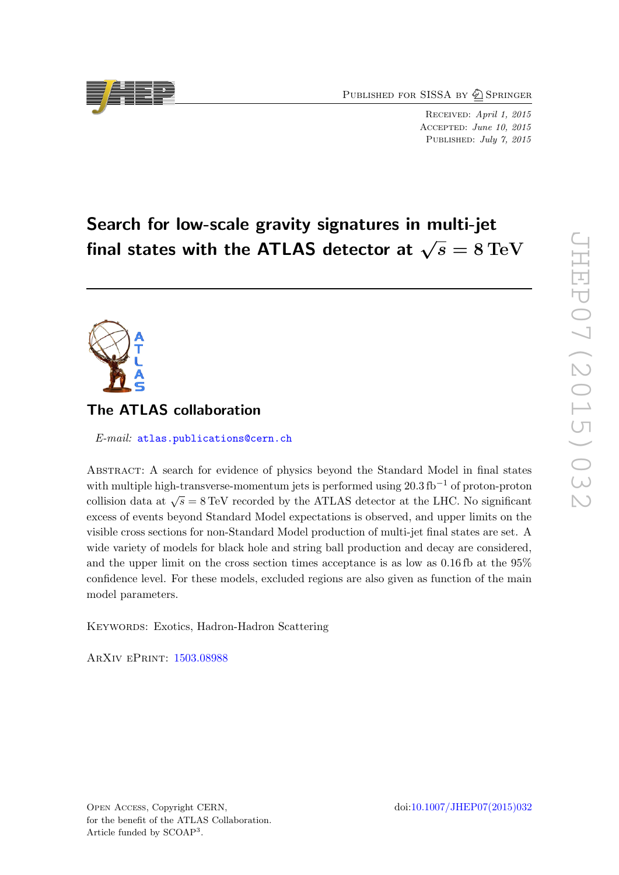PUBLISHED FOR SISSA BY 2 SPRINGER

Received: April 1, 2015 Accepted: June 10, 2015 PUBLISHED: July 7, 2015

# Search for low-scale gravity signatures in multi-jet final states with the ATLAS detector at  $\sqrt{s} = 8 \,\mathrm{TeV}$

# The ATLAS collaboration

E-mail: [atlas.publications@cern.ch](mailto:atlas.publications@cern.ch)

Abstract: A search for evidence of physics beyond the Standard Model in final states with multiple high-transverse-momentum jets is performed using  $20.3 \text{ fb}^{-1}$  of proton-proton collision data at  $\sqrt{s} = 8 \text{ TeV}$  recorded by the ATLAS detector at the LHC. No significant excess of events beyond Standard Model expectations is observed, and upper limits on the visible cross sections for non-Standard Model production of multi-jet final states are set. A wide variety of models for black hole and string ball production and decay are considered, and the upper limit on the cross section times acceptance is as low as 0.16 fb at the 95% confidence level. For these models, excluded regions are also given as function of the main model parameters.

KEYWORDS: Exotics, Hadron-Hadron Scattering

ArXiv ePrint: [1503.08988](http://arxiv.org/abs/1503.08988)

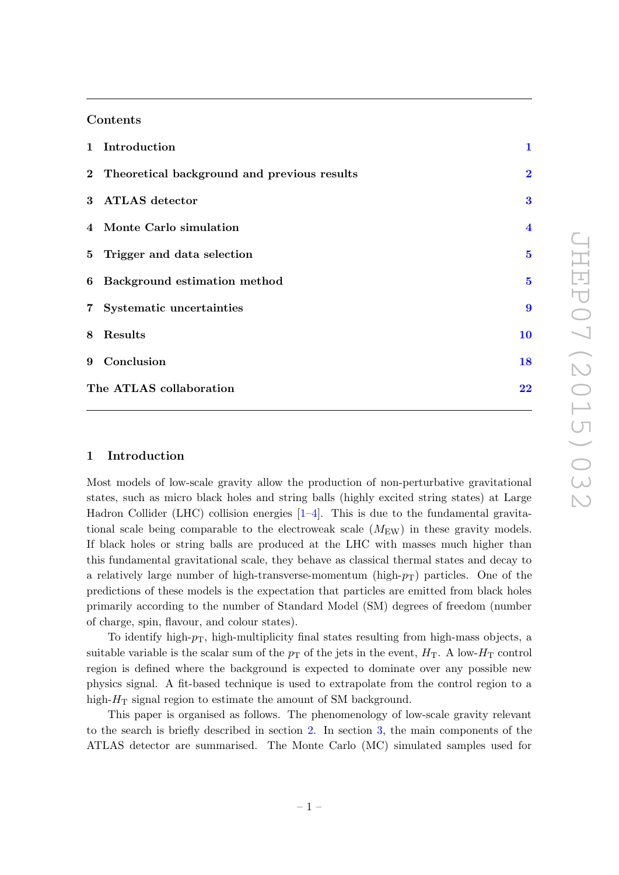### Contents

|                         | 1 Introduction                                | $\mathbf{1}$            |
|-------------------------|-----------------------------------------------|-------------------------|
|                         | 2 Theoretical background and previous results | $\overline{\mathbf{2}}$ |
|                         | 3 ATLAS detector                              | $\bf{3}$                |
|                         | 4 Monte Carlo simulation                      | $\overline{\mathbf{4}}$ |
|                         | 5 Trigger and data selection                  | $\bf{5}$                |
|                         | 6 Background estimation method                | $\bf{5}$                |
|                         | 7 Systematic uncertainties                    | $\boldsymbol{9}$        |
|                         | 8 Results                                     | 10                      |
|                         | 9 Conclusion                                  | 18                      |
| The ATLAS collaboration |                                               | 22                      |

#### <span id="page-1-0"></span>1 Introduction

Most models of low-scale gravity allow the production of non-perturbative gravitational states, such as micro black holes and string balls (highly excited string states) at Large Hadron Collider (LHC) collision energies [\[1](#page-19-0)[–4\]](#page-19-1). This is due to the fundamental gravitational scale being comparable to the electroweak scale  $(M_{\text{EW}})$  in these gravity models. If black holes or string balls are produced at the LHC with masses much higher than this fundamental gravitational scale, they behave as classical thermal states and decay to a relatively large number of high-transverse-momentum (high- $p_T$ ) particles. One of the predictions of these models is the expectation that particles are emitted from black holes primarily according to the number of Standard Model (SM) degrees of freedom (number of charge, spin, flavour, and colour states).

To identify high- $p_T$ , high-multiplicity final states resulting from high-mass objects, a suitable variable is the scalar sum of the  $p<sub>T</sub>$  of the jets in the event,  $H<sub>T</sub>$ . A low- $H<sub>T</sub>$  control region is defined where the background is expected to dominate over any possible new physics signal. A fit-based technique is used to extrapolate from the control region to a high- $H<sub>T</sub>$  signal region to estimate the amount of SM background.

This paper is organised as follows. The phenomenology of low-scale gravity relevant to the search is briefly described in section [2.](#page-2-0) In section [3,](#page-3-0) the main components of the ATLAS detector are summarised. The Monte Carlo (MC) simulated samples used for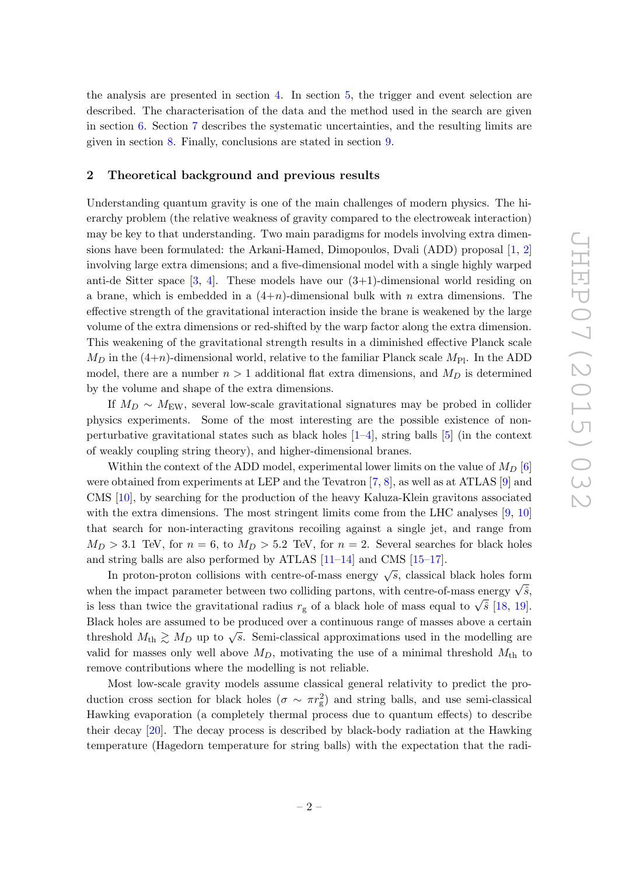the analysis are presented in section [4.](#page-4-0) In section [5,](#page-5-0) the trigger and event selection are described. The characterisation of the data and the method used in the search are given in section [6.](#page-5-1) Section [7](#page-9-0) describes the systematic uncertainties, and the resulting limits are given in section [8.](#page-10-0) Finally, conclusions are stated in section [9.](#page-18-0)

#### <span id="page-2-0"></span>2 Theoretical background and previous results

Understanding quantum gravity is one of the main challenges of modern physics. The hierarchy problem (the relative weakness of gravity compared to the electroweak interaction) may be key to that understanding. Two main paradigms for models involving extra dimensions have been formulated: the Arkani-Hamed, Dimopoulos, Dvali (ADD) proposal [\[1,](#page-19-0) [2\]](#page-19-2) involving large extra dimensions; and a five-dimensional model with a single highly warped anti-de Sitter space  $[3, 4]$  $[3, 4]$  $[3, 4]$ . These models have our  $(3+1)$ -dimensional world residing on a brane, which is embedded in a  $(4+n)$ -dimensional bulk with n extra dimensions. The effective strength of the gravitational interaction inside the brane is weakened by the large volume of the extra dimensions or red-shifted by the warp factor along the extra dimension. This weakening of the gravitational strength results in a diminished effective Planck scale  $M_D$  in the (4+n)-dimensional world, relative to the familiar Planck scale  $M_{\text{Pl}}$ . In the ADD model, there are a number  $n > 1$  additional flat extra dimensions, and  $M_D$  is determined by the volume and shape of the extra dimensions.

If  $M_D \sim M_{\text{EW}}$ , several low-scale gravitational signatures may be probed in collider physics experiments. Some of the most interesting are the possible existence of nonperturbative gravitational states such as black holes  $[1-4]$  $[1-4]$ , string balls  $[5]$  (in the context of weakly coupling string theory), and higher-dimensional branes.

Within the context of the ADD model, experimental lower limits on the value of  $M_D$  [\[6\]](#page-19-5) were obtained from experiments at LEP and the Tevatron [\[7,](#page-19-6) [8\]](#page-19-7), as well as at ATLAS [\[9\]](#page-19-8) and CMS [\[10\]](#page-19-9), by searching for the production of the heavy Kaluza-Klein gravitons associated with the extra dimensions. The most stringent limits come from the LHC analyses  $[9, 10]$  $[9, 10]$  $[9, 10]$ that search for non-interacting gravitons recoiling against a single jet, and range from  $M_D > 3.1$  TeV, for  $n = 6$ , to  $M_D > 5.2$  TeV, for  $n = 2$ . Several searches for black holes and string balls are also performed by ATLAS [\[11](#page-19-10)[–14\]](#page-20-0) and CMS [\[15](#page-20-1)[–17\]](#page-20-2).

In proton-proton collisions with centre-of-mass energy  $\sqrt{s}$ , classical black holes form In proton-proton consions with centre-or-mass energy  $\sqrt{s}$ , classical black holes form<br>when the impact parameter between two colliding partons, with centre-of-mass energy  $\sqrt{\hat{s}}$ , when the impact parameter between two comding partons, with centre-or-mass energy  $\sqrt{s}$ , is less than twice the gravitational radius  $r_g$  of a black hole of mass equal to  $\sqrt{\hat{s}}$  [\[18,](#page-20-3) [19\]](#page-20-4). Black holes are assumed to be produced over a continuous range of masses above a certain threshold  $M_{\rm th} \gtrsim M_D$  up to  $\sqrt{s}$ . Semi-classical approximations used in the modelling are valid for masses only well above  $M_D$ , motivating the use of a minimal threshold  $M_{th}$  to remove contributions where the modelling is not reliable.

Most low-scale gravity models assume classical general relativity to predict the production cross section for black holes  $(\sigma \sim \pi r_g^2)$  and string balls, and use semi-classical Hawking evaporation (a completely thermal process due to quantum effects) to describe their decay [\[20\]](#page-20-5). The decay process is described by black-body radiation at the Hawking temperature (Hagedorn temperature for string balls) with the expectation that the radi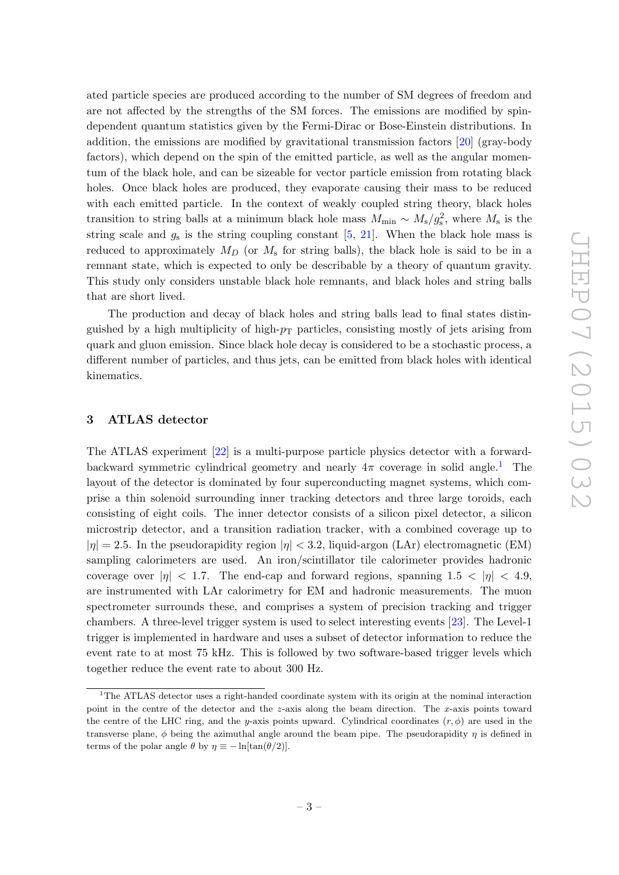ated particle species are produced according to the number of SM degrees of freedom and are not affected by the strengths of the SM forces. The emissions are modified by spindependent quantum statistics given by the Fermi-Dirac or Bose-Einstein distributions. In addition, the emissions are modified by gravitational transmission factors [\[20\]](#page-20-5) (gray-body factors), which depend on the spin of the emitted particle, as well as the angular momentum of the black hole, and can be sizeable for vector particle emission from rotating black holes. Once black holes are produced, they evaporate causing their mass to be reduced with each emitted particle. In the context of weakly coupled string theory, black holes transition to string balls at a minimum black hole mass  $M_{\text{min}} \sim M_{\text{s}}/g_{\text{s}}^2$ , where  $M_{\text{s}}$  is the string scale and  $g_s$  is the string coupling constant  $[5, 21]$  $[5, 21]$  $[5, 21]$ . When the black hole mass is reduced to approximately  $M_D$  (or  $M_s$  for string balls), the black hole is said to be in a remnant state, which is expected to only be describable by a theory of quantum gravity. This study only considers unstable black hole remnants, and black holes and string balls that are short lived.

The production and decay of black holes and string balls lead to final states distinguished by a high multiplicity of high- $p_T$  particles, consisting mostly of jets arising from quark and gluon emission. Since black hole decay is considered to be a stochastic process, a different number of particles, and thus jets, can be emitted from black holes with identical kinematics.

#### <span id="page-3-0"></span>3 ATLAS detector

The ATLAS experiment [\[22\]](#page-20-7) is a multi-purpose particle physics detector with a forwardbackward symmetric cylindrical geometry and nearly  $4\pi$  coverage in solid angle.<sup>[1](#page-3-1)</sup> The layout of the detector is dominated by four superconducting magnet systems, which comprise a thin solenoid surrounding inner tracking detectors and three large toroids, each consisting of eight coils. The inner detector consists of a silicon pixel detector, a silicon microstrip detector, and a transition radiation tracker, with a combined coverage up to  $|\eta| = 2.5$ . In the pseudorapidity region  $|\eta| < 3.2$ , liquid-argon (LAr) electromagnetic (EM) sampling calorimeters are used. An iron/scintillator tile calorimeter provides hadronic coverage over  $|\eta| < 1.7$ . The end-cap and forward regions, spanning  $1.5 < |\eta| < 4.9$ , are instrumented with LAr calorimetry for EM and hadronic measurements. The muon spectrometer surrounds these, and comprises a system of precision tracking and trigger chambers. A three-level trigger system is used to select interesting events [\[23\]](#page-20-8). The Level-1 trigger is implemented in hardware and uses a subset of detector information to reduce the event rate to at most 75 kHz. This is followed by two software-based trigger levels which together reduce the event rate to about 300 Hz.

<span id="page-3-1"></span><sup>&</sup>lt;sup>1</sup>The ATLAS detector uses a right-handed coordinate system with its origin at the nominal interaction point in the centre of the detector and the z-axis along the beam direction. The x-axis points toward the centre of the LHC ring, and the y-axis points upward. Cylindrical coordinates  $(r, \phi)$  are used in the transverse plane,  $\phi$  being the azimuthal angle around the beam pipe. The pseudorapidity  $\eta$  is defined in terms of the polar angle  $\theta$  by  $\eta \equiv -\ln[\tan(\theta/2)]$ .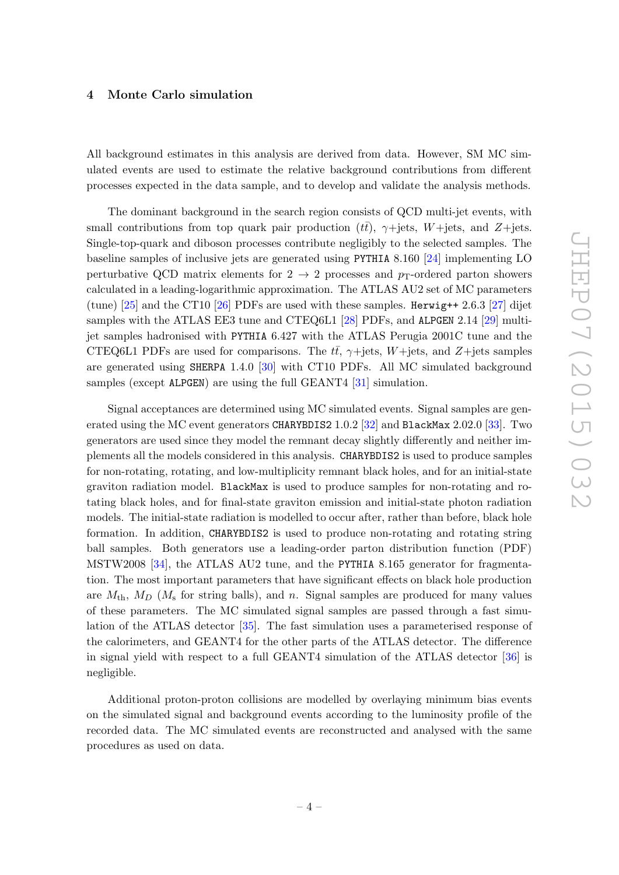#### <span id="page-4-0"></span>4 Monte Carlo simulation

All background estimates in this analysis are derived from data. However, SM MC simulated events are used to estimate the relative background contributions from different processes expected in the data sample, and to develop and validate the analysis methods.

The dominant background in the search region consists of QCD multi-jet events, with small contributions from top quark pair production  $(t\bar{t})$ ,  $\gamma$ +jets,  $W$ +jets, and  $Z$ +jets. Single-top-quark and diboson processes contribute negligibly to the selected samples. The baseline samples of inclusive jets are generated using PYTHIA 8.160 [\[24\]](#page-20-9) implementing LO perturbative QCD matrix elements for  $2 \rightarrow 2$  processes and p<sub>T</sub>-ordered parton showers calculated in a leading-logarithmic approximation. The ATLAS AU2 set of MC parameters (tune)  $[25]$  and the CT10  $[26]$  PDFs are used with these samples. Herwig++ 2.6.3 [\[27\]](#page-20-12) dijet samples with the ATLAS EE3 tune and CTEQ6L1 [\[28\]](#page-20-13) PDFs, and ALPGEN 2.14 [\[29\]](#page-20-14) multijet samples hadronised with PYTHIA 6.427 with the ATLAS Perugia 2001C tune and the CTEQ6L1 PDFs are used for comparisons. The  $t\bar{t}$ ,  $\gamma$ +jets, W+jets, and Z+jets samples are generated using SHERPA 1.4.0 [\[30\]](#page-20-15) with CT10 PDFs. All MC simulated background samples (except ALPGEN) are using the full GEANT4 [\[31\]](#page-20-16) simulation.

Signal acceptances are determined using MC simulated events. Signal samples are gen-erated using the MC event generators CHARYBDIS2 1.0.2 [\[32\]](#page-21-0) and BlackMax 2.02.0 [\[33\]](#page-21-1). Two generators are used since they model the remnant decay slightly differently and neither implements all the models considered in this analysis. CHARYBDIS2 is used to produce samples for non-rotating, rotating, and low-multiplicity remnant black holes, and for an initial-state graviton radiation model. BlackMax is used to produce samples for non-rotating and rotating black holes, and for final-state graviton emission and initial-state photon radiation models. The initial-state radiation is modelled to occur after, rather than before, black hole formation. In addition, CHARYBDIS2 is used to produce non-rotating and rotating string ball samples. Both generators use a leading-order parton distribution function (PDF) MSTW2008 [\[34\]](#page-21-2), the ATLAS AU2 tune, and the PYTHIA 8.165 generator for fragmentation. The most important parameters that have significant effects on black hole production are  $M_{\text{th}}$ ,  $M_D$  ( $M_{\text{s}}$  for string balls), and n. Signal samples are produced for many values of these parameters. The MC simulated signal samples are passed through a fast simulation of the ATLAS detector [\[35\]](#page-21-3). The fast simulation uses a parameterised response of the calorimeters, and GEANT4 for the other parts of the ATLAS detector. The difference in signal yield with respect to a full GEANT4 simulation of the ATLAS detector [\[36\]](#page-21-4) is negligible.

Additional proton-proton collisions are modelled by overlaying minimum bias events on the simulated signal and background events according to the luminosity profile of the recorded data. The MC simulated events are reconstructed and analysed with the same procedures as used on data.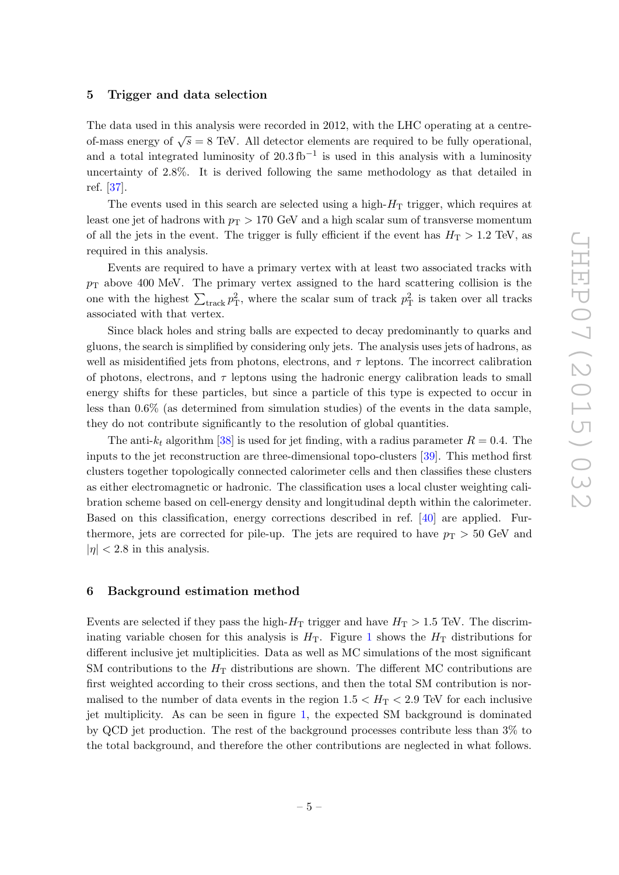#### <span id="page-5-0"></span>5 Trigger and data selection

The data used in this analysis were recorded in 2012, with the LHC operating at a centreof-mass energy of  $\sqrt{s} = 8$  TeV. All detector elements are required to be fully operational, and a total integrated luminosity of  $20.3 \text{ fb}^{-1}$  is used in this analysis with a luminosity uncertainty of 2.8%. It is derived following the same methodology as that detailed in ref. [\[37\]](#page-21-5).

The events used in this search are selected using a high- $H<sub>T</sub>$  trigger, which requires at least one jet of hadrons with  $p_T > 170$  GeV and a high scalar sum of transverse momentum of all the jets in the event. The trigger is fully efficient if the event has  $H_T > 1.2$  TeV, as required in this analysis.

Events are required to have a primary vertex with at least two associated tracks with  $p_{\rm T}$  above 400 MeV. The primary vertex assigned to the hard scattering collision is the one with the highest  $\sum_{\text{track}} p_{\text{T}}^2$ , where the scalar sum of track  $p_{\text{T}}^2$  is taken over all tracks associated with that vertex.

Since black holes and string balls are expected to decay predominantly to quarks and gluons, the search is simplified by considering only jets. The analysis uses jets of hadrons, as well as misidentified jets from photons, electrons, and  $\tau$  leptons. The incorrect calibration of photons, electrons, and  $\tau$  leptons using the hadronic energy calibration leads to small energy shifts for these particles, but since a particle of this type is expected to occur in less than 0.6% (as determined from simulation studies) of the events in the data sample, they do not contribute significantly to the resolution of global quantities.

The anti- $k_t$  algorithm [\[38\]](#page-21-6) is used for jet finding, with a radius parameter  $R = 0.4$ . The inputs to the jet reconstruction are three-dimensional topo-clusters [\[39\]](#page-21-7). This method first clusters together topologically connected calorimeter cells and then classifies these clusters as either electromagnetic or hadronic. The classification uses a local cluster weighting calibration scheme based on cell-energy density and longitudinal depth within the calorimeter. Based on this classification, energy corrections described in ref. [\[40\]](#page-21-8) are applied. Furthermore, jets are corrected for pile-up. The jets are required to have  $p_T > 50$  GeV and  $|\eta|$  < 2.8 in this analysis.

#### <span id="page-5-1"></span>6 Background estimation method

Events are selected if they pass the high- $H_T$  trigger and have  $H_T > 1.5$  TeV. The discriminating variable chosen for this analysis is  $H<sub>T</sub>$ . Figure [1](#page-6-0) shows the  $H<sub>T</sub>$  distributions for different inclusive jet multiplicities. Data as well as MC simulations of the most significant SM contributions to the  $H<sub>T</sub>$  distributions are shown. The different MC contributions are first weighted according to their cross sections, and then the total SM contribution is normalised to the number of data events in the region  $1.5 < H<sub>T</sub> < 2.9$  TeV for each inclusive jet multiplicity. As can be seen in figure [1,](#page-6-0) the expected SM background is dominated by QCD jet production. The rest of the background processes contribute less than 3% to the total background, and therefore the other contributions are neglected in what follows.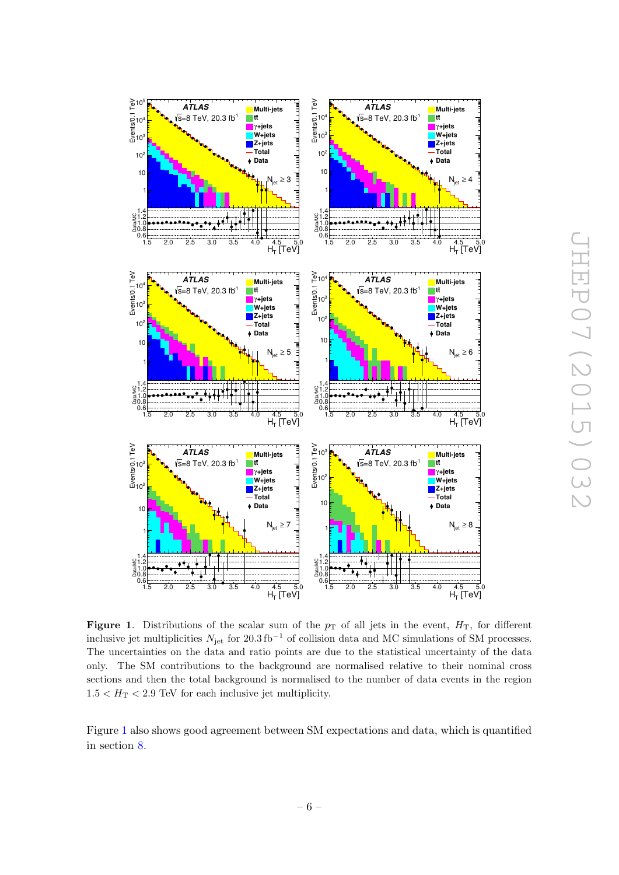

<span id="page-6-0"></span>Figure 1. Distributions of the scalar sum of the  $p_T$  of all jets in the event,  $H_T$ , for different inclusive jet multiplicities  $N_{jet}$  for 20.3 fb<sup>-1</sup> of collision data and MC simulations of SM processes. The uncertainties on the data and ratio points are due to the statistical uncertainty of the data only. The SM contributions to the background are normalised relative to their nominal cross sections and then the total background is normalised to the number of data events in the region  $1.5 < H_{\rm T} < 2.9$  TeV for each inclusive jet multiplicity.

Figure [1](#page-6-0) also shows good agreement between SM expectations and data, which is quantified in section [8.](#page-10-0)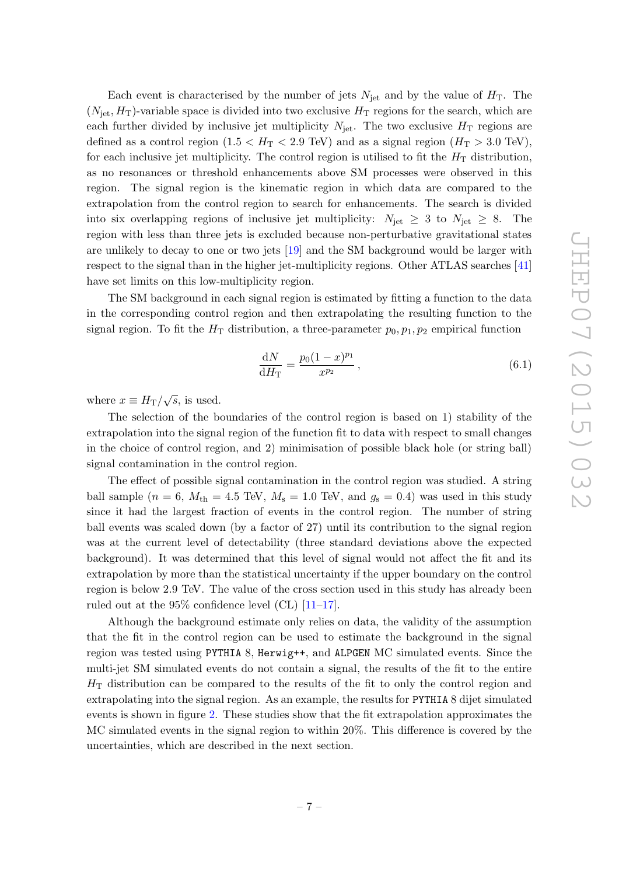Each event is characterised by the number of jets  $N_{jet}$  and by the value of  $H_T$ . The  $(N_{\text{jet}}, H_T)$ -variable space is divided into two exclusive  $H_T$  regions for the search, which are each further divided by inclusive jet multiplicity  $N_{\text{jet}}$ . The two exclusive  $H_T$  regions are defined as a control region  $(1.5 < H_T < 2.9 \text{ TeV})$  and as a signal region  $(H_T > 3.0 \text{ TeV})$ , for each inclusive jet multiplicity. The control region is utilised to fit the  $H<sub>T</sub>$  distribution, as no resonances or threshold enhancements above SM processes were observed in this region. The signal region is the kinematic region in which data are compared to the extrapolation from the control region to search for enhancements. The search is divided into six overlapping regions of inclusive jet multiplicity:  $N_{\text{jet}} \geq 3$  to  $N_{\text{jet}} \geq 8$ . The region with less than three jets is excluded because non-perturbative gravitational states are unlikely to decay to one or two jets [\[19\]](#page-20-4) and the SM background would be larger with respect to the signal than in the higher jet-multiplicity regions. Other ATLAS searches [\[41\]](#page-21-9) have set limits on this low-multiplicity region.

The SM background in each signal region is estimated by fitting a function to the data in the corresponding control region and then extrapolating the resulting function to the signal region. To fit the  $H_T$  distribution, a three-parameter  $p_0, p_1, p_2$  empirical function

$$
\frac{\mathrm{d}N}{\mathrm{d}H_{\mathrm{T}}} = \frac{p_0(1-x)^{p_1}}{x^{p_2}},\tag{6.1}
$$

where  $x \equiv H_{\rm T}/\sqrt{s}$ , is used.

The selection of the boundaries of the control region is based on 1) stability of the extrapolation into the signal region of the function fit to data with respect to small changes in the choice of control region, and 2) minimisation of possible black hole (or string ball) signal contamination in the control region.

The effect of possible signal contamination in the control region was studied. A string ball sample ( $n = 6$ ,  $M_{\text{th}} = 4.5$  TeV,  $M_{\text{s}} = 1.0$  TeV, and  $g_{\text{s}} = 0.4$ ) was used in this study since it had the largest fraction of events in the control region. The number of string ball events was scaled down (by a factor of 27) until its contribution to the signal region was at the current level of detectability (three standard deviations above the expected background). It was determined that this level of signal would not affect the fit and its extrapolation by more than the statistical uncertainty if the upper boundary on the control region is below 2.9 TeV. The value of the cross section used in this study has already been ruled out at the 95% confidence level (CL)  $[11-17]$  $[11-17]$ .

Although the background estimate only relies on data, the validity of the assumption that the fit in the control region can be used to estimate the background in the signal region was tested using PYTHIA 8, Herwig++, and ALPGEN MC simulated events. Since the multi-jet SM simulated events do not contain a signal, the results of the fit to the entire  $H<sub>T</sub>$  distribution can be compared to the results of the fit to only the control region and extrapolating into the signal region. As an example, the results for PYTHIA 8 dijet simulated events is shown in figure [2.](#page-8-0) These studies show that the fit extrapolation approximates the MC simulated events in the signal region to within 20%. This difference is covered by the uncertainties, which are described in the next section.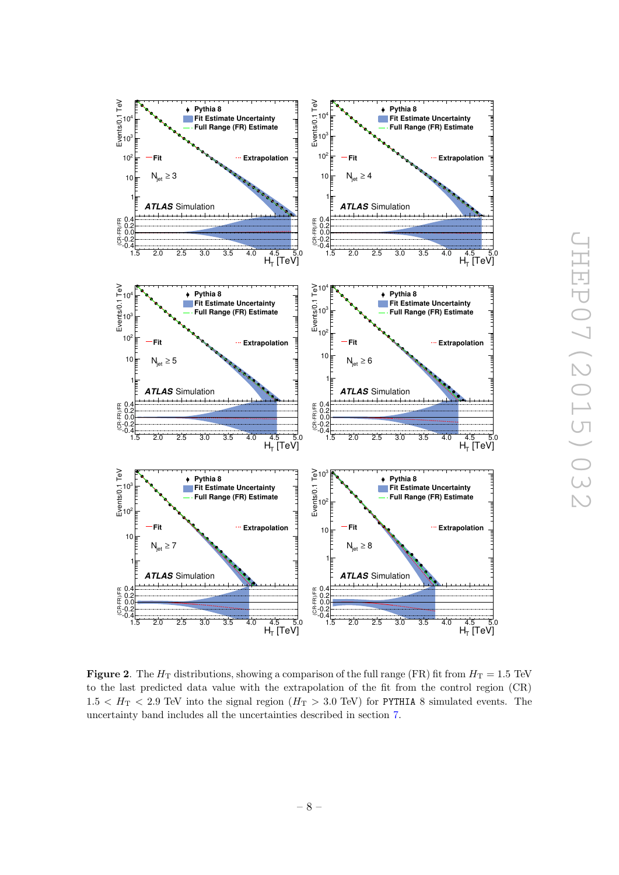

<span id="page-8-0"></span>**Figure 2.** The  $H_T$  distributions, showing a comparison of the full range (FR) fit from  $H_T = 1.5$  TeV to the last predicted data value with the extrapolation of the fit from the control region (CR)  $1.5 < H_T < 2.9$  TeV into the signal region  $(H_T > 3.0$  TeV) for PYTHIA 8 simulated events. The uncertainty band includes all the uncertainties described in section [7.](#page-9-0)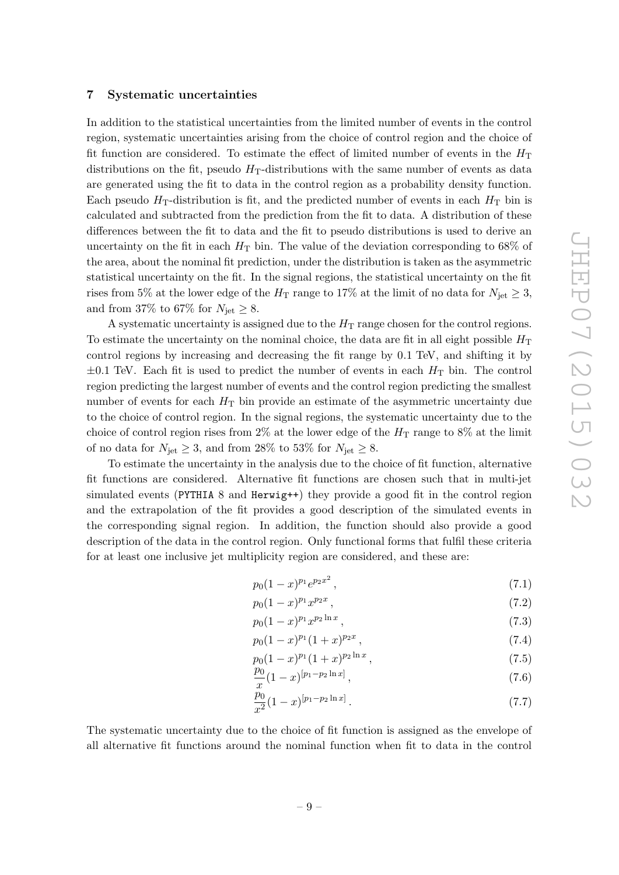#### <span id="page-9-0"></span>7 Systematic uncertainties

In addition to the statistical uncertainties from the limited number of events in the control region, systematic uncertainties arising from the choice of control region and the choice of fit function are considered. To estimate the effect of limited number of events in the  $H<sub>T</sub>$ distributions on the fit, pseudo  $H<sub>T</sub>$ -distributions with the same number of events as data are generated using the fit to data in the control region as a probability density function. Each pseudo  $H_T$ -distribution is fit, and the predicted number of events in each  $H_T$  bin is calculated and subtracted from the prediction from the fit to data. A distribution of these differences between the fit to data and the fit to pseudo distributions is used to derive an uncertainty on the fit in each  $H<sub>T</sub>$  bin. The value of the deviation corresponding to 68% of the area, about the nominal fit prediction, under the distribution is taken as the asymmetric statistical uncertainty on the fit. In the signal regions, the statistical uncertainty on the fit rises from 5% at the lower edge of the  $H_T$  range to 17% at the limit of no data for  $N_{\text{jet}} \geq 3$ , and from 37% to 67% for  $N_{\text{jet}} \geq 8$ .

A systematic uncertainty is assigned due to the  $H<sub>T</sub>$  range chosen for the control regions. To estimate the uncertainty on the nominal choice, the data are fit in all eight possible  $H<sub>T</sub>$ control regions by increasing and decreasing the fit range by 0.1 TeV, and shifting it by  $\pm 0.1$  TeV. Each fit is used to predict the number of events in each  $H<sub>T</sub>$  bin. The control region predicting the largest number of events and the control region predicting the smallest number of events for each  $H<sub>T</sub>$  bin provide an estimate of the asymmetric uncertainty due to the choice of control region. In the signal regions, the systematic uncertainty due to the choice of control region rises from  $2\%$  at the lower edge of the  $H<sub>T</sub>$  range to  $8\%$  at the limit of no data for  $N_{\text{jet}} \geq 3$ , and from 28% to 53% for  $N_{\text{jet}} \geq 8$ .

To estimate the uncertainty in the analysis due to the choice of fit function, alternative fit functions are considered. Alternative fit functions are chosen such that in multi-jet simulated events (PYTHIA 8 and Herwig++) they provide a good fit in the control region and the extrapolation of the fit provides a good description of the simulated events in the corresponding signal region. In addition, the function should also provide a good description of the data in the control region. Only functional forms that fulfil these criteria for at least one inclusive jet multiplicity region are considered, and these are:

$$
p_0(1-x)^{p_1}e^{p_2x^2},\t\t(7.1)
$$

$$
p_0(1-x)^{p_1}x^{p_2x},\t\t(7.2)
$$

$$
p_0(1-x)^{p_1}x^{p_2\ln x},\t\t(7.3)
$$

$$
p_0(1-x)^{p_1}(1+x)^{p_2x},\t\t(7.4)
$$

$$
p_0(1-x)^{p_1}(1+x)^{p_2\ln x},\t\t(7.5)
$$

$$
\frac{p_0}{x}(1-x)^{[p_1-p_2\ln x]},\tag{7.6}
$$

$$
\frac{p_0}{x^2}(1-x)^{[p_1-p_2\ln x]}.
$$
\n(7.7)

The systematic uncertainty due to the choice of fit function is assigned as the envelope of all alternative fit functions around the nominal function when fit to data in the control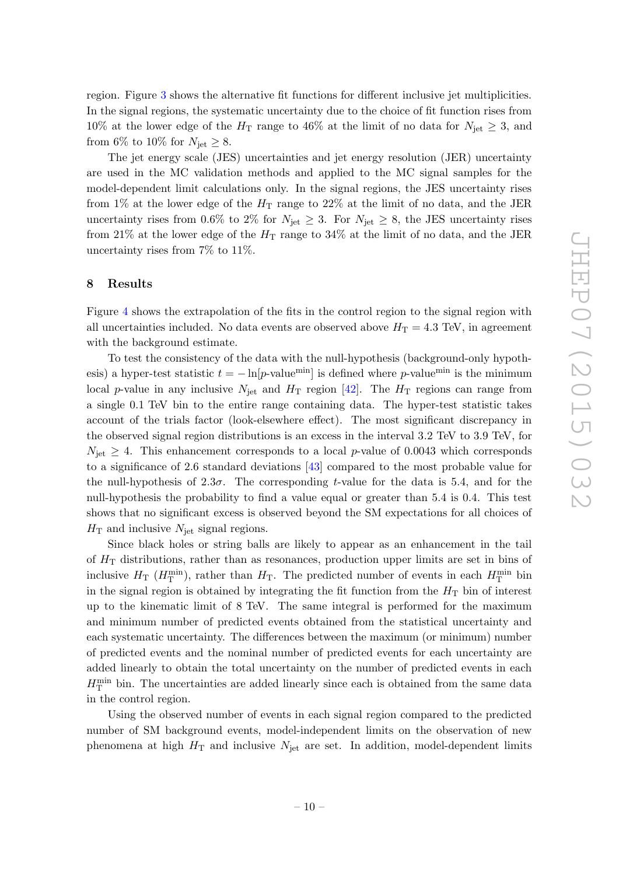region. Figure [3](#page-11-0) shows the alternative fit functions for different inclusive jet multiplicities. In the signal regions, the systematic uncertainty due to the choice of fit function rises from 10% at the lower edge of the  $H_T$  range to 46% at the limit of no data for  $N_{jet} \geq 3$ , and from 6% to 10% for  $N_{\text{jet}} \geq 8$ .

The jet energy scale (JES) uncertainties and jet energy resolution (JER) uncertainty are used in the MC validation methods and applied to the MC signal samples for the model-dependent limit calculations only. In the signal regions, the JES uncertainty rises from 1% at the lower edge of the  $H_T$  range to 22% at the limit of no data, and the JER uncertainty rises from 0.6% to 2% for  $N_{\text{jet}} \geq 3$ . For  $N_{\text{jet}} \geq 8$ , the JES uncertainty rises from 21% at the lower edge of the  $H_T$  range to 34% at the limit of no data, and the JER uncertainty rises from 7% to 11%.

#### <span id="page-10-0"></span>8 Results

Figure [4](#page-12-0) shows the extrapolation of the fits in the control region to the signal region with all uncertainties included. No data events are observed above  $H_T = 4.3$  TeV, in agreement with the background estimate.

To test the consistency of the data with the null-hypothesis (background-only hypothesis) a hyper-test statistic  $t = -\ln[p\text{-value}^{\text{min}}]$  is defined where p-value<sup>min</sup> is the minimum local p-value in any inclusive  $N_{jet}$  and  $H_T$  region [\[42\]](#page-21-10). The  $H_T$  regions can range from a single 0.1 TeV bin to the entire range containing data. The hyper-test statistic takes account of the trials factor (look-elsewhere effect). The most significant discrepancy in the observed signal region distributions is an excess in the interval 3.2 TeV to 3.9 TeV, for  $N_{\text{jet}} \geq 4$ . This enhancement corresponds to a local p-value of 0.0043 which corresponds to a significance of 2.6 standard deviations [\[43\]](#page-21-11) compared to the most probable value for the null-hypothesis of  $2.3\sigma$ . The corresponding t-value for the data is 5.4, and for the null-hypothesis the probability to find a value equal or greater than 5.4 is 0.4. This test shows that no significant excess is observed beyond the SM expectations for all choices of  $H<sub>T</sub>$  and inclusive  $N<sub>jet</sub>$  signal regions.

Since black holes or string balls are likely to appear as an enhancement in the tail of  $H<sub>T</sub>$  distributions, rather than as resonances, production upper limits are set in bins of inclusive  $H_T$  ( $H_T^{\min}$ ), rather than  $H_T$ . The predicted number of events in each  $H_T^{\min}$  bin in the signal region is obtained by integrating the fit function from the  $H<sub>T</sub>$  bin of interest up to the kinematic limit of 8 TeV. The same integral is performed for the maximum and minimum number of predicted events obtained from the statistical uncertainty and each systematic uncertainty. The differences between the maximum (or minimum) number of predicted events and the nominal number of predicted events for each uncertainty are added linearly to obtain the total uncertainty on the number of predicted events in each  $H<sub>T</sub><sup>min</sup>$  bin. The uncertainties are added linearly since each is obtained from the same data in the control region.

Using the observed number of events in each signal region compared to the predicted number of SM background events, model-independent limits on the observation of new phenomena at high  $H_T$  and inclusive  $N_{jet}$  are set. In addition, model-dependent limits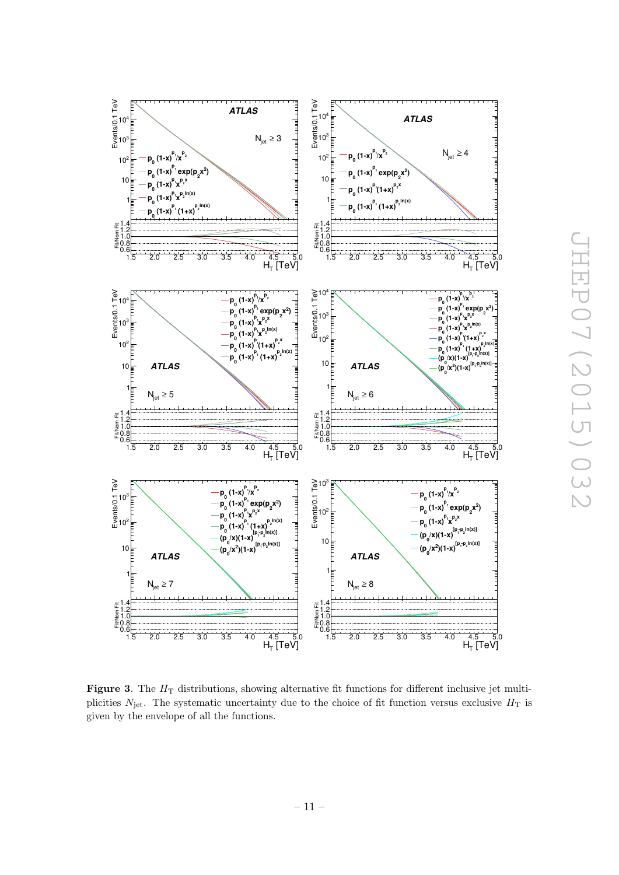

<span id="page-11-0"></span>Figure 3. The  $H<sub>T</sub>$  distributions, showing alternative fit functions for different inclusive jet multiplicities  $N_{\text{jet}}$ . The systematic uncertainty due to the choice of fit function versus exclusive  $H_T$  is given by the envelope of all the functions.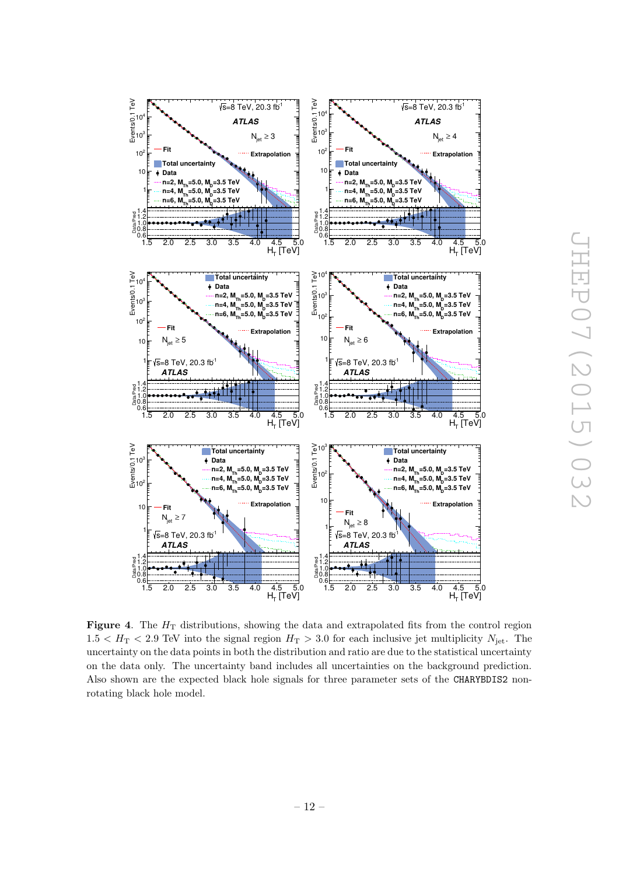

<span id="page-12-0"></span>Figure 4. The  $H_T$  distributions, showing the data and extrapolated fits from the control region  $1.5 < H<sub>T</sub> < 2.9$  TeV into the signal region  $H<sub>T</sub> > 3.0$  for each inclusive jet multiplicity  $N_{\rm jet}$ . The uncertainty on the data points in both the distribution and ratio are due to the statistical uncertainty on the data only. The uncertainty band includes all uncertainties on the background prediction. Also shown are the expected black hole signals for three parameter sets of the CHARYBDIS2 nonrotating black hole model.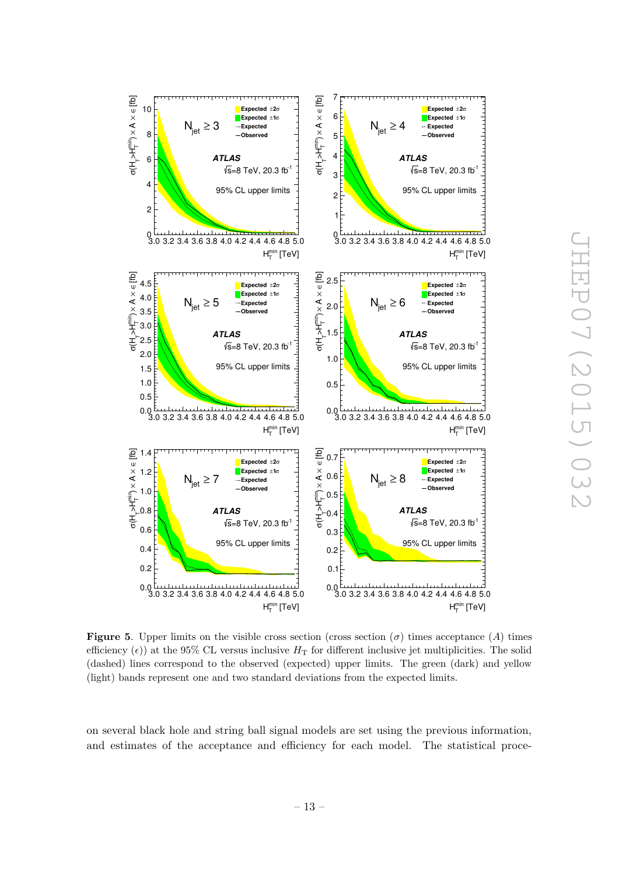

<span id="page-13-0"></span>**Figure 5.** Upper limits on the visible cross section (cross section ( $\sigma$ ) times acceptance (A) times efficiency ( $\epsilon$ ) at the 95% CL versus inclusive  $H<sub>T</sub>$  for different inclusive jet multiplicities. The solid (dashed) lines correspond to the observed (expected) upper limits. The green (dark) and yellow (light) bands represent one and two standard deviations from the expected limits.

on several black hole and string ball signal models are set using the previous information, and estimates of the acceptance and efficiency for each model. The statistical proce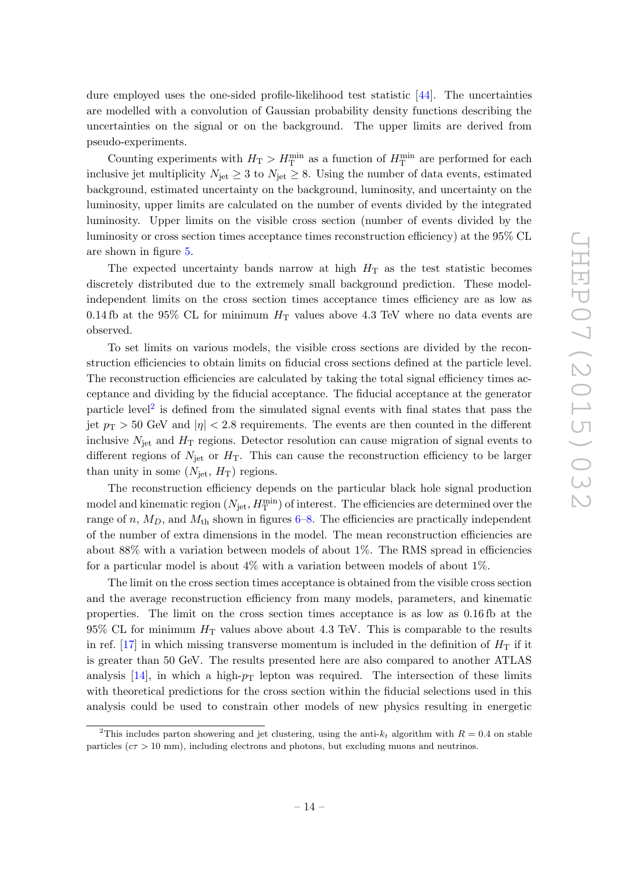dure employed uses the one-sided profile-likelihood test statistic [\[44\]](#page-21-12). The uncertainties are modelled with a convolution of Gaussian probability density functions describing the uncertainties on the signal or on the background. The upper limits are derived from pseudo-experiments.

Counting experiments with  $H_{\rm T} > H_{\rm T}^{\rm min}$  as a function of  $H_{\rm T}^{\rm min}$  are performed for each inclusive jet multiplicity  $N_{\text{jet}} \geq 3$  to  $N_{\text{jet}} \geq 8$ . Using the number of data events, estimated background, estimated uncertainty on the background, luminosity, and uncertainty on the luminosity, upper limits are calculated on the number of events divided by the integrated luminosity. Upper limits on the visible cross section (number of events divided by the luminosity or cross section times acceptance times reconstruction efficiency) at the 95% CL are shown in figure [5.](#page-13-0)

The expected uncertainty bands narrow at high  $H<sub>T</sub>$  as the test statistic becomes discretely distributed due to the extremely small background prediction. These modelindependent limits on the cross section times acceptance times efficiency are as low as 0.14 fb at the 95% CL for minimum  $H<sub>T</sub>$  values above 4.3 TeV where no data events are observed.

To set limits on various models, the visible cross sections are divided by the reconstruction efficiencies to obtain limits on fiducial cross sections defined at the particle level. The reconstruction efficiencies are calculated by taking the total signal efficiency times acceptance and dividing by the fiducial acceptance. The fiducial acceptance at the generator particle level<sup>[2](#page-14-0)</sup> is defined from the simulated signal events with final states that pass the jet  $p_T > 50$  GeV and  $|\eta| < 2.8$  requirements. The events are then counted in the different inclusive  $N_{\text{jet}}$  and  $H_{\text{T}}$  regions. Detector resolution can cause migration of signal events to different regions of  $N_{\rm jet}$  or  $H_{\rm T}$ . This can cause the reconstruction efficiency to be larger than unity in some  $(N_{\text{jet}}, H_T)$  regions.

The reconstruction efficiency depends on the particular black hole signal production model and kinematic region  $(N_{\rm jet}, H_{\rm T}^{\rm min})$  of interest. The efficiencies are determined over the range of n,  $M_D$ , and  $M_{th}$  shown in figures [6](#page-15-0)[–8.](#page-17-0) The efficiencies are practically independent of the number of extra dimensions in the model. The mean reconstruction efficiencies are about 88% with a variation between models of about 1%. The RMS spread in efficiencies for a particular model is about 4% with a variation between models of about 1%.

The limit on the cross section times acceptance is obtained from the visible cross section and the average reconstruction efficiency from many models, parameters, and kinematic properties. The limit on the cross section times acceptance is as low as 0.16 fb at the  $95\%$  CL for minimum  $H<sub>T</sub>$  values above about 4.3 TeV. This is comparable to the results in ref. [\[17\]](#page-20-2) in which missing transverse momentum is included in the definition of  $H_T$  if it is greater than 50 GeV. The results presented here are also compared to another ATLAS analysis  $[14]$ , in which a high- $p_T$  lepton was required. The intersection of these limits with theoretical predictions for the cross section within the fiducial selections used in this analysis could be used to constrain other models of new physics resulting in energetic

<span id="page-14-0"></span><sup>&</sup>lt;sup>2</sup>This includes parton showering and jet clustering, using the anti- $k_t$  algorithm with  $R = 0.4$  on stable particles ( $c\tau > 10$  mm), including electrons and photons, but excluding muons and neutrinos.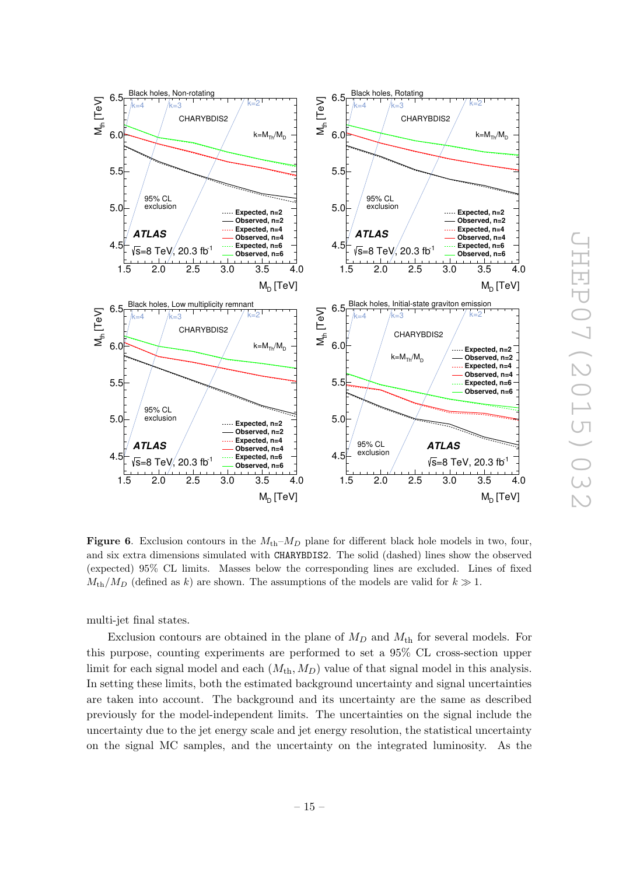

<span id="page-15-0"></span>Figure 6. Exclusion contours in the  $M_{\text{th}}-M_D$  plane for different black hole models in two, four, and six extra dimensions simulated with CHARYBDIS2. The solid (dashed) lines show the observed (expected) 95% CL limits. Masses below the corresponding lines are excluded. Lines of fixed  $M_{\text{th}}/M_D$  (defined as k) are shown. The assumptions of the models are valid for  $k \gg 1$ .

multi-jet final states.

Exclusion contours are obtained in the plane of  $M_D$  and  $M_{th}$  for several models. For this purpose, counting experiments are performed to set a 95% CL cross-section upper limit for each signal model and each  $(M_{th}, M_D)$  value of that signal model in this analysis. In setting these limits, both the estimated background uncertainty and signal uncertainties are taken into account. The background and its uncertainty are the same as described previously for the model-independent limits. The uncertainties on the signal include the uncertainty due to the jet energy scale and jet energy resolution, the statistical uncertainty on the signal MC samples, and the uncertainty on the integrated luminosity. As the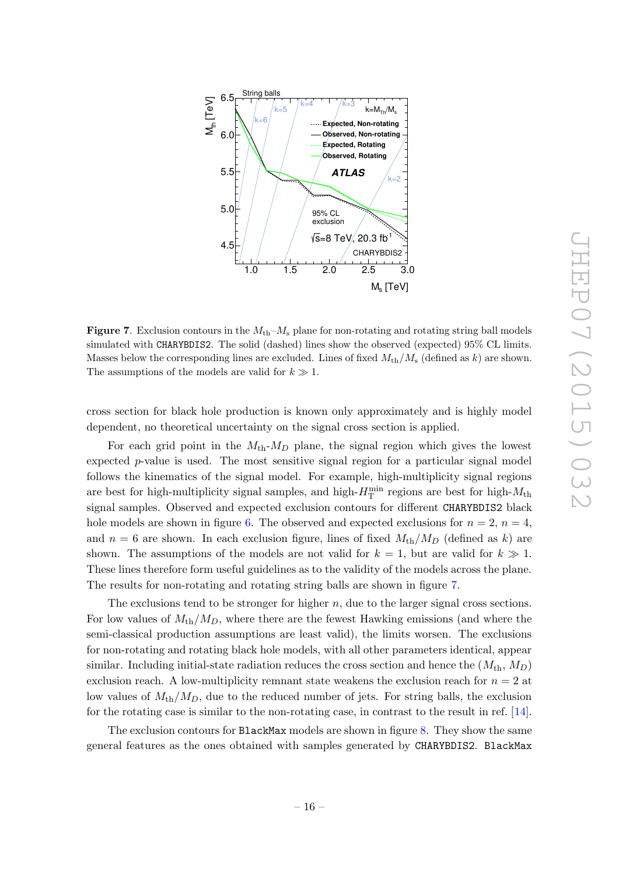

<span id="page-16-0"></span>**Figure 7.** Exclusion contours in the  $M_{\rm th}-M_{\rm s}$  plane for non-rotating and rotating string ball models simulated with CHARYBDIS2. The solid (dashed) lines show the observed (expected) 95% CL limits. Masses below the corresponding lines are excluded. Lines of fixed  $M_{\text{th}}/M_{\text{s}}$  (defined as k) are shown. The assumptions of the models are valid for  $k \gg 1$ .

cross section for black hole production is known only approximately and is highly model dependent, no theoretical uncertainty on the signal cross section is applied.

For each grid point in the  $M_{\text{th}}-M_D$  plane, the signal region which gives the lowest expected  $p$ -value is used. The most sensitive signal region for a particular signal model follows the kinematics of the signal model. For example, high-multiplicity signal regions are best for high-multiplicity signal samples, and high- $H_{\rm T}^{\rm min}$  regions are best for high- $M_{\rm th}$ signal samples. Observed and expected exclusion contours for different CHARYBDIS2 black hole models are shown in figure [6.](#page-15-0) The observed and expected exclusions for  $n = 2$ ,  $n = 4$ , and  $n = 6$  are shown. In each exclusion figure, lines of fixed  $M_{\text{th}}/M_D$  (defined as k) are shown. The assumptions of the models are not valid for  $k = 1$ , but are valid for  $k \gg 1$ . These lines therefore form useful guidelines as to the validity of the models across the plane. The results for non-rotating and rotating string balls are shown in figure [7.](#page-16-0)

The exclusions tend to be stronger for higher  $n$ , due to the larger signal cross sections. For low values of  $M_{\text{th}}/M_D$ , where there are the fewest Hawking emissions (and where the semi-classical production assumptions are least valid), the limits worsen. The exclusions for non-rotating and rotating black hole models, with all other parameters identical, appear similar. Including initial-state radiation reduces the cross section and hence the  $(M_{th}, M_D)$ exclusion reach. A low-multiplicity remnant state weakens the exclusion reach for  $n = 2$  at low values of  $M_{\text{th}}/M_D$ , due to the reduced number of jets. For string balls, the exclusion for the rotating case is similar to the non-rotating case, in contrast to the result in ref. [\[14\]](#page-20-0).

The exclusion contours for BlackMax models are shown in figure [8.](#page-17-0) They show the same general features as the ones obtained with samples generated by CHARYBDIS2. BlackMax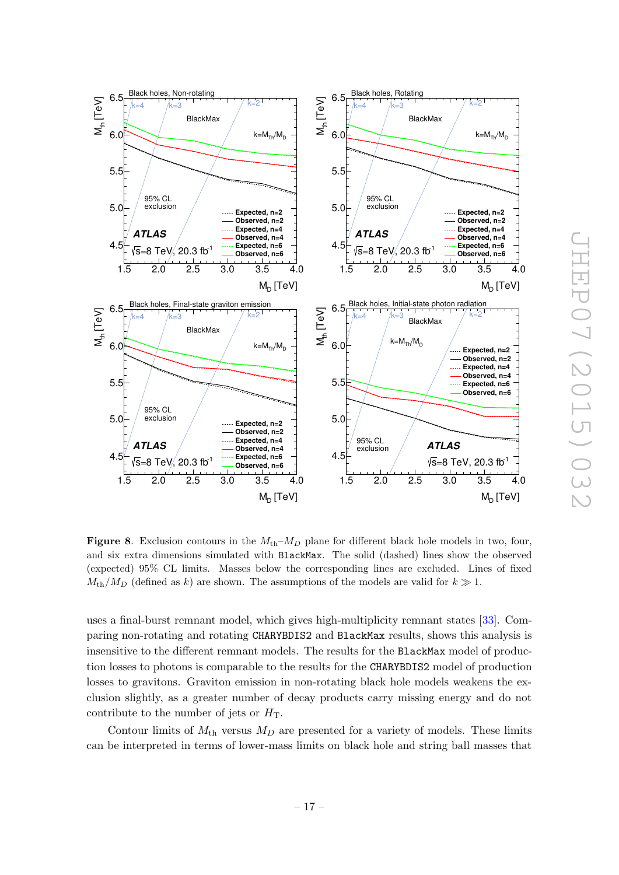

<span id="page-17-0"></span>Figure 8. Exclusion contours in the  $M_{\text{th}}-M_D$  plane for different black hole models in two, four, and six extra dimensions simulated with BlackMax. The solid (dashed) lines show the observed (expected) 95% CL limits. Masses below the corresponding lines are excluded. Lines of fixed  $M_{\text{th}}/M_D$  (defined as k) are shown. The assumptions of the models are valid for  $k \gg 1$ .

uses a final-burst remnant model, which gives high-multiplicity remnant states [\[33\]](#page-21-1). Comparing non-rotating and rotating CHARYBDIS2 and BlackMax results, shows this analysis is insensitive to the different remnant models. The results for the BlackMax model of production losses to photons is comparable to the results for the CHARYBDIS2 model of production losses to gravitons. Graviton emission in non-rotating black hole models weakens the exclusion slightly, as a greater number of decay products carry missing energy and do not contribute to the number of jets or  $H<sub>T</sub>$ .

Contour limits of  $M_{\text{th}}$  versus  $M_D$  are presented for a variety of models. These limits can be interpreted in terms of lower-mass limits on black hole and string ball masses that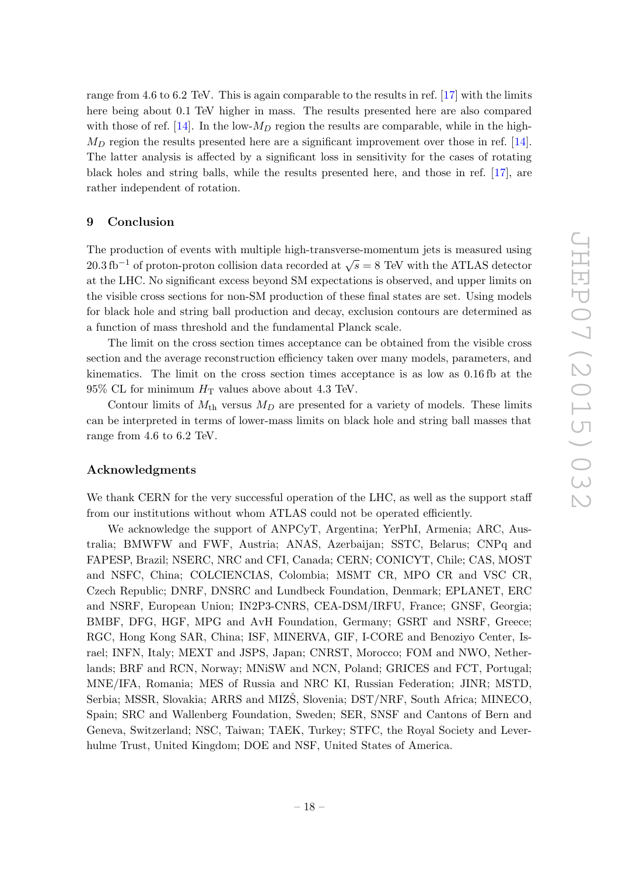range from 4.6 to 6.2 TeV. This is again comparable to the results in ref. [\[17\]](#page-20-2) with the limits here being about 0.1 TeV higher in mass. The results presented here are also compared with those of ref. [\[14\]](#page-20-0). In the low- $M_D$  region the results are comparable, while in the high- $M_D$  region the results presented here are a significant improvement over those in ref. [\[14\]](#page-20-0). The latter analysis is affected by a significant loss in sensitivity for the cases of rotating black holes and string balls, while the results presented here, and those in ref. [\[17\]](#page-20-2), are rather independent of rotation.

#### <span id="page-18-0"></span>9 Conclusion

The production of events with multiple high-transverse-momentum jets is measured using 20.3 fb<sup>-1</sup> of proton-proton collision data recorded at  $\sqrt{s} = 8$  TeV with the ATLAS detector at the LHC. No significant excess beyond SM expectations is observed, and upper limits on the visible cross sections for non-SM production of these final states are set. Using models for black hole and string ball production and decay, exclusion contours are determined as a function of mass threshold and the fundamental Planck scale.

The limit on the cross section times acceptance can be obtained from the visible cross section and the average reconstruction efficiency taken over many models, parameters, and kinematics. The limit on the cross section times acceptance is as low as 0.16 fb at the  $95\%$  CL for minimum  $H<sub>T</sub>$  values above about 4.3 TeV.

Contour limits of  $M_{\text{th}}$  versus  $M_D$  are presented for a variety of models. These limits can be interpreted in terms of lower-mass limits on black hole and string ball masses that range from 4.6 to 6.2 TeV.

#### Acknowledgments

We thank CERN for the very successful operation of the LHC, as well as the support staff from our institutions without whom ATLAS could not be operated efficiently.

We acknowledge the support of ANPCyT, Argentina; YerPhI, Armenia; ARC, Australia; BMWFW and FWF, Austria; ANAS, Azerbaijan; SSTC, Belarus; CNPq and FAPESP, Brazil; NSERC, NRC and CFI, Canada; CERN; CONICYT, Chile; CAS, MOST and NSFC, China; COLCIENCIAS, Colombia; MSMT CR, MPO CR and VSC CR, Czech Republic; DNRF, DNSRC and Lundbeck Foundation, Denmark; EPLANET, ERC and NSRF, European Union; IN2P3-CNRS, CEA-DSM/IRFU, France; GNSF, Georgia; BMBF, DFG, HGF, MPG and AvH Foundation, Germany; GSRT and NSRF, Greece; RGC, Hong Kong SAR, China; ISF, MINERVA, GIF, I-CORE and Benoziyo Center, Israel; INFN, Italy; MEXT and JSPS, Japan; CNRST, Morocco; FOM and NWO, Netherlands; BRF and RCN, Norway; MNiSW and NCN, Poland; GRICES and FCT, Portugal; MNE/IFA, Romania; MES of Russia and NRC KI, Russian Federation; JINR; MSTD, Serbia; MSSR, Slovakia; ARRS and MIZS, Slovenia; DST/NRF, South Africa; MINECO, Spain; SRC and Wallenberg Foundation, Sweden; SER, SNSF and Cantons of Bern and Geneva, Switzerland; NSC, Taiwan; TAEK, Turkey; STFC, the Royal Society and Leverhulme Trust, United Kingdom; DOE and NSF, United States of America.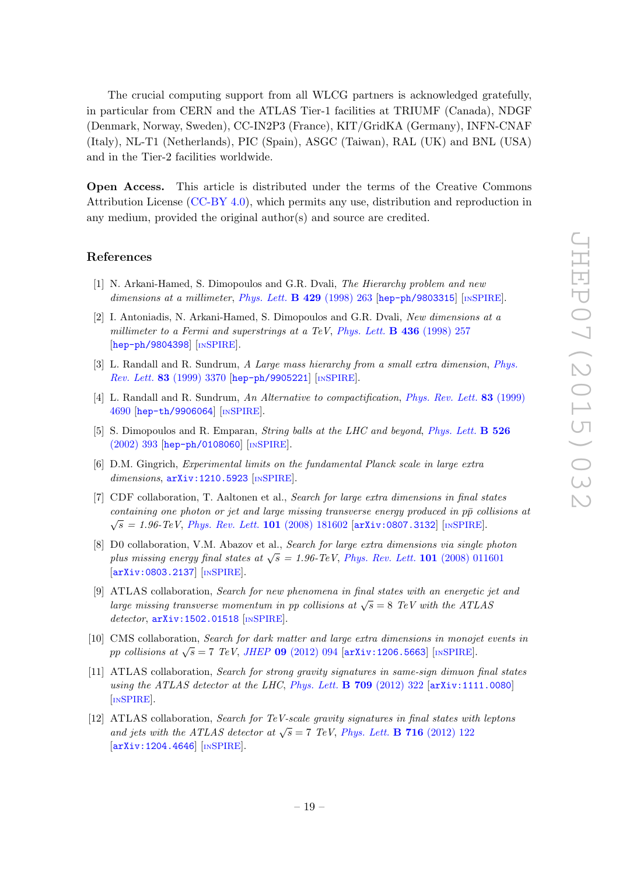The crucial computing support from all WLCG partners is acknowledged gratefully, in particular from CERN and the ATLAS Tier-1 facilities at TRIUMF (Canada), NDGF (Denmark, Norway, Sweden), CC-IN2P3 (France), KIT/GridKA (Germany), INFN-CNAF (Italy), NL-T1 (Netherlands), PIC (Spain), ASGC (Taiwan), RAL (UK) and BNL (USA) and in the Tier-2 facilities worldwide.

Open Access. This article is distributed under the terms of the Creative Commons Attribution License [\(CC-BY 4.0\)](http://creativecommons.org/licenses/by/4.0/), which permits any use, distribution and reproduction in any medium, provided the original author(s) and source are credited.

#### References

- <span id="page-19-0"></span>[1] N. Arkani-Hamed, S. Dimopoulos and G.R. Dvali, The Hierarchy problem and new dimensions at a millimeter, [Phys. Lett.](http://dx.doi.org/10.1016/S0370-2693(98)00466-3)  $\bf{B}$  429 (1998) 263 [[hep-ph/9803315](http://arxiv.org/abs/hep-ph/9803315)] [IN[SPIRE](http://inspirehep.net/search?p=find+EPRINT+hep-ph/9803315)].
- <span id="page-19-2"></span>[2] I. Antoniadis, N. Arkani-Hamed, S. Dimopoulos and G.R. Dvali, New dimensions at a millimeter to a Fermi and superstrings at a TeV, [Phys. Lett.](http://dx.doi.org/10.1016/S0370-2693(98)00860-0)  $\bf{B}$  436 (1998) 257 [[hep-ph/9804398](http://arxiv.org/abs/hep-ph/9804398)] [IN[SPIRE](http://inspirehep.net/search?p=find+EPRINT+hep-ph/9804398)].
- <span id="page-19-3"></span>[3] L. Randall and R. Sundrum, A Large mass hierarchy from a small extra dimension, [Phys.](http://dx.doi.org/10.1103/PhysRevLett.83.3370) Rev. Lett. 83 [\(1999\) 3370](http://dx.doi.org/10.1103/PhysRevLett.83.3370) [[hep-ph/9905221](http://arxiv.org/abs/hep-ph/9905221)] [IN[SPIRE](http://inspirehep.net/search?p=find+EPRINT+hep-ph/9905221)].
- <span id="page-19-1"></span>[4] L. Randall and R. Sundrum, An Alternative to compactification, [Phys. Rev. Lett.](http://dx.doi.org/10.1103/PhysRevLett.83.4690) 83 (1999) [4690](http://dx.doi.org/10.1103/PhysRevLett.83.4690) [[hep-th/9906064](http://arxiv.org/abs/hep-th/9906064)] [IN[SPIRE](http://inspirehep.net/search?p=find+EPRINT+hep-th/9906064)].
- <span id="page-19-4"></span>[5] S. Dimopoulos and R. Emparan, *String balls at the LHC and beyond, [Phys. Lett.](http://dx.doi.org/10.1016/S0370-2693(01)01525-8)* **B 526** [\(2002\) 393](http://dx.doi.org/10.1016/S0370-2693(01)01525-8) [[hep-ph/0108060](http://arxiv.org/abs/hep-ph/0108060)] [IN[SPIRE](http://inspirehep.net/search?p=find+EPRINT+hep-ph/0108060)].
- <span id="page-19-5"></span>[6] D.M. Gingrich, Experimental limits on the fundamental Planck scale in large extra dimensions, [arXiv:1210.5923](http://arxiv.org/abs/1210.5923) [IN[SPIRE](http://inspirehep.net/search?p=find+EPRINT+arXiv:1210.5923)].
- <span id="page-19-6"></span>[7] CDF collaboration, T. Aaltonen et al., Search for large extra dimensions in final states containing one photon or jet and large missing transverse energy produced in  $p\bar{p}$  collisions at  $\sqrt{s} = 1.96$ -TeV, [Phys. Rev. Lett.](http://dx.doi.org/10.1103/PhysRevLett.101.181602) 101 (2008) 181602 [[arXiv:0807.3132](http://arxiv.org/abs/0807.3132)] [IN[SPIRE](http://inspirehep.net/search?p=find+EPRINT+arXiv:0807.3132)].
- <span id="page-19-7"></span>[8] D0 collaboration, V.M. Abazov et al., Search for large extra dimensions via single photon plus missing energy final states at  $\sqrt{s} = 1.96$ -TeV, [Phys. Rev. Lett.](http://dx.doi.org/10.1103/PhysRevLett.101.011601) 101 (2008) 011601 [[arXiv:0803.2137](http://arxiv.org/abs/0803.2137)] [IN[SPIRE](http://inspirehep.net/search?p=find+EPRINT+arXiv:0803.2137)].
- <span id="page-19-8"></span>[9] ATLAS collaboration, Search for new phenomena in final states with an energetic jet and large missing transverse momentum in pp collisions at  $\sqrt{s} = 8$  TeV with the ATLAS detector, [arXiv:1502.01518](http://arxiv.org/abs/1502.01518) [IN[SPIRE](http://inspirehep.net/search?p=find+EPRINT+arXiv:1502.01518)].
- <span id="page-19-9"></span>[10] CMS collaboration, Search for dark matter and large extra dimensions in monojet events in pp collisions at  $\sqrt{s} = 7$  TeV, JHEP 09 [\(2012\) 094](http://dx.doi.org/10.1007/JHEP09(2012)094) [[arXiv:1206.5663](http://arxiv.org/abs/1206.5663)] [IN[SPIRE](http://inspirehep.net/search?p=find+EPRINT+arXiv:1206.5663)].
- <span id="page-19-10"></span>[11] ATLAS collaboration, Search for strong gravity signatures in same-sign dimuon final states using the ATLAS detector at the LHC, [Phys. Lett.](http://dx.doi.org/10.1016/j.physletb.2012.02.049)  $\bf{B}$  709 (2012) 322 [[arXiv:1111.0080](http://arxiv.org/abs/1111.0080)] [IN[SPIRE](http://inspirehep.net/search?p=find+EPRINT+arXiv:1111.0080)].
- [12] ATLAS collaboration, Search for TeV-scale gravity signatures in final states with leptons and jets with the ATLAS detector at  $\sqrt{s} = 7$  TeV, [Phys. Lett.](http://dx.doi.org/10.1016/j.physletb.2012.08.009) **B** 716 (2012) 122 [[arXiv:1204.4646](http://arxiv.org/abs/1204.4646)] [IN[SPIRE](http://inspirehep.net/search?p=find+EPRINT+arXiv:1204.4646)].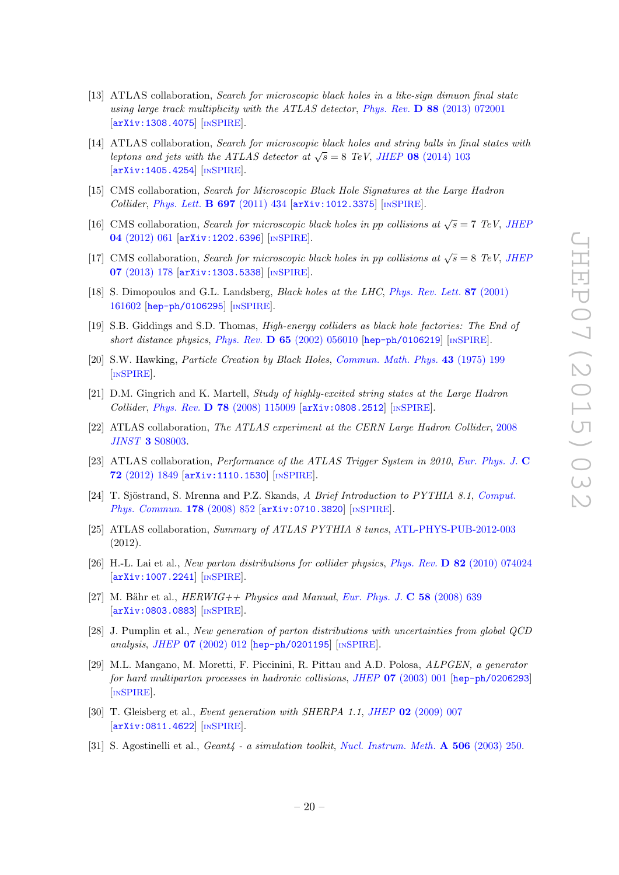- [13] ATLAS collaboration, Search for microscopic black holes in a like-sign dimuon final state using large track multiplicity with the ATLAS detector, Phys. Rev. D 88 [\(2013\) 072001](http://dx.doi.org/10.1103/PhysRevD.88.072001) [[arXiv:1308.4075](http://arxiv.org/abs/1308.4075)] [IN[SPIRE](http://inspirehep.net/search?p=find+EPRINT+arXiv:1308.4075)].
- <span id="page-20-0"></span>[14] ATLAS collaboration, Search for microscopic black holes and string balls in final states with leptons and jets with the ATLAS detector at  $\sqrt{s} = 8$  TeV, JHEP 08 [\(2014\) 103](http://dx.doi.org/10.1007/JHEP08(2014)103) [[arXiv:1405.4254](http://arxiv.org/abs/1405.4254)] [IN[SPIRE](http://inspirehep.net/search?p=find+EPRINT+arXiv:1405.4254)].
- <span id="page-20-1"></span>[15] CMS collaboration, Search for Microscopic Black Hole Signatures at the Large Hadron Collider, [Phys. Lett.](http://dx.doi.org/10.1016/j.physletb.2011.02.032) B 697 (2011) 434 [[arXiv:1012.3375](http://arxiv.org/abs/1012.3375)] [IN[SPIRE](http://inspirehep.net/search?p=find+EPRINT+arXiv:1012.3375)].
- [16] CMS collaboration, Search for microscopic black holes in pp collisions at  $\sqrt{s} = 7$  TeV, JHEF 04 [\(2012\) 061](http://dx.doi.org/10.1007/JHEP04(2012)061) [[arXiv:1202.6396](http://arxiv.org/abs/1202.6396)] [IN[SPIRE](http://inspirehep.net/search?p=find+EPRINT+arXiv:1202.6396)].
- <span id="page-20-2"></span>[17] CMS collaboration, Search for microscopic black holes in pp collisions at  $\sqrt{s} = 8$  TeV, JHEF 07 [\(2013\) 178](http://dx.doi.org/10.1007/JHEP07(2013)178) [[arXiv:1303.5338](http://arxiv.org/abs/1303.5338)] [IN[SPIRE](http://inspirehep.net/search?p=find+EPRINT+arXiv:1303.5338)].
- <span id="page-20-3"></span>[18] S. Dimopoulos and G.L. Landsberg, *Black holes at the LHC*, *[Phys. Rev. Lett.](http://dx.doi.org/10.1103/PhysRevLett.87.161602)* 87 (2001) [161602](http://dx.doi.org/10.1103/PhysRevLett.87.161602) [[hep-ph/0106295](http://arxiv.org/abs/hep-ph/0106295)] [IN[SPIRE](http://inspirehep.net/search?p=find+EPRINT+hep-ph/0106295)].
- <span id="page-20-4"></span>[19] S.B. Giddings and S.D. Thomas, *High-energy colliders as black hole factories: The End of* short distance physics, Phys. Rev.  $\bf{D} 65 (2002) 056010$  $\bf{D} 65 (2002) 056010$  [[hep-ph/0106219](http://arxiv.org/abs/hep-ph/0106219)] [IN[SPIRE](http://inspirehep.net/search?p=find+EPRINT+hep-ph/0106219)].
- <span id="page-20-5"></span>[20] S.W. Hawking, Particle Creation by Black Holes, [Commun. Math. Phys.](http://dx.doi.org/10.1007/BF02345020) 43 (1975) 199 [IN[SPIRE](http://inspirehep.net/search?p=find+J+Comm.Math.Phys.,43,199)].
- <span id="page-20-6"></span>[21] D.M. Gingrich and K. Martell, Study of highly-excited string states at the Large Hadron Collider, Phys. Rev. D 78 [\(2008\) 115009](http://dx.doi.org/10.1103/PhysRevD.78.115009) [[arXiv:0808.2512](http://arxiv.org/abs/0808.2512)] [IN[SPIRE](http://inspirehep.net/search?p=find+EPRINT+arXiv:0808.2512)].
- <span id="page-20-7"></span>[22] ATLAS collaboration, The ATLAS experiment at the CERN Large Hadron Collider, [2008](http://dx.doi.org/10.1088/1748-0221/3/08/S08003) JINST 3 [S08003.](http://dx.doi.org/10.1088/1748-0221/3/08/S08003)
- <span id="page-20-8"></span>[23] ATLAS collaboration, Performance of the ATLAS Trigger System in 2010, [Eur. Phys. J.](http://dx.doi.org/10.1140/epjc/s10052-011-1849-1) C 72 [\(2012\) 1849](http://dx.doi.org/10.1140/epjc/s10052-011-1849-1) [[arXiv:1110.1530](http://arxiv.org/abs/1110.1530)] [IN[SPIRE](http://inspirehep.net/search?p=find+EPRINT+arXiv:1110.1530)].
- <span id="page-20-9"></span>[24] T. Sjöstrand, S. Mrenna and P.Z. Skands, A Brief Introduction to PYTHIA 8.1, [Comput.](http://dx.doi.org/10.1016/j.cpc.2008.01.036) [Phys. Commun.](http://dx.doi.org/10.1016/j.cpc.2008.01.036) 178 (2008) 852 [[arXiv:0710.3820](http://arxiv.org/abs/0710.3820)] [IN[SPIRE](http://inspirehep.net/search?p=find+EPRINT+arXiv:0710.3820)].
- <span id="page-20-10"></span>[25] ATLAS collaboration, Summary of ATLAS PYTHIA 8 tunes, [ATL-PHYS-PUB-2012-003](http://cds.cern.ch/record/1474107) (2012).
- <span id="page-20-11"></span>[26] H.-L. Lai et al., New parton distributions for collider physics, Phys. Rev. D 82 [\(2010\) 074024](http://dx.doi.org/10.1103/PhysRevD.82.074024) [[arXiv:1007.2241](http://arxiv.org/abs/1007.2241)] [IN[SPIRE](http://inspirehep.net/search?p=find+EPRINT+arXiv:1007.2241)].
- <span id="page-20-12"></span>[27] M. Bähr et al.,  $HERWIG++ Physics and Manual, Eur. Phys. J. C 58 (2008) 639$  $HERWIG++ Physics and Manual, Eur. Phys. J. C 58 (2008) 639$  $HERWIG++ Physics and Manual, Eur. Phys. J. C 58 (2008) 639$ [[arXiv:0803.0883](http://arxiv.org/abs/0803.0883)] [IN[SPIRE](http://inspirehep.net/search?p=find+EPRINT+arXiv:0803.0883)].
- <span id="page-20-13"></span>[28] J. Pumplin et al., New generation of parton distributions with uncertainties from global QCD analysis, JHEP 07 [\(2002\) 012](http://dx.doi.org/10.1088/1126-6708/2002/07/012) [[hep-ph/0201195](http://arxiv.org/abs/hep-ph/0201195)] [IN[SPIRE](http://inspirehep.net/search?p=find+EPRINT+hep-ph/0201195)].
- <span id="page-20-14"></span>[29] M.L. Mangano, M. Moretti, F. Piccinini, R. Pittau and A.D. Polosa, ALPGEN, a generator for hard multiparton processes in hadronic collisions, JHEP 07 [\(2003\) 001](http://dx.doi.org/10.1088/1126-6708/2003/07/001) [[hep-ph/0206293](http://arxiv.org/abs/hep-ph/0206293)] [IN[SPIRE](http://inspirehep.net/search?p=find+EPRINT+hep-ph/0206293)].
- <span id="page-20-15"></span>[30] T. Gleisberg et al., *Event generation with SHERPA 1.1, JHEP* 02 [\(2009\) 007](http://dx.doi.org/10.1088/1126-6708/2009/02/007) [[arXiv:0811.4622](http://arxiv.org/abs/0811.4622)] [IN[SPIRE](http://inspirehep.net/search?p=find+EPRINT+arXiv:0811.4622)].
- <span id="page-20-16"></span>[31] S. Agostinelli et al., *Geant*<sub>4</sub> - a simulation toolkit, [Nucl. Instrum. Meth.](http://dx.doi.org/10.1016/S0168-9002(03)01368-8) **A 506** (2003) 250.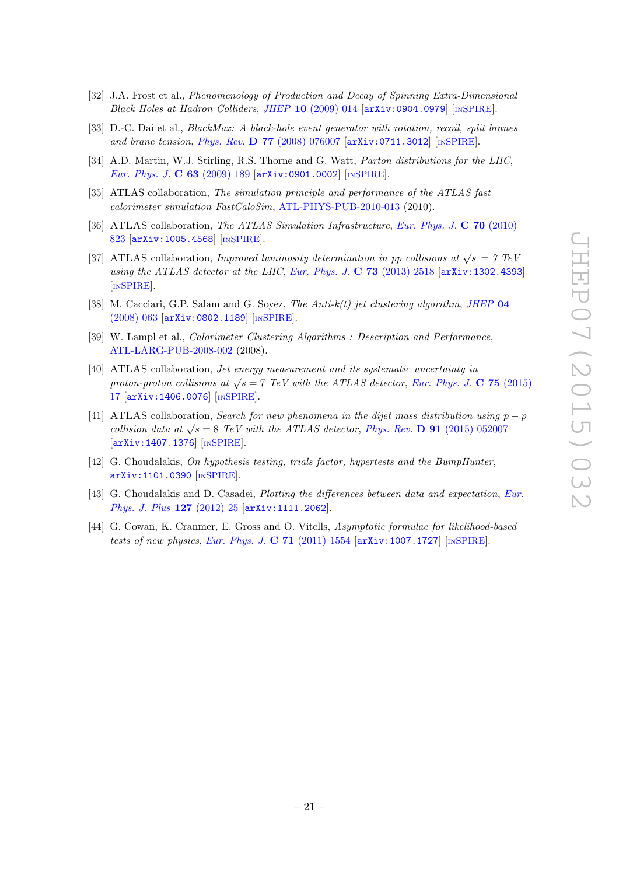- <span id="page-21-0"></span>[32] J.A. Frost et al., Phenomenology of Production and Decay of Spinning Extra-Dimensional Black Holes at Hadron Colliders, JHEP  $10$  [\(2009\) 014](http://dx.doi.org/10.1088/1126-6708/2009/10/014)  $\left[$ [arXiv:0904.0979](http://arxiv.org/abs/0904.0979) $\right]$  [IN[SPIRE](http://inspirehep.net/search?p=find+EPRINT+arXiv:0904.0979)].
- <span id="page-21-1"></span>[33] D.-C. Dai et al., *BlackMax: A black-hole event generator with rotation, recoil, split branes* and brane tension, Phys. Rev. D 77 [\(2008\) 076007](http://dx.doi.org/10.1103/PhysRevD.77.076007) [[arXiv:0711.3012](http://arxiv.org/abs/0711.3012)] [IN[SPIRE](http://inspirehep.net/search?p=find+EPRINT+arXiv:0711.3012)].
- <span id="page-21-2"></span>[34] A.D. Martin, W.J. Stirling, R.S. Thorne and G. Watt, *Parton distributions for the LHC*, [Eur. Phys. J.](http://dx.doi.org/10.1140/epjc/s10052-009-1072-5) C 63 (2009) 189  $\left[$ [arXiv:0901.0002](http://arxiv.org/abs/0901.0002) $\right]$   $\left[$ IN[SPIRE](http://inspirehep.net/search?p=find+EPRINT+arXiv:0901.0002) $\right]$ .
- <span id="page-21-3"></span>[35] ATLAS collaboration, The simulation principle and performance of the ATLAS fast calorimeter simulation FastCaloSim, [ATL-PHYS-PUB-2010-013](http://cds.cern.ch/record/1300517) (2010).
- <span id="page-21-4"></span>[36] ATLAS collaboration, The ATLAS Simulation Infrastructure, [Eur. Phys. J.](http://dx.doi.org/10.1140/epjc/s10052-010-1429-9) C 70 (2010) [823](http://dx.doi.org/10.1140/epjc/s10052-010-1429-9) [[arXiv:1005.4568](http://arxiv.org/abs/1005.4568)] [IN[SPIRE](http://inspirehep.net/search?p=find+EPRINT+arXiv:1005.4568)].
- <span id="page-21-5"></span>[37] ATLAS collaboration, *Improved luminosity determination in pp collisions at*  $\sqrt{s} = 7$  TeV using the ATLAS detector at the LHC, [Eur. Phys. J.](http://dx.doi.org/10.1140/epjc/s10052-013-2518-3)  $C$  73 (2013) 2518 [[arXiv:1302.4393](http://arxiv.org/abs/1302.4393)] [IN[SPIRE](http://inspirehep.net/search?p=find+EPRINT+arXiv:1302.4393)].
- <span id="page-21-6"></span>[38] M. Cacciari, G.P. Salam and G. Soyez, The Anti-k(t) jet clustering algorithm, [JHEP](http://dx.doi.org/10.1088/1126-6708/2008/04/063) 04 [\(2008\) 063](http://dx.doi.org/10.1088/1126-6708/2008/04/063) [[arXiv:0802.1189](http://arxiv.org/abs/0802.1189)] [IN[SPIRE](http://inspirehep.net/search?p=find+EPRINT+arXiv:0802.1189)].
- <span id="page-21-7"></span>[39] W. Lampl et al., *Calorimeter Clustering Algorithms : Description and Performance*, [ATL-LARG-PUB-2008-002](http://cds.cern.ch/record/1099735) (2008).
- <span id="page-21-8"></span>[40] ATLAS collaboration, Jet energy measurement and its systematic uncertainty in proton-proton collisions at  $\sqrt{s} = 7$  TeV with the ATLAS detector, [Eur. Phys. J.](http://dx.doi.org/10.1140/epjc/s10052-014-3190-y) C 75 (2015) [17](http://dx.doi.org/10.1140/epjc/s10052-014-3190-y) [[arXiv:1406.0076](http://arxiv.org/abs/1406.0076)] [IN[SPIRE](http://inspirehep.net/search?p=find+EPRINT+arXiv:1406.0076)].
- <span id="page-21-9"></span>[41] ATLAS collaboration, Search for new phenomena in the dijet mass distribution using  $p - p$ collision data at  $\sqrt{s} = 8$  TeV with the ATLAS detector, Phys. Rev. **D** 91 [\(2015\) 052007](http://dx.doi.org/10.1103/PhysRevD.91.052007) [[arXiv:1407.1376](http://arxiv.org/abs/1407.1376)] [IN[SPIRE](http://inspirehep.net/search?p=find+EPRINT+arXiv:1407.1376)].
- <span id="page-21-10"></span>[42] G. Choudalakis, On hypothesis testing, trials factor, hypertests and the BumpHunter, [arXiv:1101.0390](http://arxiv.org/abs/1101.0390) [IN[SPIRE](http://inspirehep.net/search?p=find+EPRINT+arXiv:1101.0390)].
- <span id="page-21-11"></span>[43] G. Choudalakis and D. Casadei, Plotting the differences between data and expectation, [Eur.](http://dx.doi.org/10.1140/epjp/i2012-12025-y) [Phys. J. Plus](http://dx.doi.org/10.1140/epjp/i2012-12025-y) 127 (2012) 25 [[arXiv:1111.2062](http://arxiv.org/abs/1111.2062)].
- <span id="page-21-12"></span>[44] G. Cowan, K. Cranmer, E. Gross and O. Vitells, Asymptotic formulae for likelihood-based tests of new physics, [Eur. Phys. J.](http://dx.doi.org/10.1140/epjc/s10052-011-1554-0) C  $71$  (2011) 1554  $\left[$ [arXiv:1007.1727](http://arxiv.org/abs/1007.1727) $\right]$   $\left[$ IN[SPIRE](http://inspirehep.net/search?p=find+EPRINT+arXiv:1007.1727) $\right]$ .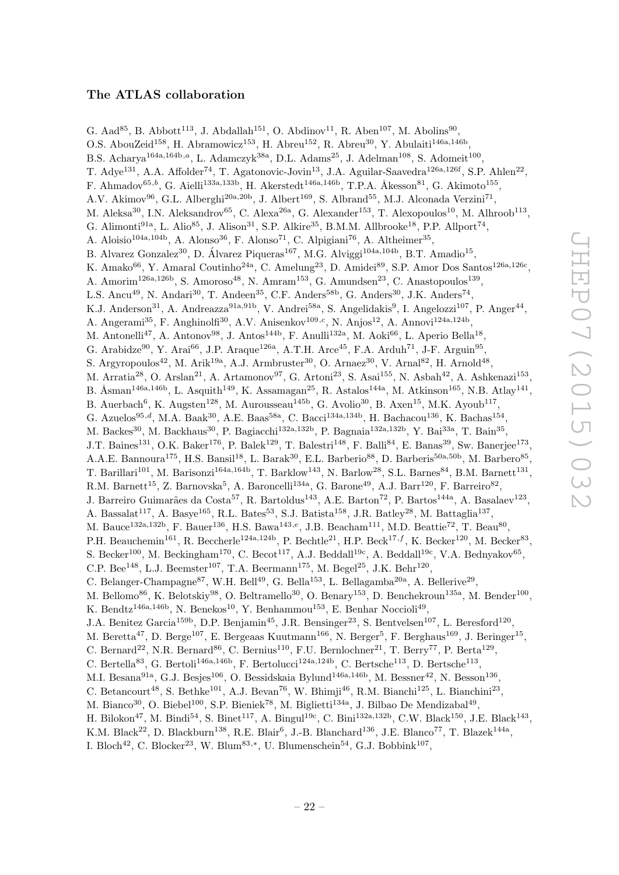## The ATLAS collaboration

<span id="page-22-0"></span>G. Aad<sup>85</sup>, B. Abbott<sup>113</sup>, J. Abdallah<sup>151</sup>, O. Abdinov<sup>11</sup>, R. Aben<sup>107</sup>, M. Abolins<sup>90</sup>, O.S. AbouZeid<sup>158</sup>, H. Abramowicz<sup>153</sup>, H. Abreu<sup>152</sup>, R. Abreu<sup>30</sup>, Y. Abulaiti<sup>146a,146b</sup>, B.S. Acharya<sup>164a,164b,a</sup>, L. Adamczyk<sup>38a</sup>, D.L. Adams<sup>25</sup>, J. Adelman<sup>108</sup>, S. Adomeit<sup>100</sup>, T. Adye<sup>131</sup>, A.A. Affolder<sup>74</sup>, T. Agatonovic-Jovin<sup>13</sup>, J.A. Aguilar-Saavedra<sup>126a,126f</sup>, S.P. Ahlen<sup>22</sup>, F. Ahmadov<sup>65,b</sup>, G. Aielli<sup>133a,133b</sup>, H. Akerstedt<sup>146a,146b</sup>, T.P.A. Åkesson<sup>81</sup>, G. Akimoto<sup>155</sup>, A.V. Akimov<sup>96</sup>, G.L. Alberghi<sup>20a, 20b</sup>, J. Albert<sup>169</sup>, S. Albrand<sup>55</sup>, M.J. Alconada Verzini<sup>71</sup>, M. Aleksa<sup>30</sup>, I.N. Aleksandrov<sup>65</sup>, C. Alexa<sup>26a</sup>, G. Alexander<sup>153</sup>, T. Alexopoulos<sup>10</sup>, M. Alhroob<sup>113</sup>, G. Alimonti<sup>91a</sup>, L. Alio<sup>85</sup>, J. Alison<sup>31</sup>, S.P. Alkire<sup>35</sup>, B.M.M. Allbrooke<sup>18</sup>, P.P. Allport<sup>74</sup>, A. Aloisio<sup>104a,104b</sup>, A. Alonso<sup>36</sup>, F. Alonso<sup>71</sup>, C. Alpigiani<sup>76</sup>, A. Altheimer<sup>35</sup>, B. Alvarez Gonzalez<sup>30</sup>, D. Álvarez Piqueras<sup>167</sup>, M.G. Alviggi<sup>104a,104b</sup>, B.T. Amadio<sup>15</sup>, K. Amako<sup>66</sup>, Y. Amaral Coutinho<sup>24a</sup>, C. Amelung<sup>23</sup>, D. Amidei<sup>89</sup>, S.P. Amor Dos Santos<sup>126a,126c</sup>, A. Amorim<sup>126a,126b</sup>, S. Amoroso<sup>48</sup>, N. Amram<sup>153</sup>, G. Amundsen<sup>23</sup>, C. Anastopoulos<sup>139</sup>, L.S. Ancu<sup>49</sup>, N. Andari<sup>30</sup>, T. Andeen<sup>35</sup>, C.F. Anders<sup>58b</sup>, G. Anders<sup>30</sup>, J.K. Anders<sup>74</sup>, K.J. Anderson<sup>31</sup>, A. Andreazza<sup>91a,91b</sup>, V. Andrei<sup>58a</sup>, S. Angelidakis<sup>9</sup>, I. Angelozzi<sup>107</sup>, P. Anger<sup>44</sup>, A. Angerami<sup>35</sup>, F. Anghinolfi<sup>30</sup>, A.V. Anisenkov<sup>109,c</sup>, N. Anjos<sup>12</sup>, A. Annovi<sup>124a,124b</sup>, M. Antonelli<sup>47</sup>, A. Antonov<sup>98</sup>, J. Antos<sup>144b</sup>, F. Anulli<sup>132a</sup>, M. Aoki<sup>66</sup>, L. Aperio Bella<sup>18</sup>, G. Arabidze<sup>90</sup>, Y. Arai<sup>66</sup>, J.P. Araque<sup>126a</sup>, A.T.H. Arce<sup>45</sup>, F.A. Arduh<sup>71</sup>, J-F. Arguin<sup>95</sup>, S. Argyropoulos<sup>42</sup>, M. Arik<sup>19a</sup>, A.J. Armbruster<sup>30</sup>, O. Arnaez<sup>30</sup>, V. Arnal<sup>82</sup>, H. Arnold<sup>48</sup>, M. Arratia<sup>28</sup>, O. Arslan<sup>21</sup>, A. Artamonov<sup>97</sup>, G. Artoni<sup>23</sup>, S. Asai<sup>155</sup>, N. Asbah<sup>42</sup>, A. Ashkenazi<sup>153</sup>, B. Åsman<sup>146a,146b</sup>, L. Asquith<sup>149</sup>, K. Assamagan<sup>25</sup>, R. Astalos<sup>144a</sup>, M. Atkinson<sup>165</sup>, N.B. Atlay<sup>141</sup>, B. Auerbach<sup>6</sup>, K. Augsten<sup>128</sup>, M. Aurousseau<sup>145b</sup>, G. Avolio<sup>30</sup>, B. Axen<sup>15</sup>, M.K. Ayoub<sup>117</sup>, G. Azuelos<sup>95,d</sup>, M.A. Baak<sup>30</sup>, A.E. Baas<sup>58a</sup>, C. Bacci<sup>134a,134b</sup>, H. Bachacou<sup>136</sup>, K. Bachas<sup>154</sup>, M. Backes<sup>30</sup>, M. Backhaus<sup>30</sup>, P. Bagiacchi<sup>132a,132b</sup>, P. Bagnaia<sup>132a,132b</sup>, Y. Bai<sup>33a</sup>, T. Bain<sup>35</sup>, J.T. Baines<sup>131</sup>, O.K. Baker<sup>176</sup>, P. Balek<sup>129</sup>, T. Balestri<sup>148</sup>, F. Balli<sup>84</sup>, E. Banas<sup>39</sup>, Sw. Banerjee<sup>173</sup>, A.A.E. Bannoura<sup>175</sup>, H.S. Bansil<sup>18</sup>, L. Barak<sup>30</sup>, E.L. Barberio<sup>88</sup>, D. Barberis<sup>50a,50b</sup>, M. Barbero<sup>85</sup>, T. Barillari<sup>101</sup>, M. Barisonzi<sup>164a,164b</sup>, T. Barklow<sup>143</sup>, N. Barlow<sup>28</sup>, S.L. Barnes<sup>84</sup>, B.M. Barnett<sup>131</sup>, R.M. Barnett<sup>15</sup>, Z. Barnovska<sup>5</sup>, A. Baroncelli<sup>134a</sup>, G. Barone<sup>49</sup>, A.J. Barr<sup>120</sup>, F. Barreiro<sup>82</sup>, J. Barreiro Guimarães da Costa<sup>57</sup>, R. Bartoldus<sup>143</sup>, A.E. Barton<sup>72</sup>, P. Bartos<sup>144a</sup>, A. Basalaev<sup>123</sup>, A. Bassalat<sup>117</sup>, A. Basye<sup>165</sup>, R.L. Bates<sup>53</sup>, S.J. Batista<sup>158</sup>, J.R. Batley<sup>28</sup>, M. Battaglia<sup>137</sup>, M. Bauce<sup>132a,132b</sup>, F. Bauer<sup>136</sup>, H.S. Bawa<sup>143,e</sup>, J.B. Beacham<sup>111</sup>, M.D. Beattie<sup>72</sup>, T. Beau<sup>80</sup>, P.H. Beauchemin<sup>161</sup>, R. Beccherle<sup>124a,124b</sup>, P. Bechtle<sup>21</sup>, H.P. Beck<sup>17,f</sup>, K. Becker<sup>120</sup>, M. Becker<sup>83</sup>, S. Becker<sup>100</sup>, M. Beckingham<sup>170</sup>, C. Becot<sup>117</sup>, A.J. Beddall<sup>19c</sup>, A. Beddall<sup>19c</sup>, V.A. Bednyakov<sup>65</sup>, C.P. Bee<sup>148</sup>, L.J. Beemster<sup>107</sup>, T.A. Beermann<sup>175</sup>, M. Begel<sup>25</sup>, J.K. Behr<sup>120</sup>, C. Belanger-Champagne<sup>87</sup>, W.H. Bell<sup>49</sup>, G. Bella<sup>153</sup>, L. Bellagamba<sup>20a</sup>, A. Bellerive<sup>29</sup>, M. Bellomo<sup>86</sup>, K. Belotskiy<sup>98</sup>, O. Beltramello<sup>30</sup>, O. Benary<sup>153</sup>, D. Benchekroun<sup>135a</sup>, M. Bender<sup>100</sup>, K. Bendtz<sup>146a,146b</sup>, N. Benekos<sup>10</sup>, Y. Benhammou<sup>153</sup>, E. Benhar Noccioli<sup>49</sup>, J.A. Benitez Garcia<sup>159b</sup>, D.P. Benjamin<sup>45</sup>, J.R. Bensinger<sup>23</sup>, S. Bentvelsen<sup>107</sup>, L. Beresford<sup>120</sup>, M. Beretta<sup>47</sup>, D. Berge<sup>107</sup>, E. Bergeaas Kuutmann<sup>166</sup>, N. Berger<sup>5</sup>, F. Berghaus<sup>169</sup>, J. Beringer<sup>15</sup>, C. Bernard<sup>22</sup>, N.R. Bernard<sup>86</sup>, C. Bernius<sup>110</sup>, F.U. Bernlochner<sup>21</sup>, T. Berry<sup>77</sup>, P. Berta<sup>129</sup>, C. Bertella<sup>83</sup>, G. Bertoli<sup>146a,146b</sup>, F. Bertolucci<sup>124a,124b</sup>, C. Bertsche<sup>113</sup>, D. Bertsche<sup>113</sup>, M.I. Besana<sup>91a</sup>, G.J. Besjes<sup>106</sup>, O. Bessidskaia Bylund<sup>146a,146b</sup>, M. Bessner<sup>42</sup>, N. Besson<sup>136</sup>, C. Betancourt<sup>48</sup>, S. Bethke<sup>101</sup>, A.J. Bevan<sup>76</sup>, W. Bhimji<sup>46</sup>, R.M. Bianchi<sup>125</sup>, L. Bianchini<sup>23</sup>, M. Bianco<sup>30</sup>, O. Biebel<sup>100</sup>, S.P. Bieniek<sup>78</sup>, M. Biglietti<sup>134a</sup>, J. Bilbao De Mendizabal<sup>49</sup>, H. Bilokon<sup>47</sup>, M. Bindi<sup>54</sup>, S. Binet<sup>117</sup>, A. Bingul<sup>19c</sup>, C. Bini<sup>132a,132b</sup>, C.W. Black<sup>150</sup>, J.E. Black<sup>143</sup>, K.M. Black<sup>22</sup>, D. Blackburn<sup>138</sup>, R.E. Blair<sup>6</sup>, J.-B. Blanchard<sup>136</sup>, J.E. Blanco<sup>77</sup>, T. Blazek<sup>144a</sup>,

I. Bloch<sup>42</sup>, C. Blocker<sup>23</sup>, W. Blum<sup>83,\*</sup>, U. Blumenschein<sup>54</sup>, G.J. Bobbink<sup>107</sup>,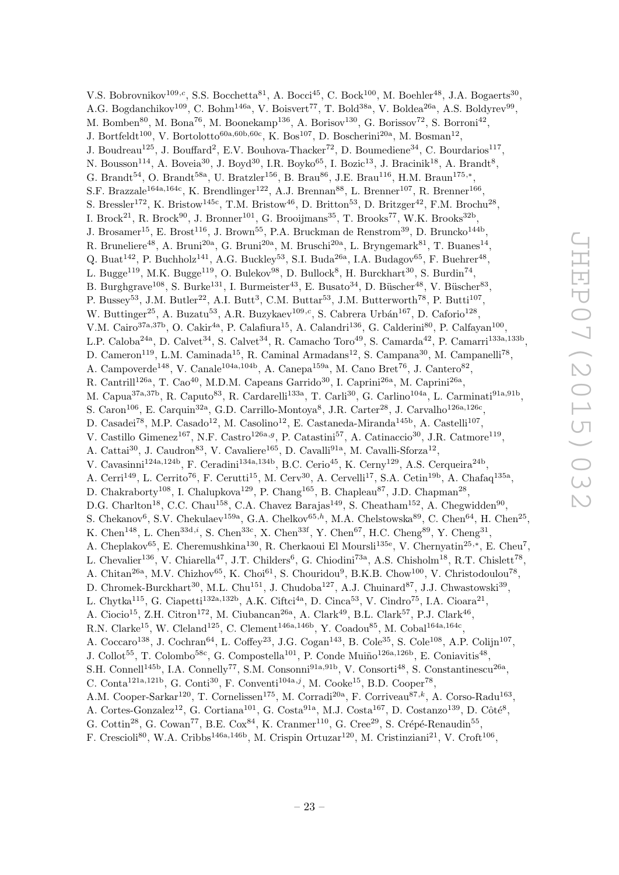V.S. Bobrovnikov<sup>109,c</sup>, S.S. Bocchetta<sup>81</sup>, A. Bocci<sup>45</sup>, C. Bock<sup>100</sup>, M. Boehler<sup>48</sup>, J.A. Bogaerts<sup>30</sup>, A.G. Bogdanchikov<sup>109</sup>, C. Bohm<sup>146a</sup>, V. Boisvert<sup>77</sup>, T. Bold<sup>38a</sup>, V. Boldea<sup>26a</sup>, A.S. Boldyrev<sup>99</sup>, M. Bomben<sup>80</sup>, M. Bona<sup>76</sup>, M. Boonekamp<sup>136</sup>, A. Borisov<sup>130</sup>, G. Borissov<sup>72</sup>, S. Borroni<sup>42</sup>, J. Bortfeldt<sup>100</sup>, V. Bortolotto<sup>60a,60b,60c</sup>, K. Bos<sup>107</sup>, D. Boscherini<sup>20a</sup>, M. Bosman<sup>12</sup>, J. Boudreau<sup>125</sup>, J. Bouffard<sup>2</sup>, E.V. Bouhova-Thacker<sup>72</sup>, D. Boumediene<sup>34</sup>, C. Bourdarios<sup>117</sup>, N. Bousson<sup>114</sup>, A. Boveia<sup>30</sup>, J. Boyd<sup>30</sup>, I.R. Boyko<sup>65</sup>, I. Bozic<sup>13</sup>, J. Bracinik<sup>18</sup>, A. Brandt<sup>8</sup>, G. Brandt<sup>54</sup>, O. Brandt<sup>58a</sup>, U. Bratzler<sup>156</sup>, B. Brau<sup>86</sup>, J.E. Brau<sup>116</sup>, H.M. Braun<sup>175,\*</sup>, S.F. Brazzale<sup>164a,164c</sup>, K. Brendlinger<sup>122</sup>, A.J. Brennan<sup>88</sup>, L. Brenner<sup>107</sup>, R. Brenner<sup>166</sup>, S. Bressler<sup>172</sup>, K. Bristow<sup>145c</sup>, T.M. Bristow<sup>46</sup>, D. Britton<sup>53</sup>, D. Britzger<sup>42</sup>, F.M. Brochu<sup>28</sup>, I. Brock<sup>21</sup>, R. Brock<sup>90</sup>, J. Bronner<sup>101</sup>, G. Brooijmans<sup>35</sup>, T. Brooks<sup>77</sup>, W.K. Brooks<sup>32b</sup>, J. Brosamer<sup>15</sup>, E. Brost<sup>116</sup>, J. Brown<sup>55</sup>, P.A. Bruckman de Renstrom<sup>39</sup>, D. Bruncko<sup>144b</sup>, R. Bruneliere<sup>48</sup>, A. Bruni<sup>20a</sup>, G. Bruni<sup>20a</sup>, M. Bruschi<sup>20a</sup>, L. Bryngemark<sup>81</sup>, T. Buanes<sup>14</sup>, Q. Buat<sup>142</sup>, P. Buchholz<sup>141</sup>, A.G. Buckley<sup>53</sup>, S.I. Buda<sup>26a</sup>, I.A. Budagov<sup>65</sup>, F. Buehrer<sup>48</sup>, L. Bugge<sup>119</sup>, M.K. Bugge<sup>119</sup>, O. Bulekov<sup>98</sup>, D. Bullock<sup>8</sup>, H. Burckhart<sup>30</sup>, S. Burdin<sup>74</sup>, B. Burghgrave<sup>108</sup>, S. Burke<sup>131</sup>, I. Burmeister<sup>43</sup>, E. Busato<sup>34</sup>, D. Büscher<sup>48</sup>, V. Büscher<sup>83</sup>, P. Bussey<sup>53</sup>, J.M. Butler<sup>22</sup>, A.I. Butt<sup>3</sup>, C.M. Buttar<sup>53</sup>, J.M. Butterworth<sup>78</sup>, P. Butti<sup>107</sup>, W. Buttinger<sup>25</sup>, A. Buzatu<sup>53</sup>, A.R. Buzykaev<sup>109,c</sup>, S. Cabrera Urbán<sup>167</sup>, D. Caforio<sup>128</sup>, V.M. Cairo<sup>37a,37b</sup>, O. Cakir<sup>4a</sup>, P. Calafiura<sup>15</sup>, A. Calandri<sup>136</sup>, G. Calderini<sup>80</sup>, P. Calfayan<sup>100</sup>, L.P. Caloba<sup>24a</sup>, D. Calvet<sup>34</sup>, S. Calvet<sup>34</sup>, R. Camacho Toro<sup>49</sup>, S. Camarda<sup>42</sup>, P. Camarri<sup>133a,133b</sup>, D. Cameron<sup>119</sup>, L.M. Caminada<sup>15</sup>, R. Caminal Armadans<sup>12</sup>, S. Campana<sup>30</sup>, M. Campanelli<sup>78</sup>, A. Campoverde<sup>148</sup>, V. Canale<sup>104a,104b</sup>, A. Canepa<sup>159a</sup>, M. Cano Bret<sup>76</sup>, J. Cantero<sup>82</sup>, R. Cantrill<sup>126a</sup>, T. Cao<sup>40</sup>, M.D.M. Capeans Garrido<sup>30</sup>, I. Caprini<sup>26a</sup>, M. Caprini<sup>26a</sup>, M. Capua<sup>37a,37b</sup>, R. Caputo<sup>83</sup>, R. Cardarelli<sup>133a</sup>, T. Carli<sup>30</sup>, G. Carlino<sup>104a</sup>, L. Carminati<sup>91a,91b</sup>, S. Caron<sup>106</sup>, E. Carquin<sup>32a</sup>, G.D. Carrillo-Montoya<sup>8</sup>, J.R. Carter<sup>28</sup>, J. Carvalho<sup>126a,126c</sup>, D. Casadei<sup>78</sup>, M.P. Casado<sup>12</sup>, M. Casolino<sup>12</sup>, E. Castaneda-Miranda<sup>145b</sup>, A. Castelli<sup>107</sup>, V. Castillo Gimenez<sup>167</sup>, N.F. Castro<sup>126a, g</sup>, P. Catastini<sup>57</sup>, A. Catinaccio<sup>30</sup>, J.R. Catmore<sup>119</sup>, A. Cattai<sup>30</sup>, J. Caudron<sup>83</sup>, V. Cavaliere<sup>165</sup>, D. Cavalli<sup>91a</sup>, M. Cavalli-Sforza<sup>12</sup>, V. Cavasinni<sup>124a,124b</sup>, F. Ceradini<sup>134a,134b</sup>, B.C. Cerio<sup>45</sup>, K. Cerny<sup>129</sup>, A.S. Cerqueira<sup>24b</sup>, A. Cerri<sup>149</sup>, L. Cerrito<sup>76</sup>, F. Cerutti<sup>15</sup>, M. Cerv<sup>30</sup>, A. Cervelli<sup>17</sup>, S.A. Cetin<sup>19b</sup>, A. Chafaq<sup>135a</sup>, D. Chakraborty<sup>108</sup>, I. Chalupkova<sup>129</sup>, P. Chang<sup>165</sup>, B. Chapleau<sup>87</sup>, J.D. Chapman<sup>28</sup>, D.G. Charlton<sup>18</sup>, C.C. Chau<sup>158</sup>, C.A. Chavez Barajas<sup>149</sup>, S. Cheatham<sup>152</sup>, A. Chegwidden<sup>90</sup>, S. Chekanov<sup>6</sup>, S.V. Chekulaev<sup>159a</sup>, G.A. Chelkov<sup>65,h</sup>, M.A. Chelstowska<sup>89</sup>, C. Chen<sup>64</sup>, H. Chen<sup>25</sup>, K. Chen<sup>148</sup>, L. Chen<sup>33d,i</sup>, S. Chen<sup>33c</sup>, X. Chen<sup>33f</sup>, Y. Chen<sup>67</sup>, H.C. Cheng<sup>89</sup>, Y. Cheng<sup>31</sup>, A. Cheplakov<sup>65</sup>, E. Cheremushkina<sup>130</sup>, R. Cherkaoui El Moursli<sup>135e</sup>, V. Chernyatin<sup>25,\*</sup>, E. Cheu<sup>7</sup>, L. Chevalier<sup>136</sup>, V. Chiarella<sup>47</sup>, J.T. Childers<sup>6</sup>, G. Chiodini<sup>73a</sup>, A.S. Chisholm<sup>18</sup>, R.T. Chislett<sup>78</sup>, A. Chitan<sup>26a</sup>, M.V. Chizhov<sup>65</sup>, K. Choi<sup>61</sup>, S. Chouridou<sup>9</sup>, B.K.B. Chow<sup>100</sup>, V. Christodoulou<sup>78</sup>, D. Chromek-Burckhart<sup>30</sup>, M.L. Chu<sup>151</sup>, J. Chudoba<sup>127</sup>, A.J. Chuinard<sup>87</sup>, J.J. Chwastowski<sup>39</sup>, L. Chytka<sup>115</sup>, G. Ciapetti<sup>132a,132b</sup>, A.K. Ciftci<sup>4a</sup>, D. Cinca<sup>53</sup>, V. Cindro<sup>75</sup>, I.A. Cioara<sup>21</sup>, A. Ciocio<sup>15</sup>, Z.H. Citron<sup>172</sup>, M. Ciubancan<sup>26a</sup>, A. Clark<sup>49</sup>, B.L. Clark<sup>57</sup>, P.J. Clark<sup>46</sup>, R.N. Clarke<sup>15</sup>, W. Cleland<sup>125</sup>, C. Clement<sup>146a,146b</sup>, Y. Coadou<sup>85</sup>, M. Cobal<sup>164a,164c</sup>, A. Coccaro<sup>138</sup>, J. Cochran<sup>64</sup>, L. Coffey<sup>23</sup>, J.G. Cogan<sup>143</sup>, B. Cole<sup>35</sup>, S. Cole<sup>108</sup>, A.P. Colijn<sup>107</sup>, J. Collot<sup>55</sup>, T. Colombo<sup>58c</sup>, G. Compostella<sup>101</sup>, P. Conde Muiño<sup>126a,126b</sup>, E. Coniavitis<sup>48</sup>, S.H. Connell<sup>145b</sup>, I.A. Connelly<sup>77</sup>, S.M. Consonni<sup>91a,91b</sup>, V. Consorti<sup>48</sup>, S. Constantinescu<sup>26a</sup>, C. Conta<sup>121a,121b</sup>, G. Conti<sup>30</sup>, F. Conventi<sup>104a,j</sup>, M. Cooke<sup>15</sup>, B.D. Cooper<sup>78</sup>, A.M. Cooper-Sarkar<sup>120</sup>, T. Cornelissen<sup>175</sup>, M. Corradi<sup>20a</sup>, F. Corriveau<sup>87,k</sup>, A. Corso-Radu<sup>163</sup>, A. Cortes-Gonzalez<sup>12</sup>, G. Cortiana<sup>101</sup>, G. Costa<sup>91a</sup>, M.J. Costa<sup>167</sup>, D. Costanzo<sup>139</sup>, D. Côté<sup>8</sup>,

G. Cottin<sup>28</sup>, G. Cowan<sup>77</sup>, B.E. Cox<sup>84</sup>, K. Cranmer<sup>110</sup>, G. Cree<sup>29</sup>, S. Crépé-Renaudin<sup>55</sup>,

F. Crescioli<sup>80</sup>, W.A. Cribbs<sup>146a,146b</sup>, M. Crispin Ortuzar<sup>120</sup>, M. Cristinziani<sup>21</sup>, V. Croft<sup>106</sup>,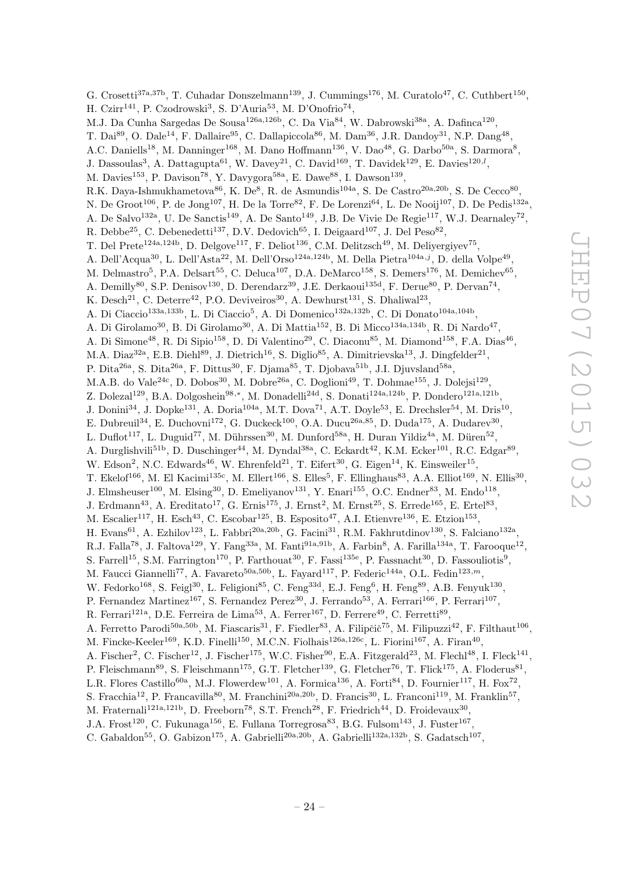G. Crosetti<sup>37a,37b</sup>, T. Cuhadar Donszelmann<sup>139</sup>, J. Cummings<sup>176</sup>, M. Curatolo<sup>47</sup>, C. Cuthbert<sup>150</sup>, H. Czirr<sup>141</sup>, P. Czodrowski<sup>3</sup>, S. D'Auria<sup>53</sup>, M. D'Onofrio<sup>74</sup>, M.J. Da Cunha Sargedas De Sousa<sup>126a,126b</sup>, C. Da Via<sup>84</sup>, W. Dabrowski<sup>38a</sup>, A. Dafinca<sup>120</sup>, T. Dai<sup>89</sup>, O. Dale<sup>14</sup>, F. Dallaire<sup>95</sup>, C. Dallapiccola<sup>86</sup>, M. Dam<sup>36</sup>, J.R. Dandoy<sup>31</sup>, N.P. Dang<sup>48</sup>, A.C. Daniells<sup>18</sup>, M. Danninger<sup>168</sup>, M. Dano Hoffmann<sup>136</sup>, V. Dao<sup>48</sup>, G. Darbo<sup>50a</sup>, S. Darmora<sup>8</sup>, J. Dassoulas<sup>3</sup>, A. Dattagupta<sup>61</sup>, W. Davey<sup>21</sup>, C. David<sup>169</sup>, T. Davidek<sup>129</sup>, E. Davies<sup>120,*l*</sup>, M. Davies<sup>153</sup>, P. Davison<sup>78</sup>, Y. Davygora<sup>58a</sup>, E. Dawe<sup>88</sup>, I. Dawson<sup>139</sup>, R.K. Daya-Ishmukhametova<sup>86</sup>, K. De<sup>8</sup>, R. de Asmundis<sup>104a</sup>, S. De Castro<sup>20a, 20b</sup>, S. De Cecco<sup>80</sup>, N. De Groot<sup>106</sup>, P. de Jong<sup>107</sup>, H. De la Torre<sup>82</sup>, F. De Lorenzi<sup>64</sup>, L. De Nooij<sup>107</sup>, D. De Pedis<sup>132a</sup>, A. De Salvo<sup>132a</sup>, U. De Sanctis<sup>149</sup>, A. De Santo<sup>149</sup>, J.B. De Vivie De Regie<sup>117</sup>, W.J. Dearnaley<sup>72</sup>, R. Debbe<sup>25</sup>, C. Debenedetti<sup>137</sup>, D.V. Dedovich<sup>65</sup>, I. Deigaard<sup>107</sup>, J. Del Peso<sup>82</sup>, T. Del Prete<sup>124a,124b</sup>, D. Delgove<sup>117</sup>, F. Deliot<sup>136</sup>, C.M. Delitzsch<sup>49</sup>, M. Deliyergiyev<sup>75</sup>, A. Dell'Acqua<sup>30</sup>, L. Dell'Asta<sup>22</sup>, M. Dell'Orso<sup>124a,124b</sup>, M. Della Pietra<sup>104a,j</sup>, D. della Volpe<sup>49</sup>, M. Delmastro<sup>5</sup>, P.A. Delsart<sup>55</sup>, C. Deluca<sup>107</sup>, D.A. DeMarco<sup>158</sup>, S. Demers<sup>176</sup>, M. Demichev<sup>65</sup>, A. Demilly<sup>80</sup>, S.P. Denisov<sup>130</sup>, D. Derendarz<sup>39</sup>, J.E. Derkaoui<sup>135d</sup>, F. Derue<sup>80</sup>, P. Dervan<sup>74</sup>, K. Desch<sup>21</sup>, C. Deterre<sup>42</sup>, P.O. Deviveiros<sup>30</sup>, A. Dewhurst<sup>131</sup>, S. Dhaliwal<sup>23</sup>, A. Di Ciaccio<sup>133a,133b</sup>, L. Di Ciaccio<sup>5</sup>, A. Di Domenico<sup>132a,132b</sup>, C. Di Donato<sup>104a,104b</sup>, A. Di Girolamo<sup>30</sup>, B. Di Girolamo<sup>30</sup>, A. Di Mattia<sup>152</sup>, B. Di Micco<sup>134a,134b</sup>, R. Di Nardo<sup>47</sup>, A. Di Simone<sup>48</sup>, R. Di Sipio<sup>158</sup>, D. Di Valentino<sup>29</sup>, C. Diaconu<sup>85</sup>, M. Diamond<sup>158</sup>, F.A. Dias<sup>46</sup>, M.A. Diaz<sup>32a</sup>, E.B. Diehl<sup>89</sup>, J. Dietrich<sup>16</sup>, S. Diglio<sup>85</sup>, A. Dimitrievska<sup>13</sup>, J. Dingfelder<sup>21</sup>, P. Dita<sup>26a</sup>, S. Dita<sup>26a</sup>, F. Dittus<sup>30</sup>, F. Djama<sup>85</sup>, T. Djobava<sup>51b</sup>, J.I. Djuvsland<sup>58a</sup>, M.A.B. do Vale<sup>24c</sup>, D. Dobos<sup>30</sup>, M. Dobre<sup>26a</sup>, C. Doglioni<sup>49</sup>, T. Dohmae<sup>155</sup>, J. Dolejsi<sup>129</sup>, Z. Dolezal<sup>129</sup>, B.A. Dolgoshein<sup>98,\*</sup>, M. Donadelli<sup>24d</sup>, S. Donati<sup>124a,124b</sup>, P. Dondero<sup>121a,121b</sup>, J. Donini<sup>34</sup>, J. Dopke<sup>131</sup>, A. Doria<sup>104a</sup>, M.T. Dova<sup>71</sup>, A.T. Doyle<sup>53</sup>, E. Drechsler<sup>54</sup>, M. Dris<sup>10</sup>, E. Dubreuil<sup>34</sup>, E. Duchovni<sup>172</sup>, G. Duckeck<sup>100</sup>, O.A. Ducu<sup>26a, 85</sup>, D. Duda<sup>175</sup>, A. Dudarev<sup>30</sup>, L. Duflot<sup>117</sup>, L. Duguid<sup>77</sup>, M. Dührssen<sup>30</sup>, M. Dunford<sup>58a</sup>, H. Duran Yildiz<sup>4a</sup>, M. Düren<sup>52</sup>, A. Durglishvili<sup>51b</sup>, D. Duschinger<sup>44</sup>, M. Dyndal<sup>38a</sup>, C. Eckardt<sup>42</sup>, K.M. Ecker<sup>101</sup>, R.C. Edgar<sup>89</sup>, W. Edson<sup>2</sup>, N.C. Edwards<sup>46</sup>, W. Ehrenfeld<sup>21</sup>, T. Eifert<sup>30</sup>, G. Eigen<sup>14</sup>, K. Einsweiler<sup>15</sup>, T. Ekelof<sup>166</sup>, M. El Kacimi<sup>135c</sup>, M. Ellert<sup>166</sup>, S. Elles<sup>5</sup>, F. Ellinghaus<sup>83</sup>, A.A. Elliot<sup>169</sup>, N. Ellis<sup>30</sup>, J. Elmsheuser<sup>100</sup>, M. Elsing<sup>30</sup>, D. Emeliyanov<sup>131</sup>, Y. Enari<sup>155</sup>, O.C. Endner<sup>83</sup>, M. Endo<sup>118</sup>, J. Erdmann<sup>43</sup>, A. Ereditato<sup>17</sup>, G. Ernis<sup>175</sup>, J. Ernst<sup>2</sup>, M. Ernst<sup>25</sup>, S. Errede<sup>165</sup>, E. Ertel<sup>83</sup>, M. Escalier<sup>117</sup>, H. Esch<sup>43</sup>, C. Escobar<sup>125</sup>, B. Esposito<sup>47</sup>, A.I. Etienvre<sup>136</sup>, E. Etzion<sup>153</sup>, H. Evans<sup>61</sup>, A. Ezhilov<sup>123</sup>, L. Fabbri<sup>20a, 20b</sup>, G. Facini<sup>31</sup>, R.M. Fakhrutdinov<sup>130</sup>, S. Falciano<sup>132a</sup>, R.J. Falla<sup>78</sup>, J. Faltova<sup>129</sup>, Y. Fang<sup>33a</sup>, M. Fanti<sup>91a,91b</sup>, A. Farbin<sup>8</sup>, A. Farilla<sup>134a</sup>, T. Farooque<sup>12</sup>, S. Farrell<sup>15</sup>, S.M. Farrington<sup>170</sup>, P. Farthouat<sup>30</sup>, F. Fassi<sup>135e</sup>, P. Fassnacht<sup>30</sup>, D. Fassouliotis<sup>9</sup>, M. Faucci Giannelli<sup>77</sup>, A. Favareto<sup>50a, 50b</sup>, L. Fayard<sup>117</sup>, P. Federic<sup>144a</sup>, O.L. Fedin<sup>123,*m*</sup>, W. Fedorko<sup>168</sup>, S. Feigl<sup>30</sup>, L. Feligioni<sup>85</sup>, C. Feng<sup>33d</sup>, E.J. Feng<sup>6</sup>, H. Feng<sup>89</sup>, A.B. Fenyuk<sup>130</sup>, P. Fernandez Martinez<sup>167</sup>, S. Fernandez Perez<sup>30</sup>, J. Ferrando<sup>53</sup>, A. Ferrari<sup>166</sup>, P. Ferrari<sup>107</sup>, R. Ferrari<sup>121a</sup>, D.E. Ferreira de Lima<sup>53</sup>, A. Ferrer<sup>167</sup>, D. Ferrere<sup>49</sup>, C. Ferretti<sup>89</sup>, A. Ferretto Parodi<sup>50a,50b</sup>, M. Fiascaris<sup>31</sup>, F. Fiedler<sup>83</sup>, A. Filipčič<sup>75</sup>, M. Filipuzzi<sup>42</sup>, F. Filthaut<sup>106</sup>, M. Fincke-Keeler<sup>169</sup>, K.D. Finelli<sup>150</sup>, M.C.N. Fiolhais<sup>126a,126c</sup>, L. Fiorini<sup>167</sup>, A. Firan<sup>40</sup>, A. Fischer<sup>2</sup>, C. Fischer<sup>12</sup>, J. Fischer<sup>175</sup>, W.C. Fisher<sup>90</sup>, E.A. Fitzgerald<sup>23</sup>, M. Flechl<sup>48</sup>, I. Fleck<sup>141</sup>, P. Fleischmann<sup>89</sup>, S. Fleischmann<sup>175</sup>, G.T. Fletcher<sup>139</sup>, G. Fletcher<sup>76</sup>, T. Flick<sup>175</sup>, A. Floderus<sup>81</sup>, L.R. Flores Castillo<sup>60a</sup>, M.J. Flowerdew<sup>101</sup>, A. Formica<sup>136</sup>, A. Forti<sup>84</sup>, D. Fournier<sup>117</sup>, H. Fox<sup>72</sup>, S. Fracchia<sup>12</sup>, P. Francavilla<sup>80</sup>, M. Franchini<sup>20a,20b</sup>, D. Francis<sup>30</sup>, L. Franconi<sup>119</sup>, M. Franklin<sup>57</sup>, M. Fraternali<sup>121a,121b</sup>, D. Freeborn<sup>78</sup>, S.T. French<sup>28</sup>, F. Friedrich<sup>44</sup>, D. Froidevaux<sup>30</sup>, J.A. Frost<sup>120</sup>, C. Fukunaga<sup>156</sup>, E. Fullana Torregrosa<sup>83</sup>, B.G. Fulsom<sup>143</sup>, J. Fuster<sup>167</sup>,

C. Gabaldon<sup>55</sup>, O. Gabizon<sup>175</sup>, A. Gabrielli<sup>20a, 20b</sup>, A. Gabrielli<sup>132a, 132b</sup>, S. Gadatsch<sup>107</sup>,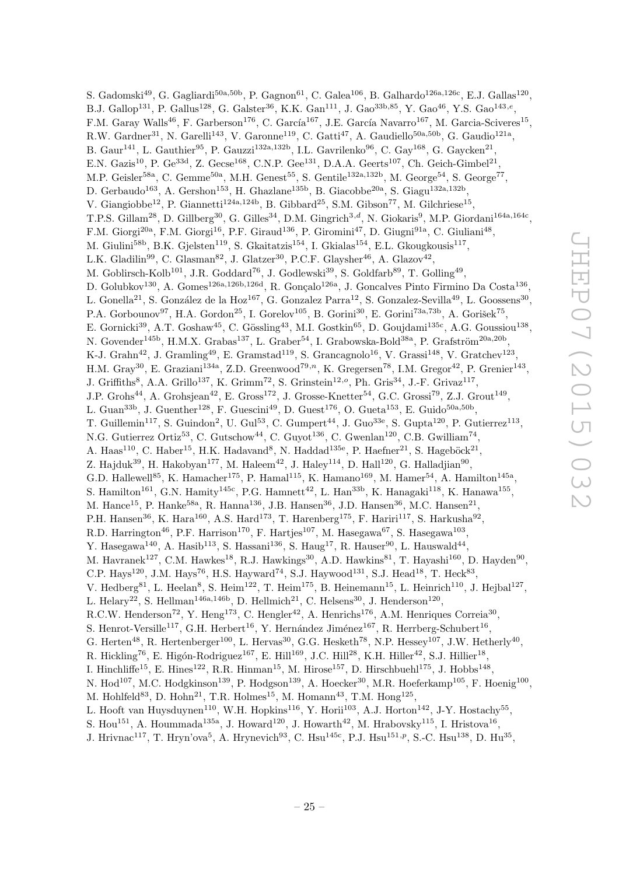S. Gadomski<sup>49</sup>, G. Gagliardi<sup>50a,50b</sup>, P. Gagnon<sup>61</sup>, C. Galea<sup>106</sup>, B. Galhardo<sup>126a,126c</sup>, E.J. Gallas<sup>120</sup>, B.J. Gallop<sup>131</sup>, P. Gallus<sup>128</sup>, G. Galster<sup>36</sup>, K.K. Gan<sup>111</sup>, J. Gao<sup>33b,85</sup>, Y. Gao<sup>46</sup>, Y.S. Gao<sup>143,e</sup>, F.M. Garay Walls<sup>46</sup>, F. Garberson<sup>176</sup>, C. García<sup>167</sup>, J.E. García Navarro<sup>167</sup>, M. Garcia-Sciveres<sup>15</sup>, R.W. Gardner<sup>31</sup>, N. Garelli<sup>143</sup>, V. Garonne<sup>119</sup>, C. Gatti<sup>47</sup>, A. Gaudiello<sup>50a,50b</sup>, G. Gaudio<sup>121a</sup>, B. Gaur<sup>141</sup>, L. Gauthier<sup>95</sup>, P. Gauzzi<sup>132a, 132b</sup>, I.L. Gavrilenko<sup>96</sup>, C. Gay<sup>168</sup>, G. Gaycken<sup>21</sup>, E.N. Gazis<sup>10</sup>, P. Ge<sup>33d</sup>, Z. Gecse<sup>168</sup>, C.N.P. Gee<sup>131</sup>, D.A.A. Geerts<sup>107</sup>, Ch. Geich-Gimbel<sup>21</sup>, M.P. Geisler<sup>58a</sup>, C. Gemme<sup>50a</sup>, M.H. Genest<sup>55</sup>, S. Gentile<sup>132a,132b</sup>, M. George<sup>54</sup>, S. George<sup>77</sup>, D. Gerbaudo<sup>163</sup>, A. Gershon<sup>153</sup>, H. Ghazlane<sup>135b</sup>, B. Giacobbe<sup>20a</sup>, S. Giagu<sup>132a,132b</sup>, V. Giangiobbe<sup>12</sup>, P. Giannetti<sup>124a,124b</sup>, B. Gibbard<sup>25</sup>, S.M. Gibson<sup>77</sup>, M. Gilchriese<sup>15</sup>, T.P.S. Gillam<sup>28</sup>, D. Gillberg<sup>30</sup>, G. Gilles<sup>34</sup>, D.M. Gingrich<sup>3,d</sup>, N. Giokaris<sup>9</sup>, M.P. Giordani<sup>164a,164c</sup>, F.M. Giorgi<sup>20a</sup>, F.M. Giorgi<sup>16</sup>, P.F. Giraud<sup>136</sup>, P. Giromini<sup>47</sup>, D. Giugni<sup>91a</sup>, C. Giuliani<sup>48</sup>, M. Giulini<sup>58b</sup>, B.K. Gjelsten<sup>119</sup>, S. Gkaitatzis<sup>154</sup>, I. Gkialas<sup>154</sup>, E.L. Gkougkousis<sup>117</sup>, L.K. Gladilin<sup>99</sup>, C. Glasman<sup>82</sup>, J. Glatzer<sup>30</sup>, P.C.F. Glaysher<sup>46</sup>, A. Glazov<sup>42</sup>, M. Goblirsch-Kolb<sup>101</sup>, J.R. Goddard<sup>76</sup>, J. Godlewski<sup>39</sup>, S. Goldfarb<sup>89</sup>, T. Golling<sup>49</sup>, D. Golubkov<sup>130</sup>, A. Gomes<sup>126a,126b,126d</sup>, R. Gonçalo<sup>126a</sup>, J. Goncalves Pinto Firmino Da Costa<sup>136</sup>, L. Gonella<sup>21</sup>, S. González de la Hoz<sup>167</sup>, G. Gonzalez Parra<sup>12</sup>, S. Gonzalez-Sevilla<sup>49</sup>, L. Goossens<sup>30</sup>, P.A. Gorbounov<sup>97</sup>, H.A. Gordon<sup>25</sup>, I. Gorelov<sup>105</sup>, B. Gorini<sup>30</sup>, E. Gorini<sup>73a,73b</sup>, A. Gorišek<sup>75</sup>, E. Gornicki<sup>39</sup>, A.T. Goshaw<sup>45</sup>, C. Gössling<sup>43</sup>, M.I. Gostkin<sup>65</sup>, D. Goujdami<sup>135c</sup>, A.G. Goussiou<sup>138</sup>, N. Govender<sup>145b</sup>, H.M.X. Grabas<sup>137</sup>, L. Graber<sup>54</sup>, I. Grabowska-Bold<sup>38a</sup>, P. Grafström<sup>20a,20b</sup>, K-J. Grahn<sup>42</sup>, J. Gramling<sup>49</sup>, E. Gramstad<sup>119</sup>, S. Grancagnolo<sup>16</sup>, V. Grassi<sup>148</sup>, V. Gratchev<sup>123</sup>, H.M. Gray<sup>30</sup>, E. Graziani<sup>134a</sup>, Z.D. Greenwood<sup>79,n</sup>, K. Gregersen<sup>78</sup>, I.M. Gregor<sup>42</sup>, P. Grenier<sup>143</sup>, J. Griffiths<sup>8</sup>, A.A. Grillo<sup>137</sup>, K. Grimm<sup>72</sup>, S. Grinstein<sup>12,0</sup>, Ph. Gris<sup>34</sup>, J.-F. Grivaz<sup>117</sup>, J.P. Grohs<sup>44</sup>, A. Grohsjean<sup>42</sup>, E. Gross<sup>172</sup>, J. Grosse-Knetter<sup>54</sup>, G.C. Grossi<sup>79</sup>, Z.J. Grout<sup>149</sup>, L. Guan<sup>33b</sup>, J. Guenther<sup>128</sup>, F. Guescini<sup>49</sup>, D. Guest<sup>176</sup>, O. Gueta<sup>153</sup>, E. Guido<sup>50a,50b</sup>, T. Guillemin<sup>117</sup>, S. Guindon<sup>2</sup>, U. Gul<sup>53</sup>, C. Gumpert<sup>44</sup>, J. Guo<sup>33e</sup>, S. Gupta<sup>120</sup>, P. Gutierrez<sup>113</sup>, N.G. Gutierrez Ortiz<sup>53</sup>, C. Gutschow<sup>44</sup>, C. Guyot<sup>136</sup>, C. Gwenlan<sup>120</sup>, C.B. Gwilliam<sup>74</sup>, A. Haas<sup>110</sup>, C. Haber<sup>15</sup>, H.K. Hadavand<sup>8</sup>, N. Haddad<sup>135e</sup>, P. Haefner<sup>21</sup>, S. Hageböck<sup>21</sup>, Z. Hajduk $^{39}$ , H. Hakobyan<sup>177</sup>, M. Haleem $^{42}$ , J. Haley $^{114}$ , D. Hall $^{120}$ , G. Halladjian $^{90}$ , G.D. Hallewell<sup>85</sup>, K. Hamacher<sup>175</sup>, P. Hamal<sup>115</sup>, K. Hamano<sup>169</sup>, M. Hamer<sup>54</sup>, A. Hamilton<sup>145a</sup>, S. Hamilton<sup>161</sup>, G.N. Hamity<sup>145c</sup>, P.G. Hamnett<sup>42</sup>, L. Han<sup>33b</sup>, K. Hanagaki<sup>118</sup>, K. Hanawa<sup>155</sup>, M. Hance<sup>15</sup>, P. Hanke<sup>58a</sup>, R. Hanna<sup>136</sup>, J.B. Hansen<sup>36</sup>, J.D. Hansen<sup>36</sup>, M.C. Hansen<sup>21</sup>, P.H. Hansen<sup>36</sup>, K. Hara<sup>160</sup>, A.S. Hard<sup>173</sup>, T. Harenberg<sup>175</sup>, F. Hariri<sup>117</sup>, S. Harkusha<sup>92</sup>, R.D. Harrington<sup>46</sup>, P.F. Harrison<sup>170</sup>, F. Hartjes<sup>107</sup>, M. Hasegawa<sup>67</sup>, S. Hasegawa<sup>103</sup>, Y. Hasegawa<sup>140</sup>, A. Hasib<sup>113</sup>, S. Hassani<sup>136</sup>, S. Haug<sup>17</sup>, R. Hauser<sup>90</sup>, L. Hauswald<sup>44</sup>, M. Havranek<sup>127</sup>, C.M. Hawkes<sup>18</sup>, R.J. Hawkings<sup>30</sup>, A.D. Hawkins<sup>81</sup>, T. Hayashi<sup>160</sup>, D. Hayden<sup>90</sup>, C.P. Hays<sup>120</sup>, J.M. Hays<sup>76</sup>, H.S. Hayward<sup>74</sup>, S.J. Haywood<sup>131</sup>, S.J. Head<sup>18</sup>, T. Heck<sup>83</sup>, V. Hedberg<sup>81</sup>, L. Heelan<sup>8</sup>, S. Heim<sup>122</sup>, T. Heim<sup>175</sup>, B. Heinemann<sup>15</sup>, L. Heinrich<sup>110</sup>, J. Hejbal<sup>127</sup>, L. Helary<sup>22</sup>, S. Hellman<sup>146a,146b</sup>, D. Hellmich<sup>21</sup>, C. Helsens<sup>30</sup>, J. Henderson<sup>120</sup>, R.C.W. Henderson<sup>72</sup>, Y. Heng<sup>173</sup>, C. Hengler<sup>42</sup>, A. Henrichs<sup>176</sup>, A.M. Henriques Correia<sup>30</sup>, S. Henrot-Versille<sup>117</sup>, G.H. Herbert<sup>16</sup>, Y. Hernández Jiménez<sup>167</sup>, R. Herrberg-Schubert<sup>16</sup>, G. Herten<sup>48</sup>, R. Hertenberger<sup>100</sup>, L. Hervas<sup>30</sup>, G.G. Hesketh<sup>78</sup>, N.P. Hessey<sup>107</sup>, J.W. Hetherly<sup>40</sup>, R. Hickling<sup>76</sup>, E. Higón-Rodriguez<sup>167</sup>, E. Hill<sup>169</sup>, J.C. Hill<sup>28</sup>, K.H. Hiller<sup>42</sup>, S.J. Hillier<sup>18</sup>, I. Hinchliffe<sup>15</sup>, E. Hines<sup>122</sup>, R.R. Hinman<sup>15</sup>, M. Hirose<sup>157</sup>, D. Hirschbuehl<sup>175</sup>, J. Hobbs<sup>148</sup>, N. Hod<sup>107</sup>, M.C. Hodgkinson<sup>139</sup>, P. Hodgson<sup>139</sup>, A. Hoecker<sup>30</sup>, M.R. Hoeferkamp<sup>105</sup>, F. Hoenig<sup>100</sup>, M. Hohlfeld<sup>83</sup>, D. Hohn<sup>21</sup>, T.R. Holmes<sup>15</sup>, M. Homann<sup>43</sup>, T.M. Hong<sup>125</sup>, L. Hooft van Huysduynen<sup>110</sup>, W.H. Hopkins<sup>116</sup>, Y. Horii<sup>103</sup>, A.J. Horton<sup>142</sup>, J-Y. Hostachy<sup>55</sup>, S. Hou<sup>151</sup>, A. Hoummada<sup>135a</sup>, J. Howard<sup>120</sup>, J. Howarth<sup>42</sup>, M. Hrabovsky<sup>115</sup>, I. Hristova<sup>16</sup>,

J. Hrivnac<sup>117</sup>, T. Hryn'ova<sup>5</sup>, A. Hrynevich<sup>93</sup>, C. Hsu<sup>145c</sup>, P.J. Hsu<sup>151,p</sup>, S.-C. Hsu<sup>138</sup>, D. Hu<sup>35</sup>,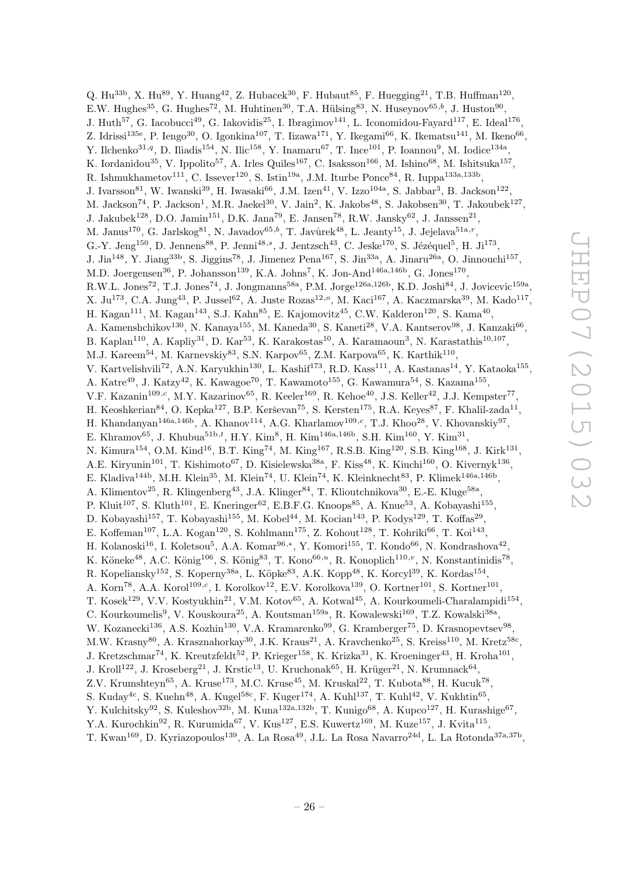Q. Hu<sup>33b</sup>, X. Hu<sup>89</sup>, Y. Huang<sup>42</sup>, Z. Hubacek<sup>30</sup>, F. Hubaut<sup>85</sup>, F. Huegging<sup>21</sup>, T.B. Huffman<sup>120</sup>, E.W. Hughes<sup>35</sup>, G. Hughes<sup>72</sup>, M. Huhtinen<sup>30</sup>, T.A. Hülsing<sup>83</sup>, N. Huseynov<sup>65,b</sup>, J. Huston<sup>90</sup>, J. Huth<sup>57</sup>, G. Iacobucci<sup>49</sup>, G. Iakovidis<sup>25</sup>, I. Ibragimov<sup>141</sup>, L. Iconomidou-Fayard<sup>117</sup>, E. Ideal<sup>176</sup>, Z. Idrissi<sup>135e</sup>, P. Iengo<sup>30</sup>, O. Igonkina<sup>107</sup>, T. Iizawa<sup>171</sup>, Y. Ikegami<sup>66</sup>, K. Ikematsu<sup>141</sup>, M. Ikeno<sup>66</sup>, Y. Ilchenko<sup>31,q</sup>, D. Iliadis<sup>154</sup>, N. Ilic<sup>158</sup>, Y. Inamaru<sup>67</sup>, T. Ince<sup>101</sup>, P. Ioannou<sup>9</sup>, M. Iodice<sup>134a</sup>, K. Iordanidou<sup>35</sup>, V. Ippolito<sup>57</sup>, A. Irles Quiles<sup>167</sup>, C. Isaksson<sup>166</sup>, M. Ishino<sup>68</sup>, M. Ishitsuka<sup>157</sup>, R. Ishmukhametov<sup>111</sup>, C. Issever<sup>120</sup>, S. Istin<sup>19a</sup>, J.M. Iturbe Ponce<sup>84</sup>, R. Iuppa<sup>133a,133b</sup>, J. Ivarsson $^{81}$ , W. Iwanski $^{39}$ , H. Iwasaki $^{66}$ , J.M. Izen $^{41}$ , V. Izzo<sup>104a</sup>, S. Jabbar<sup>3</sup>, B. Jackson<sup>122</sup>, M. Jackson<sup>74</sup>, P. Jackson<sup>1</sup>, M.R. Jaekel<sup>30</sup>, V. Jain<sup>2</sup>, K. Jakobs<sup>48</sup>, S. Jakobsen<sup>30</sup>, T. Jakoubek<sup>127</sup>, J. Jakubek<sup>128</sup>, D.O. Jamin<sup>151</sup>, D.K. Jana<sup>79</sup>, E. Jansen<sup>78</sup>, R.W. Jansky<sup>62</sup>, J. Janssen<sup>21</sup>, M. Janus<sup>170</sup>, G. Jarlskog<sup>81</sup>, N. Javadov<sup>65,b</sup>, T. Javůrek<sup>48</sup>, L. Jeanty<sup>15</sup>, J. Jejelava<sup>51a,r</sup>, G.-Y. Jeng<sup>150</sup>, D. Jennens<sup>88</sup>, P. Jenni<sup>48,s</sup>, J. Jentzsch<sup>43</sup>, C. Jeske<sup>170</sup>, S. Jézéquel<sup>5</sup>, H. Ji<sup>173</sup>, J. Jia<sup>148</sup>, Y. Jiang<sup>33b</sup>, S. Jiggins<sup>78</sup>, J. Jimenez Pena<sup>167</sup>, S. Jin<sup>33a</sup>, A. Jinaru<sup>26a</sup>, O. Jinnouchi<sup>157</sup>, M.D. Joergensen<sup>36</sup>, P. Johansson<sup>139</sup>, K.A. Johns<sup>7</sup>, K. Jon-And<sup>146a,146b</sup>, G. Jones<sup>170</sup>,  $R.W.L. Jones<sup>72</sup>, T.J. Jones<sup>74</sup>, J. Jongmanns<sup>58a</sup>, P.M. Jorge<sup>126a,126b</sup>, K.D. Joshi<sup>84</sup>, J. Jovicevic<sup>159a</sup>,$ X. Ju<sup>173</sup>, C.A. Jung<sup>43</sup>, P. Jussel<sup>62</sup>, A. Juste Rozas<sup>12,0</sup>, M. Kaci<sup>167</sup>, A. Kaczmarska<sup>39</sup>, M. Kado<sup>117</sup>, H. Kagan<sup>111</sup>, M. Kagan<sup>143</sup>, S.J. Kahn<sup>85</sup>, E. Kajomovitz<sup>45</sup>, C.W. Kalderon<sup>120</sup>, S. Kama<sup>40</sup>, A. Kamenshchikov<sup>130</sup>, N. Kanaya<sup>155</sup>, M. Kaneda<sup>30</sup>, S. Kaneti<sup>28</sup>, V.A. Kantserov<sup>98</sup>, J. Kanzaki<sup>66</sup>, B. Kaplan<sup>110</sup>, A. Kapliy<sup>31</sup>, D. Kar<sup>53</sup>, K. Karakostas<sup>10</sup>, A. Karamaoun<sup>3</sup>, N. Karastathis<sup>10,107</sup>, M.J. Kareem<sup>54</sup>, M. Karnevskiy<sup>83</sup>, S.N. Karpov<sup>65</sup>, Z.M. Karpova<sup>65</sup>, K. Karthik<sup>110</sup>, V. Kartvelishvili<sup>72</sup>, A.N. Karyukhin<sup>130</sup>, L. Kashif<sup>173</sup>, R.D. Kass<sup>111</sup>, A. Kastanas<sup>14</sup>, Y. Kataoka<sup>155</sup>, A. Katre<sup>49</sup>, J. Katzy<sup>42</sup>, K. Kawagoe<sup>70</sup>, T. Kawamoto<sup>155</sup>, G. Kawamura<sup>54</sup>, S. Kazama<sup>155</sup>, V.F. Kazanin<sup>109,c</sup>, M.Y. Kazarinov<sup>65</sup>, R. Keeler<sup>169</sup>, R. Kehoe<sup>40</sup>, J.S. Keller<sup>42</sup>, J.J. Kempster<sup>77</sup>, H. Keoshkerian<sup>84</sup>, O. Kepka<sup>127</sup>, B.P. Kerševan<sup>75</sup>, S. Kersten<sup>175</sup>, R.A. Keyes<sup>87</sup>, F. Khalil-zada<sup>11</sup>, H. Khandanyan<sup>146a,146b</sup>, A. Khanov<sup>114</sup>, A.G. Kharlamov<sup>109,c</sup>, T.J. Khoo<sup>28</sup>, V. Khovanskiy<sup>97</sup>, E. Khramov<sup>65</sup>, J. Khubua<sup>51b,t</sup>, H.Y. Kim<sup>8</sup>, H. Kim<sup>146a,146b</sup>, S.H. Kim<sup>160</sup>, Y. Kim<sup>31</sup>, N. Kimura<sup>154</sup>, O.M. Kind<sup>16</sup>, B.T. King<sup>74</sup>, M. King<sup>167</sup>, R.S.B. King<sup>120</sup>, S.B. King<sup>168</sup>, J. Kirk<sup>131</sup>, A.E. Kiryunin<sup>101</sup>, T. Kishimoto<sup>67</sup>, D. Kisielewska<sup>38a</sup>, F. Kiss<sup>48</sup>, K. Kiuchi<sup>160</sup>, O. Kivernyk<sup>136</sup>, E. Kladiva<sup>144b</sup>, M.H. Klein<sup>35</sup>, M. Klein<sup>74</sup>, U. Klein<sup>74</sup>, K. Kleinknecht<sup>83</sup>, P. Klimek<sup>146a,146b</sup>, A. Klimentov<sup>25</sup>, R. Klingenberg<sup>43</sup>, J.A. Klinger<sup>84</sup>, T. Klioutchnikova<sup>30</sup>, E.-E. Kluge<sup>58a</sup>, P. Kluit<sup>107</sup>, S. Kluth<sup>101</sup>, E. Kneringer<sup>62</sup>, E.B.F.G. Knoops<sup>85</sup>, A. Knue<sup>53</sup>, A. Kobayashi<sup>155</sup>, D. Kobayashi<sup>157</sup>, T. Kobayashi<sup>155</sup>, M. Kobel<sup>44</sup>, M. Kocian<sup>143</sup>, P. Kodys<sup>129</sup>, T. Koffas<sup>29</sup>, E. Koffeman<sup>107</sup>, L.A. Kogan<sup>120</sup>, S. Kohlmann<sup>175</sup>, Z. Kohout<sup>128</sup>, T. Kohriki<sup>66</sup>, T. Koi<sup>143</sup>, H. Kolanoski<sup>16</sup>, I. Koletsou<sup>5</sup>, A.A. Komar<sup>96,\*</sup>, Y. Komori<sup>155</sup>, T. Kondo<sup>66</sup>, N. Kondrashova<sup>42</sup>, K. Köneke<sup>48</sup>, A.C. König<sup>106</sup>, S. König<sup>83</sup>, T. Kono<sup>66,*u*</sup>, R. Konoplich<sup>110,*v*</sup>, N. Konstantinidis<sup>78</sup>, R. Kopeliansky<sup>152</sup>, S. Koperny<sup>38a</sup>, L. Köpke<sup>83</sup>, A.K. Kopp<sup>48</sup>, K. Korcyl<sup>39</sup>, K. Kordas<sup>154</sup>, A. Korn<sup>78</sup>, A.A. Korol<sup>109,c</sup>, I. Korolkov<sup>12</sup>, E.V. Korolkova<sup>139</sup>, O. Kortner<sup>101</sup>, S. Kortner<sup>101</sup>, T. Kosek<sup>129</sup>, V.V. Kostyukhin<sup>21</sup>, V.M. Kotov<sup>65</sup>, A. Kotwal<sup>45</sup>, A. Kourkoumeli-Charalampidi<sup>154</sup>, C. Kourkoumelis<sup>9</sup>, V. Kouskoura<sup>25</sup>, A. Koutsman<sup>159a</sup>, R. Kowalewski<sup>169</sup>, T.Z. Kowalski<sup>38a</sup>, W. Kozanecki<sup>136</sup>, A.S. Kozhin<sup>130</sup>, V.A. Kramarenko<sup>99</sup>, G. Kramberger<sup>75</sup>, D. Krasnopevtsev<sup>98</sup>, M.W. Krasny<sup>80</sup>, A. Krasznahorkay<sup>30</sup>, J.K. Kraus<sup>21</sup>, A. Kravchenko<sup>25</sup>, S. Kreiss<sup>110</sup>, M. Kretz<sup>58c</sup>, J. Kretzschmar<sup>74</sup>, K. Kreutzfeldt<sup>52</sup>, P. Krieger<sup>158</sup>, K. Krizka<sup>31</sup>, K. Kroeninger<sup>43</sup>, H. Kroha<sup>101</sup>, J. Kroll<sup>122</sup>, J. Kroseberg<sup>21</sup>, J. Krstic<sup>13</sup>, U. Kruchonak<sup>65</sup>, H. Krüger<sup>21</sup>, N. Krumnack<sup>64</sup>, Z.V. Krumshteyn<sup>65</sup>, A. Kruse<sup>173</sup>, M.C. Kruse<sup>45</sup>, M. Kruskal<sup>22</sup>, T. Kubota<sup>88</sup>, H. Kucuk<sup>78</sup>, S. Kuday<sup>4c</sup>, S. Kuehn<sup>48</sup>, A. Kugel<sup>58c</sup>, F. Kuger<sup>174</sup>, A. Kuhl<sup>137</sup>, T. Kuhl<sup>42</sup>, V. Kukhtin<sup>65</sup>, Y. Kulchitsky<sup>92</sup>, S. Kuleshov<sup>32b</sup>, M. Kuna<sup>132a,132b</sup>, T. Kunigo<sup>68</sup>, A. Kupco<sup>127</sup>, H. Kurashige<sup>67</sup>,

Y.A. Kurochkin<sup>92</sup>, R. Kurumida<sup>67</sup>, V. Kus<sup>127</sup>, E.S. Kuwertz<sup>169</sup>, M. Kuze<sup>157</sup>, J. Kvita<sup>115</sup>, T. Kwan<sup>169</sup>, D. Kyriazopoulos<sup>139</sup>, A. La Rosa<sup>49</sup>, J.L. La Rosa Navarro<sup>24d</sup>, L. La Rotonda<sup>37a,37b</sup>,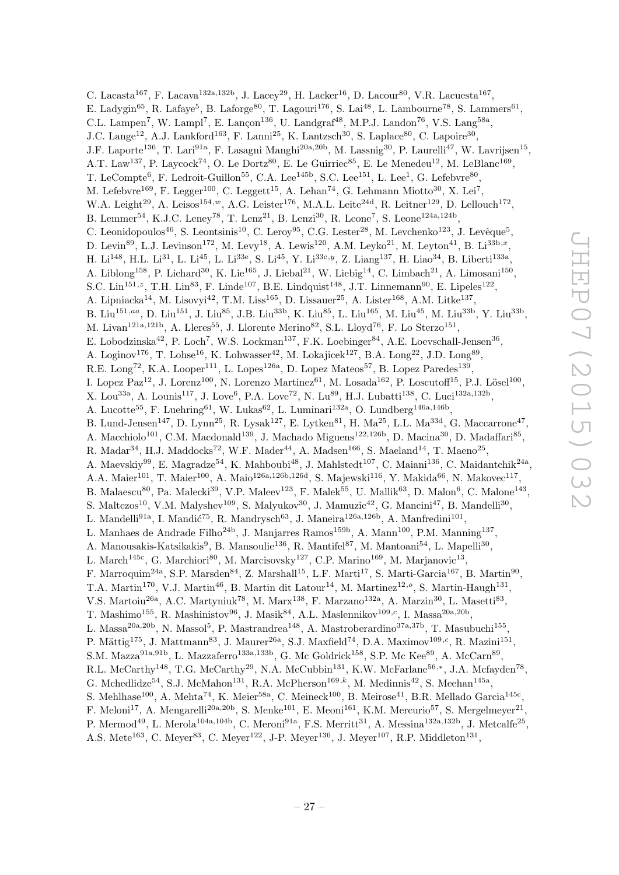C. Lacasta<sup>167</sup>, F. Lacava<sup>132a,132b</sup>, J. Lacey<sup>29</sup>, H. Lacker<sup>16</sup>, D. Lacour<sup>80</sup>, V.R. Lacuesta<sup>167</sup>, E. Ladygin<sup>65</sup>, R. Lafaye<sup>5</sup>, B. Laforge<sup>80</sup>, T. Lagouri<sup>176</sup>, S. Lai<sup>48</sup>, L. Lambourne<sup>78</sup>, S. Lammers<sup>61</sup>, C.L. Lampen<sup>7</sup>, W. Lampl<sup>7</sup>, E. Lançon<sup>136</sup>, U. Landgraf<sup>48</sup>, M.P.J. Landon<sup>76</sup>, V.S. Lang<sup>58a</sup>, J.C. Lange<sup>12</sup>, A.J. Lankford<sup>163</sup>, F. Lanni<sup>25</sup>, K. Lantzsch<sup>30</sup>, S. Laplace<sup>80</sup>, C. Lapoire<sup>30</sup>, J.F. Laporte<sup>136</sup>, T. Lari<sup>91a</sup>, F. Lasagni Manghi<sup>20a,20b</sup>, M. Lassnig<sup>30</sup>, P. Laurelli<sup>47</sup>, W. Lavrijsen<sup>15</sup>, A.T. Law<sup>137</sup>, P. Laycock<sup>74</sup>, O. Le Dortz<sup>80</sup>, E. Le Guirriec<sup>85</sup>, E. Le Menedeu<sup>12</sup>, M. LeBlanc<sup>169</sup>, T. LeCompte<sup>6</sup>, F. Ledroit-Guillon<sup>55</sup>, C.A. Lee<sup>145b</sup>, S.C. Lee<sup>151</sup>, L. Lee<sup>1</sup>, G. Lefebvre<sup>80</sup>, M. Lefebvre<sup>169</sup>, F. Legger<sup>100</sup>, C. Leggett<sup>15</sup>, A. Lehan<sup>74</sup>, G. Lehmann Miotto<sup>30</sup>, X. Lei<sup>7</sup>, W.A. Leight<sup>29</sup>, A. Leisos<sup>154,w</sup>, A.G. Leister<sup>176</sup>, M.A.L. Leite<sup>24d</sup>, R. Leitner<sup>129</sup>, D. Lellouch<sup>172</sup>, B. Lemmer<sup>54</sup>, K.J.C. Leney<sup>78</sup>, T. Lenz<sup>21</sup>, B. Lenzi<sup>30</sup>, R. Leone<sup>7</sup>, S. Leone<sup>124a,124b</sup>, C. Leonidopoulos<sup>46</sup>, S. Leontsinis<sup>10</sup>, C. Leroy<sup>95</sup>, C.G. Lester<sup>28</sup>, M. Levchenko<sup>123</sup>, J. Levêque<sup>5</sup>, D. Levin<sup>89</sup>, L.J. Levinson<sup>172</sup>, M. Levy<sup>18</sup>, A. Lewis<sup>120</sup>, A.M. Leyko<sup>21</sup>, M. Leyton<sup>41</sup>, B. Li<sup>33b,x</sup>, H. Li<sup>148</sup>, H.L. Li<sup>31</sup>, L. Li<sup>45</sup>, L. Li<sup>33e</sup>, S. Li<sup>45</sup>, Y. Li<sup>33c,y</sup>, Z. Liang<sup>137</sup>, H. Liao<sup>34</sup>, B. Liberti<sup>133a</sup>, A. Liblong<sup>158</sup>, P. Lichard<sup>30</sup>, K. Lie<sup>165</sup>, J. Liebal<sup>21</sup>, W. Liebig<sup>14</sup>, C. Limbach<sup>21</sup>, A. Limosani<sup>150</sup>, S.C. Lin<sup>151,z</sup>, T.H. Lin<sup>83</sup>, F. Linde<sup>107</sup>, B.E. Lindquist<sup>148</sup>, J.T. Linnemann<sup>90</sup>, E. Lipeles<sup>122</sup>, A. Lipniacka<sup>14</sup>, M. Lisovyi<sup>42</sup>, T.M. Liss<sup>165</sup>, D. Lissauer<sup>25</sup>, A. Lister<sup>168</sup>, A.M. Litke<sup>137</sup>, B. Liu<sup>151,aa</sup>, D. Liu<sup>151</sup>, J. Liu<sup>85</sup>, J.B. Liu<sup>33b</sup>, K. Liu<sup>85</sup>, L. Liu<sup>165</sup>, M. Liu<sup>45</sup>, M. Liu<sup>33b</sup>, Y. Liu<sup>33b</sup>, M. Livan<sup>121a,121b</sup>, A. Lleres<sup>55</sup>, J. Llorente Merino<sup>82</sup>, S.L. Lloyd<sup>76</sup>, F. Lo Sterzo<sup>151</sup>, E. Lobodzinska<sup>42</sup>, P. Loch<sup>7</sup>, W.S. Lockman<sup>137</sup>, F.K. Loebinger<sup>84</sup>, A.E. Loevschall-Jensen<sup>36</sup>, A. Loginov<sup>176</sup>, T. Lohse<sup>16</sup>, K. Lohwasser<sup>42</sup>, M. Lokajicek<sup>127</sup>, B.A. Long<sup>22</sup>, J.D. Long<sup>89</sup>, R.E. Long<sup>72</sup>, K.A. Looper<sup>111</sup>, L. Lopes<sup>126a</sup>, D. Lopez Mateos<sup>57</sup>, B. Lopez Paredes<sup>139</sup>, I. Lopez Paz<sup>12</sup>, J. Lorenz<sup>100</sup>, N. Lorenzo Martinez<sup>61</sup>, M. Losada<sup>162</sup>, P. Loscutoff<sup>15</sup>, P.J. Lösel<sup>100</sup>, X. Lou<sup>33a</sup>, A. Lounis<sup>117</sup>, J. Love<sup>6</sup>, P.A. Love<sup>72</sup>, N. Lu<sup>89</sup>, H.J. Lubatti<sup>138</sup>, C. Luci<sup>132a,132b</sup>, A. Lucotte<sup>55</sup>, F. Luehring<sup>61</sup>, W. Lukas<sup>62</sup>, L. Luminari<sup>132a</sup>, O. Lundberg<sup>146a,146b</sup>, B. Lund-Jensen<sup>147</sup>, D. Lynn<sup>25</sup>, R. Lysak<sup>127</sup>, E. Lytken<sup>81</sup>, H. Ma<sup>25</sup>, L.L. Ma<sup>33d</sup>, G. Maccarrone<sup>47</sup>, A. Macchiolo<sup>101</sup>, C.M. Macdonald<sup>139</sup>, J. Machado Miguens<sup>122,126b</sup>, D. Macina<sup>30</sup>, D. Madaffari<sup>85</sup>, R. Madar<sup>34</sup>, H.J. Maddocks<sup>72</sup>, W.F. Mader<sup>44</sup>, A. Madsen<sup>166</sup>, S. Maeland<sup>14</sup>, T. Maeno<sup>25</sup>, A. Maevskiy<sup>99</sup>, E. Magradze<sup>54</sup>, K. Mahboubi<sup>48</sup>, J. Mahlstedt<sup>107</sup>, C. Maiani<sup>136</sup>, C. Maidantchik<sup>24a</sup>, A.A. Maier<sup>101</sup>, T. Maier<sup>100</sup>, A. Maio<sup>126a,126b,126d</sup>, S. Majewski<sup>116</sup>, Y. Makida<sup>66</sup>, N. Makovec<sup>117</sup>, B. Malaescu<sup>80</sup>, Pa. Malecki<sup>39</sup>, V.P. Maleev<sup>123</sup>, F. Malek<sup>55</sup>, U. Mallik<sup>63</sup>, D. Malon<sup>6</sup>, C. Malone<sup>143</sup>, S. Maltezos<sup>10</sup>, V.M. Malyshev<sup>109</sup>, S. Malyukov<sup>30</sup>, J. Mamuzic<sup>42</sup>, G. Mancini<sup>47</sup>, B. Mandelli<sup>30</sup>, L. Mandelli<sup>91a</sup>, I. Mandić<sup>75</sup>, R. Mandrysch<sup>63</sup>, J. Maneira<sup>126a,126b</sup>, A. Manfredini<sup>101</sup>, L. Manhaes de Andrade Filho<sup>24b</sup>, J. Manjarres Ramos<sup>159b</sup>, A. Mann<sup>100</sup>, P.M. Manning<sup>137</sup>, A. Manousakis-Katsikakis<sup>9</sup>, B. Mansoulie<sup>136</sup>, R. Mantifel<sup>87</sup>, M. Mantoani<sup>54</sup>, L. Mapelli<sup>30</sup>, L. March<sup>145c</sup>, G. Marchiori<sup>80</sup>, M. Marcisovsky<sup>127</sup>, C.P. Marino<sup>169</sup>, M. Marjanovic<sup>13</sup>, F. Marroquim<sup>24a</sup>, S.P. Marsden<sup>84</sup>, Z. Marshall<sup>15</sup>, L.F. Marti<sup>17</sup>, S. Marti-Garcia<sup>167</sup>, B. Martin<sup>90</sup>, T.A. Martin<sup>170</sup>, V.J. Martin<sup>46</sup>, B. Martin dit Latour<sup>14</sup>, M. Martinez<sup>12,0</sup>, S. Martin-Haugh<sup>131</sup>, V.S. Martoiu<sup>26a</sup>, A.C. Martyniuk<sup>78</sup>, M. Marx<sup>138</sup>, F. Marzano<sup>132a</sup>, A. Marzin<sup>30</sup>, L. Masetti<sup>83</sup>, T. Mashimo<sup>155</sup>, R. Mashinistov<sup>96</sup>, J. Masik<sup>84</sup>, A.L. Maslennikov<sup>109,*c*</sup>, I. Massa<sup>20a,20b</sup>, L. Massa<sup>20a,20b</sup>, N. Massol<sup>5</sup>, P. Mastrandrea<sup>148</sup>, A. Mastroberardino<sup>37a,37b</sup>, T. Masubuchi<sup>155</sup>, P. Mättig<sup>175</sup>, J. Mattmann<sup>83</sup>, J. Maurer<sup>26a</sup>, S.J. Maxfield<sup>74</sup>, D.A. Maximov<sup>109,c</sup>, R. Mazini<sup>151</sup>, S.M. Mazza<sup>91a,91b</sup>, L. Mazzaferro<sup>133a,133b</sup>, G. Mc Goldrick<sup>158</sup>, S.P. Mc Kee<sup>89</sup>, A. McCarn<sup>89</sup>, R.L. McCarthy<sup>148</sup>, T.G. McCarthy<sup>29</sup>, N.A. McCubbin<sup>131</sup>, K.W. McFarlane<sup>56,\*</sup>, J.A. Mcfayden<sup>78</sup>, G. Mchedlidze<sup>54</sup>, S.J. McMahon<sup>131</sup>, R.A. McPherson<sup>169,k</sup>, M. Medinnis<sup>42</sup>, S. Meehan<sup>145a</sup>, S. Mehlhase<sup>100</sup>, A. Mehta<sup>74</sup>, K. Meier<sup>58a</sup>, C. Meineck<sup>100</sup>, B. Meirose<sup>41</sup>, B.R. Mellado Garcia<sup>145c</sup>, F. Meloni<sup>17</sup>, A. Mengarelli<sup>20a, 20b</sup>, S. Menke<sup>101</sup>, E. Meoni<sup>161</sup>, K.M. Mercurio<sup>57</sup>, S. Mergelmeyer<sup>21</sup>,

P. Mermod<sup>49</sup>, L. Merola<sup>104a,104b</sup>, C. Meroni<sup>91a</sup>, F.S. Merritt<sup>31</sup>, A. Messina<sup>132a,132b</sup>, J. Metcalfe<sup>25</sup>, A.S. Mete<sup>163</sup>, C. Meyer<sup>83</sup>, C. Meyer<sup>122</sup>, J-P. Meyer<sup>136</sup>, J. Meyer<sup>107</sup>, R.P. Middleton<sup>131</sup>,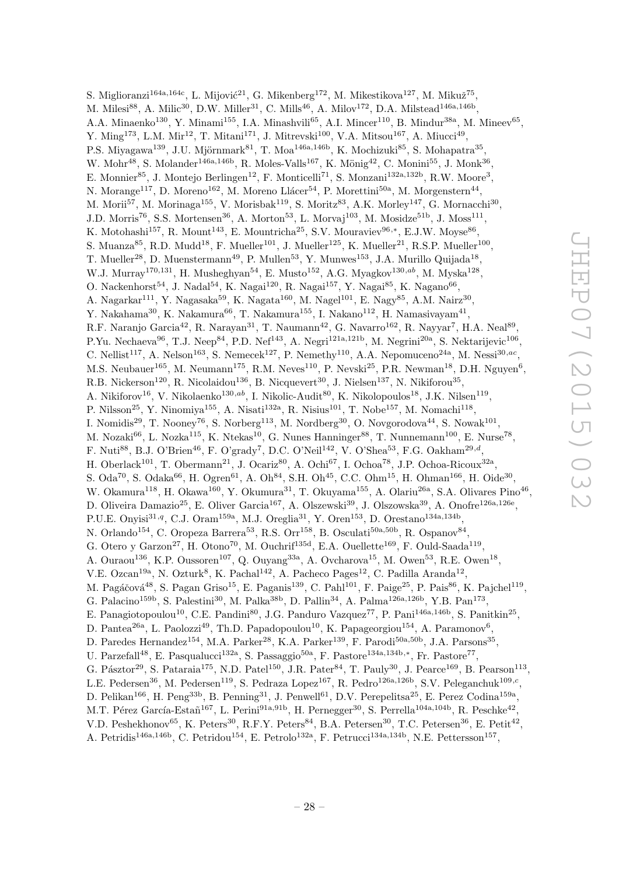S. Miglioranzi<sup>164a,164c</sup>, L. Mijović<sup>21</sup>, G. Mikenberg<sup>172</sup>, M. Mikestikova<sup>127</sup>, M. Mikuž<sup>75</sup>, M. Milesi $^{88}$ , A. Milic $^{30}$ , D.W. Miller $^{31}$ , C. Mills $^{46}$ , A. Milov $^{172}$ , D.A. Milstead $^{146a,146b}$ , A.A. Minaenko<sup>130</sup>, Y. Minami<sup>155</sup>, I.A. Minashvili<sup>65</sup>, A.I. Mincer<sup>110</sup>, B. Mindur<sup>38a</sup>, M. Mineev<sup>65</sup>, Y. Ming<sup>173</sup>, L.M. Mir<sup>12</sup>, T. Mitani<sup>171</sup>, J. Mitrevski<sup>100</sup>, V.A. Mitsou<sup>167</sup>, A. Miucci<sup>49</sup>, P.S. Miyagawa<sup>139</sup>, J.U. Mjörnmark<sup>81</sup>, T. Moa<sup>146a,146b</sup>, K. Mochizuki<sup>85</sup>, S. Mohapatra<sup>35</sup>, W. Mohr<sup>48</sup>, S. Molander<sup>146a,146b</sup>, R. Moles-Valls<sup>167</sup>, K. Mönig<sup>42</sup>, C. Monini<sup>55</sup>, J. Monk<sup>36</sup>, E. Monnier<sup>85</sup>, J. Montejo Berlingen<sup>12</sup>, F. Monticelli<sup>71</sup>, S. Monzani<sup>132a,132b</sup>, R.W. Moore<sup>3</sup>, N. Morange<sup>117</sup>, D. Moreno<sup>162</sup>, M. Moreno Llácer<sup>54</sup>, P. Morettini<sup>50a</sup>, M. Morgenstern<sup>44</sup>, M. Morii<sup>57</sup>, M. Morinaga<sup>155</sup>, V. Morisbak<sup>119</sup>, S. Moritz<sup>83</sup>, A.K. Morley<sup>147</sup>, G. Mornacchi<sup>30</sup>, J.D. Morris<sup>76</sup>, S.S. Mortensen<sup>36</sup>, A. Morton<sup>53</sup>, L. Morvaj<sup>103</sup>, M. Mosidze<sup>51b</sup>, J. Moss<sup>111</sup>, K. Motohashi<sup>157</sup>, R. Mount<sup>143</sup>, E. Mountricha<sup>25</sup>, S.V. Mouraviev<sup>96,\*</sup>, E.J.W. Moyse<sup>86</sup>, S. Muanza<sup>85</sup>, R.D. Mudd<sup>18</sup>, F. Mueller<sup>101</sup>, J. Mueller<sup>125</sup>, K. Mueller<sup>21</sup>, R.S.P. Mueller<sup>100</sup>, T. Mueller<sup>28</sup>, D. Muenstermann<sup>49</sup>, P. Mullen<sup>53</sup>, Y. Munwes<sup>153</sup>, J.A. Murillo Quijada<sup>18</sup>, W.J. Murray<sup>170,131</sup>, H. Musheghyan<sup>54</sup>, E. Musto<sup>152</sup>, A.G. Myagkov<sup>130,ab</sup>, M. Myska<sup>128</sup>, O. Nackenhorst $^{54}$ , J. Nadal $^{54}$ , K. Nagai $^{120}$ , R. Nagai $^{157}$ , Y. Nagai $^{85}$ , K. Nagano $^{66}$ , A. Nagarkar $^{111}$ , Y. Nagasaka $^{59}$ , K. Nagata $^{160}$ , M. Nagel $^{101}$ , E. Nagy $^{85}$ , A.M. Nairz $^{30}$ , Y. Nakahama $^{30}$ , K. Nakamura $^{66}$ , T. Nakamura $^{155}$ , I. Nakano $^{112}$ , H. Namasivayam $^{41}$ , R.F. Naranjo Garcia<sup>42</sup>, R. Narayan<sup>31</sup>, T. Naumann<sup>42</sup>, G. Navarro<sup>162</sup>, R. Nayyar<sup>7</sup>, H.A. Neal<sup>89</sup>, P.Yu. Nechaeva<sup>96</sup>, T.J. Neep<sup>84</sup>, P.D. Nef<sup>143</sup>, A. Negri<sup>121a,121b</sup>, M. Negrini<sup>20a</sup>, S. Nektarijevic<sup>106</sup>, C. Nellist<sup>117</sup>, A. Nelson<sup>163</sup>, S. Nemecek<sup>127</sup>, P. Nemethy<sup>110</sup>, A.A. Nepomuceno<sup>24a</sup>, M. Nessi<sup>30,ac</sup>, M.S. Neubauer<sup>165</sup>, M. Neumann<sup>175</sup>, R.M. Neves<sup>110</sup>, P. Nevski<sup>25</sup>, P.R. Newman<sup>18</sup>, D.H. Nguyen<sup>6</sup>, R.B. Nickerson<sup>120</sup>, R. Nicolaidou<sup>136</sup>, B. Nicquevert<sup>30</sup>, J. Nielsen<sup>137</sup>, N. Nikiforou<sup>35</sup>, A. Nikiforov<sup>16</sup>, V. Nikolaenko<sup>130,ab</sup>, I. Nikolic-Audit<sup>80</sup>, K. Nikolopoulos<sup>18</sup>, J.K. Nilsen<sup>119</sup>, P. Nilsson<sup>25</sup>, Y. Ninomiya<sup>155</sup>, A. Nisati<sup>132a</sup>, R. Nisius<sup>101</sup>, T. Nobe<sup>157</sup>, M. Nomachi<sup>118</sup>, I. Nomidis<sup>29</sup>, T. Nooney<sup>76</sup>, S. Norberg<sup>113</sup>, M. Nordberg<sup>30</sup>, O. Novgorodova<sup>44</sup>, S. Nowak<sup>101</sup>, M. Nozaki $^{66}$ , L. Nozka $^{115}$ , K. Ntekas $^{10}$ , G. Nunes Hanninger $^{88}$ , T. Nunnemann $^{100}$ , E. Nurse<sup>78</sup>, F. Nuti<sup>88</sup>, B.J. O'Brien<sup>46</sup>, F. O'grady<sup>7</sup>, D.C. O'Neil<sup>142</sup>, V. O'Shea<sup>53</sup>, F.G. Oakham<sup>29,d</sup>, H. Oberlack<sup>101</sup>, T. Obermann<sup>21</sup>, J. Ocariz<sup>80</sup>, A. Ochi<sup>67</sup>, I. Ochoa<sup>78</sup>, J.P. Ochoa-Ricoux<sup>32a</sup>, S. Oda<sup>70</sup>, S. Odaka<sup>66</sup>, H. Ogren<sup>61</sup>, A. Oh<sup>84</sup>, S.H. Oh<sup>45</sup>, C.C. Ohm<sup>15</sup>, H. Ohman<sup>166</sup>, H. Oide<sup>30</sup>, W. Okamura<sup>118</sup>, H. Okawa<sup>160</sup>, Y. Okumura<sup>31</sup>, T. Okuyama<sup>155</sup>, A. Olariu<sup>26a</sup>, S.A. Olivares Pino<sup>46</sup>, D. Oliveira Damazio<sup>25</sup>, E. Oliver Garcia<sup>167</sup>, A. Olszewski<sup>39</sup>, J. Olszowska<sup>39</sup>, A. Onofre<sup>126a,126e</sup>, P.U.E. Onyisi<sup>31,q</sup>, C.J. Oram<sup>159a</sup>, M.J. Oreglia<sup>31</sup>, Y. Oren<sup>153</sup>, D. Orestano<sup>134a,134b</sup>, N. Orlando<sup>154</sup>, C. Oropeza Barrera<sup>53</sup>, R.S. Orr<sup>158</sup>, B. Osculati<sup>50a,50b</sup>, R. Ospanov<sup>84</sup>, G. Otero y Garzon<sup>27</sup>, H. Otono<sup>70</sup>, M. Ouchrif<sup>135d</sup>, E.A. Ouellette<sup>169</sup>, F. Ould-Saada<sup>119</sup>, A. Ouraou<sup>136</sup>, K.P. Oussoren<sup>107</sup>, Q. Ouyang<sup>33a</sup>, A. Ovcharova<sup>15</sup>, M. Owen<sup>53</sup>, R.E. Owen<sup>18</sup>, V.E. Ozcan<sup>19a</sup>, N. Ozturk<sup>8</sup>, K. Pachal<sup>142</sup>, A. Pacheco Pages<sup>12</sup>, C. Padilla Aranda<sup>12</sup>, M. Pagáčová<sup>48</sup>, S. Pagan Griso<sup>15</sup>, E. Paganis<sup>139</sup>, C. Pahl<sup>101</sup>, F. Paige<sup>25</sup>, P. Pais<sup>86</sup>, K. Pajchel<sup>119</sup>, G. Palacino<sup>159b</sup>, S. Palestini<sup>30</sup>, M. Palka<sup>38b</sup>, D. Pallin<sup>34</sup>, A. Palma<sup>126a,126b</sup>, Y.B. Pan<sup>173</sup>, E. Panagiotopoulou<sup>10</sup>, C.E. Pandini<sup>80</sup>, J.G. Panduro Vazquez<sup>77</sup>, P. Pani<sup>146a,146b</sup>, S. Panitkin<sup>25</sup>, D. Pantea<sup>26a</sup>, L. Paolozzi<sup>49</sup>, Th.D. Papadopoulou<sup>10</sup>, K. Papageorgiou<sup>154</sup>, A. Paramonov<sup>6</sup>, D. Paredes Hernandez<sup>154</sup>, M.A. Parker<sup>28</sup>, K.A. Parker<sup>139</sup>, F. Parodi<sup>50a,50b</sup>, J.A. Parsons<sup>35</sup>, U. Parzefall<sup>48</sup>, E. Pasqualucci<sup>132a</sup>, S. Passaggio<sup>50a</sup>, F. Pastore<sup>134a,134b,∗</sup>, Fr. Pastore<sup>77</sup>, G. Pásztor<sup>29</sup>, S. Pataraia<sup>175</sup>, N.D. Patel<sup>150</sup>, J.R. Pater<sup>84</sup>, T. Pauly<sup>30</sup>, J. Pearce<sup>169</sup>, B. Pearson<sup>113</sup>, L.E. Pedersen<sup>36</sup>, M. Pedersen<sup>119</sup>, S. Pedraza Lopez<sup>167</sup>, R. Pedro<sup>126a,126b</sup>, S.V. Peleganchuk<sup>109,c</sup>, D. Pelikan<sup>166</sup>, H. Peng<sup>33b</sup>, B. Penning<sup>31</sup>, J. Penwell<sup>61</sup>, D.V. Perepelitsa<sup>25</sup>, E. Perez Codina<sup>159a</sup>, M.T. Pérez García-Estañ<sup>167</sup>, L. Perini<sup>91a,91b</sup>, H. Pernegger<sup>30</sup>, S. Perrella<sup>104a,104b</sup>, R. Peschke<sup>42</sup>, V.D. Peshekhonov<sup>65</sup>, K. Peters<sup>30</sup>, R.F.Y. Peters<sup>84</sup>, B.A. Petersen<sup>30</sup>, T.C. Petersen<sup>36</sup>, E. Petit<sup>42</sup>,

A. Petridis<sup>146a,146b</sup>, C. Petridou<sup>154</sup>, E. Petrolo<sup>132a</sup>, F. Petrucci<sup>134a,134b</sup>, N.E. Pettersson<sup>157</sup>,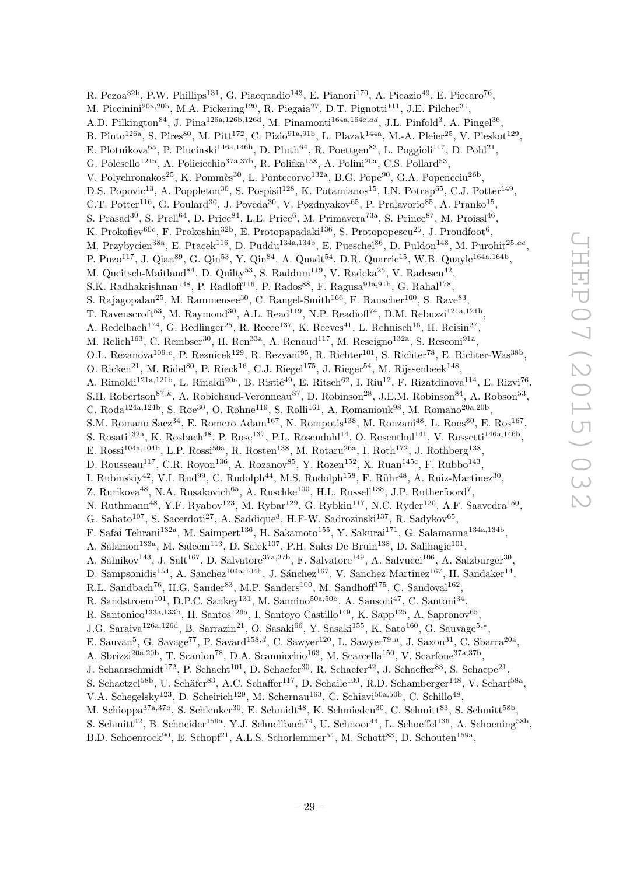R. Pezoa<sup>32b</sup>, P.W. Phillips<sup>131</sup>, G. Piacquadio<sup>143</sup>, E. Pianori<sup>170</sup>, A. Picazio<sup>49</sup>, E. Piccaro<sup>76</sup>, M. Piccinini<sup>20a,20b</sup>, M.A. Pickering<sup>120</sup>, R. Piegaia<sup>27</sup>, D.T. Pignotti<sup>111</sup>, J.E. Pilcher<sup>31</sup>, A.D. Pilkington<sup>84</sup>, J. Pina<sup>126a,126b,126d</sup>, M. Pinamonti<sup>164a,164c,ad</sup>, J.L. Pinfold<sup>3</sup>, A. Pingel<sup>36</sup>, B. Pinto<sup>126a</sup>, S. Pires<sup>80</sup>, M. Pitt<sup>172</sup>, C. Pizio<sup>91a,91b</sup>, L. Plazak<sup>144a</sup>, M.-A. Pleier<sup>25</sup>, V. Pleskot<sup>129</sup>, E. Plotnikova<sup>65</sup>, P. Plucinski<sup>146a,146b</sup>, D. Pluth<sup>64</sup>, R. Poettgen<sup>83</sup>, L. Poggioli<sup>117</sup>, D. Pohl<sup>21</sup>, G. Polesello<sup>121a</sup>, A. Policicchio<sup>37a, 37b</sup>, R. Polifka<sup>158</sup>, A. Polini<sup>20a</sup>, C.S. Pollard<sup>53</sup>, V. Polychronakos<sup>25</sup>, K. Pommès<sup>30</sup>, L. Pontecorvo<sup>132a</sup>, B.G. Pope<sup>90</sup>, G.A. Popeneciu<sup>26b</sup>, D.S. Popovic<sup>13</sup>, A. Poppleton<sup>30</sup>, S. Pospisil<sup>128</sup>, K. Potamianos<sup>15</sup>, I.N. Potrap<sup>65</sup>, C.J. Potter<sup>149</sup>, C.T. Potter<sup>116</sup>, G. Poulard<sup>30</sup>, J. Poveda<sup>30</sup>, V. Pozdnyakov<sup>65</sup>, P. Pralavorio<sup>85</sup>, A. Pranko<sup>15</sup>, S. Prasad<sup>30</sup>, S. Prell<sup>64</sup>, D. Price<sup>84</sup>, L.E. Price<sup>6</sup>, M. Primavera<sup>73a</sup>, S. Prince<sup>87</sup>, M. Proissl<sup>46</sup>, K. Prokofiev<sup>60c</sup>, F. Prokoshin<sup>32b</sup>, E. Protopapadaki<sup>136</sup>, S. Protopopescu<sup>25</sup>, J. Proudfoot<sup>6</sup>, M. Przybycien<sup>38a</sup>, E. Ptacek<sup>116</sup>, D. Puddu<sup>134a,134b</sup>, E. Pueschel<sup>86</sup>, D. Puldon<sup>148</sup>, M. Purohit<sup>25,ae</sup>, P. Puzo<sup>117</sup>, J. Qian<sup>89</sup>, G. Qin<sup>53</sup>, Y. Qin<sup>84</sup>, A. Quadt<sup>54</sup>, D.R. Quarrie<sup>15</sup>, W.B. Quayle<sup>164a,164b</sup>, M. Queitsch-Maitland<sup>84</sup>, D. Quilty<sup>53</sup>, S. Raddum<sup>119</sup>, V. Radeka<sup>25</sup>, V. Radescu<sup>42</sup>, S.K. Radhakrishnan<sup>148</sup>, P. Radloff<sup>116</sup>, P. Rados<sup>88</sup>, F. Ragusa<sup>91a,91b</sup>, G. Rahal<sup>178</sup>, S. Rajagopalan<sup>25</sup>, M. Rammensee<sup>30</sup>, C. Rangel-Smith<sup>166</sup>, F. Rauscher<sup>100</sup>, S. Rave<sup>83</sup>, T. Ravenscroft<sup>53</sup>, M. Raymond<sup>30</sup>, A.L. Read<sup>119</sup>, N.P. Readioff<sup>74</sup>, D.M. Rebuzzi<sup>121a,121b</sup>, A. Redelbach<sup>174</sup>, G. Redlinger<sup>25</sup>, R. Reece<sup>137</sup>, K. Reeves<sup>41</sup>, L. Rehnisch<sup>16</sup>, H. Reisin<sup>27</sup>, M. Relich<sup>163</sup>, C. Rembser<sup>30</sup>, H. Ren<sup>33a</sup>, A. Renaud<sup>117</sup>, M. Rescigno<sup>132a</sup>, S. Resconi<sup>91a</sup>, O.L. Rezanova<sup>109,c</sup>, P. Reznicek<sup>129</sup>, R. Rezvani<sup>95</sup>, R. Richter<sup>101</sup>, S. Richter<sup>78</sup>, E. Richter-Was<sup>38b</sup>, O. Ricken<sup>21</sup>, M. Ridel<sup>80</sup>, P. Rieck<sup>16</sup>, C.J. Riegel<sup>175</sup>, J. Rieger<sup>54</sup>, M. Rijssenbeek<sup>148</sup>, A. Rimoldi<sup>121a,121b</sup>, L. Rinaldi<sup>20a</sup>, B. Ristić<sup>49</sup>, E. Ritsch<sup>62</sup>, I. Riu<sup>12</sup>, F. Rizatdinova<sup>114</sup>, E. Rizvi<sup>76</sup>, S.H. Robertson<sup>87,k</sup>, A. Robichaud-Veronneau<sup>87</sup>, D. Robinson<sup>28</sup>, J.E.M. Robinson<sup>84</sup>, A. Robson<sup>53</sup>, C. Roda<sup>124a,124b</sup>, S. Roe<sup>30</sup>, O. Røhne<sup>119</sup>, S. Rolli<sup>161</sup>, A. Romaniouk<sup>98</sup>, M. Romano<sup>20a,20b</sup>, S.M. Romano Saez<sup>34</sup>, E. Romero Adam<sup>167</sup>, N. Rompotis<sup>138</sup>, M. Ronzani<sup>48</sup>, L. Roos<sup>80</sup>, E. Ros<sup>167</sup>, S. Rosati<sup>132a</sup>, K. Rosbach<sup>48</sup>, P. Rose<sup>137</sup>, P.L. Rosendahl<sup>14</sup>, O. Rosenthal<sup>141</sup>, V. Rossetti<sup>146a,146b</sup>, E. Rossi<sup>104a,104b</sup>, L.P. Rossi<sup>50a</sup>, R. Rosten<sup>138</sup>, M. Rotaru<sup>26a</sup>, I. Roth<sup>172</sup>, J. Rothberg<sup>138</sup>, D. Rousseau<sup>117</sup>, C.R. Royon<sup>136</sup>, A. Rozanov<sup>85</sup>, Y. Rozen<sup>152</sup>, X. Ruan<sup>145c</sup>, F. Rubbo<sup>143</sup>, I. Rubinskiy<sup>42</sup>, V.I. Rud<sup>99</sup>, C. Rudolph<sup>44</sup>, M.S. Rudolph<sup>158</sup>, F. Rühr<sup>48</sup>, A. Ruiz-Martinez<sup>30</sup>, Z. Rurikova<sup>48</sup>, N.A. Rusakovich<sup>65</sup>, A. Ruschke<sup>100</sup>, H.L. Russell<sup>138</sup>, J.P. Rutherfoord<sup>7</sup>, N. Ruthmann<sup>48</sup>, Y.F. Ryabov<sup>123</sup>, M. Rybar<sup>129</sup>, G. Rybkin<sup>117</sup>, N.C. Ryder<sup>120</sup>, A.F. Saavedra<sup>150</sup>, G. Sabato<sup>107</sup>, S. Sacerdoti<sup>27</sup>, A. Saddique<sup>3</sup>, H.F-W. Sadrozinski<sup>137</sup>, R. Sadykov<sup>65</sup>, F. Safai Tehrani<sup>132a</sup>, M. Saimpert<sup>136</sup>, H. Sakamoto<sup>155</sup>, Y. Sakurai<sup>171</sup>, G. Salamanna<sup>134a,134b</sup>, A. Salamon<sup>133a</sup>, M. Saleem<sup>113</sup>, D. Salek<sup>107</sup>, P.H. Sales De Bruin<sup>138</sup>, D. Salihagic<sup>101</sup>, A. Salnikov<sup>143</sup>, J. Salt<sup>167</sup>, D. Salvatore<sup>37a,37b</sup>, F. Salvatore<sup>149</sup>, A. Salvucci<sup>106</sup>, A. Salzburger<sup>30</sup>, D. Sampsonidis<sup>154</sup>, A. Sanchez<sup>104a,104b</sup>, J. Sánchez<sup>167</sup>, V. Sanchez Martinez<sup>167</sup>, H. Sandaker<sup>14</sup>, R.L. Sandbach<sup>76</sup>, H.G. Sander<sup>83</sup>, M.P. Sanders<sup>100</sup>, M. Sandhoff<sup>175</sup>, C. Sandoval<sup>162</sup>, R. Sandstroem<sup>101</sup>, D.P.C. Sankey<sup>131</sup>, M. Sannino<sup>50a,50b</sup>, A. Sansoni<sup>47</sup>, C. Santoni<sup>34</sup>, R. Santonico<sup>133a,133b</sup>, H. Santos<sup>126a</sup>, I. Santoyo Castillo<sup>149</sup>, K. Sapp<sup>125</sup>, A. Sapronov<sup>65</sup>, J.G. Saraiva<sup>126a,126d</sup>, B. Sarrazin<sup>21</sup>, O. Sasaki<sup>66</sup>, Y. Sasaki<sup>155</sup>, K. Sato<sup>160</sup>, G. Sauvage<sup>5,\*</sup>, E. Sauvan<sup>5</sup>, G. Savage<sup>77</sup>, P. Savard<sup>158,d</sup>, C. Sawyer<sup>120</sup>, L. Sawyer<sup>79,n</sup>, J. Saxon<sup>31</sup>, C. Sbarra<sup>20a</sup>, A. Sbrizzi<sup>20a, 20b</sup>, T. Scanlon<sup>78</sup>, D.A. Scannicchio<sup>163</sup>, M. Scarcella<sup>150</sup>, V. Scarfone<sup>37a, 37b</sup>, J. Schaarschmidt<sup>172</sup>, P. Schacht<sup>101</sup>, D. Schaefer<sup>30</sup>, R. Schaefer<sup>42</sup>, J. Schaeffer<sup>83</sup>, S. Schaepe<sup>21</sup>, S. Schaetzel<sup>58b</sup>, U. Schäfer<sup>83</sup>, A.C. Schaffer<sup>117</sup>, D. Schaile<sup>100</sup>, R.D. Schamberger<sup>148</sup>, V. Scharf<sup>58a</sup>, V.A. Schegelsky<sup>123</sup>, D. Scheirich<sup>129</sup>, M. Schernau<sup>163</sup>, C. Schiavi<sup>50a,50b</sup>, C. Schillo<sup>48</sup>, M. Schioppa<sup>37a,37b</sup>, S. Schlenker<sup>30</sup>, E. Schmidt<sup>48</sup>, K. Schmieden<sup>30</sup>, C. Schmitt<sup>83</sup>, S. Schmitt<sup>58b</sup>, S. Schmitt<sup>42</sup>, B. Schneider<sup>159a</sup>, Y.J. Schnellbach<sup>74</sup>, U. Schnoor<sup>44</sup>, L. Schoeffel<sup>136</sup>, A. Schoening<sup>58b</sup>,

B.D. Schoenrock<sup>90</sup>, E. Schopf<sup>21</sup>, A.L.S. Schorlemmer<sup>54</sup>, M. Schott<sup>83</sup>, D. Schouten<sup>159a</sup>,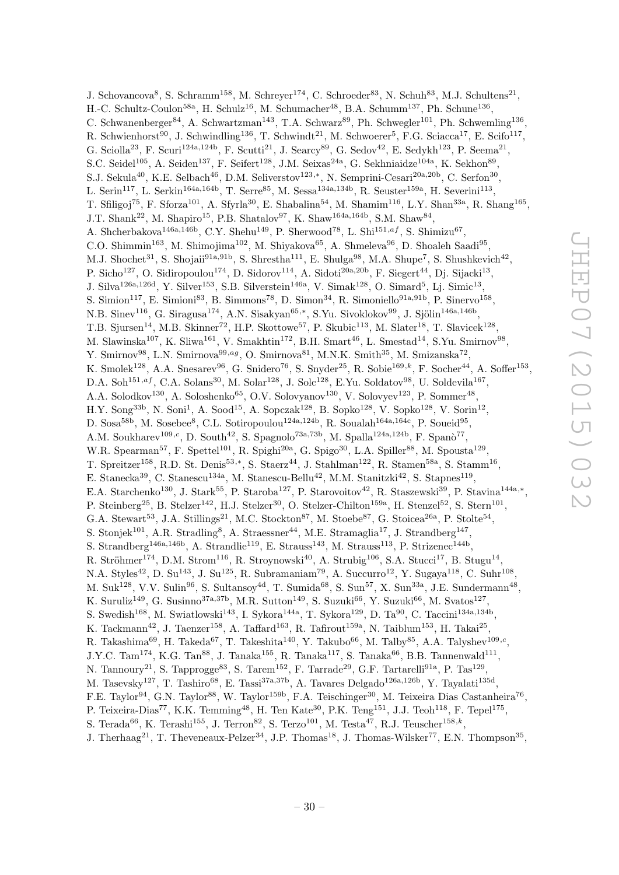J. Schovancova<sup>8</sup>, S. Schramm<sup>158</sup>, M. Schreyer<sup>174</sup>, C. Schroeder<sup>83</sup>, N. Schuh<sup>83</sup>, M.J. Schultens<sup>21</sup>, H.-C. Schultz-Coulon<sup>58a</sup>, H. Schulz<sup>16</sup>, M. Schumacher<sup>48</sup>, B.A. Schumm<sup>137</sup>, Ph. Schune<sup>136</sup>, C. Schwanenberger<sup>84</sup>, A. Schwartzman<sup>143</sup>, T.A. Schwarz<sup>89</sup>, Ph. Schwegler<sup>101</sup>, Ph. Schwemling<sup>136</sup>, R. Schwienhorst<sup>90</sup>, J. Schwindling<sup>136</sup>, T. Schwindt<sup>21</sup>, M. Schwoerer<sup>5</sup>, F.G. Sciacca<sup>17</sup>, E. Scifo<sup>117</sup>, G. Sciolla<sup>23</sup>, F. Scuri<sup>124a,124b</sup>, F. Scutti<sup>21</sup>, J. Searcy<sup>89</sup>, G. Sedov<sup>42</sup>, E. Sedykh<sup>123</sup>, P. Seema<sup>21</sup>, S.C. Seidel<sup>105</sup>, A. Seiden<sup>137</sup>, F. Seifert<sup>128</sup>, J.M. Seixas<sup>24a</sup>, G. Sekhniaidze<sup>104a</sup>, K. Sekhon<sup>89</sup>, S.J. Sekula<sup>40</sup>, K.E. Selbach<sup>46</sup>, D.M. Seliverstov<sup>123,\*</sup>, N. Semprini-Cesari<sup>20a,20b</sup>, C. Serfon<sup>30</sup>, L. Serin<sup>117</sup>, L. Serkin<sup>164a,164b</sup>, T. Serre<sup>85</sup>, M. Sessa<sup>134a,134b</sup>, R. Seuster<sup>159a</sup>, H. Severini<sup>113</sup>, T. Sfiligoj<sup>75</sup>, F. Sforza<sup>101</sup>, A. Sfyrla<sup>30</sup>, E. Shabalina<sup>54</sup>, M. Shamim<sup>116</sup>, L.Y. Shan<sup>33a</sup>, R. Shang<sup>165</sup>, J.T. Shank<sup>22</sup>, M. Shapiro<sup>15</sup>, P.B. Shatalov<sup>97</sup>, K. Shaw<sup>164a,164b</sup>, S.M. Shaw<sup>84</sup>, A. Shcherbakova<sup>146a,146b</sup>, C.Y. Shehu<sup>149</sup>, P. Sherwood<sup>78</sup>, L. Shi<sup>151,af</sup>, S. Shimizu<sup>67</sup>, C.O. Shimmin<sup>163</sup>, M. Shimojima<sup>102</sup>, M. Shiyakova<sup>65</sup>, A. Shmeleva<sup>96</sup>, D. Shoaleh Saadi<sup>95</sup>, M.J. Shochet<sup>31</sup>, S. Shojaii<sup>91a,91b</sup>, S. Shrestha<sup>111</sup>, E. Shulga<sup>98</sup>, M.A. Shupe<sup>7</sup>, S. Shushkevich<sup>42</sup>, P. Sicho<sup>127</sup>, O. Sidiropoulou<sup>174</sup>, D. Sidorov<sup>114</sup>, A. Sidoti<sup>20a, 20b</sup>, F. Siegert<sup>44</sup>, Dj. Sijacki<sup>13</sup>, J. Silva<sup>126a,126d</sup>, Y. Silver<sup>153</sup>, S.B. Silverstein<sup>146a</sup>, V. Simak<sup>128</sup>, O. Simard<sup>5</sup>, Lj. Simic<sup>13</sup>, S. Simion<sup>117</sup>, E. Simioni<sup>83</sup>, B. Simmons<sup>78</sup>, D. Simon<sup>34</sup>, R. Simoniello<sup>91a,91b</sup>, P. Sinervo<sup>158</sup>, N.B. Sinev<sup>116</sup>, G. Siragusa<sup>174</sup>, A.N. Sisakyan<sup>65,\*</sup>, S.Yu. Sivoklokov<sup>99</sup>, J. Sjölin<sup>146a,146b</sup>, T.B. Sjursen<sup>14</sup>, M.B. Skinner<sup>72</sup>, H.P. Skottowe<sup>57</sup>, P. Skubic<sup>113</sup>, M. Slater<sup>18</sup>, T. Slavicek<sup>128</sup>, M. Slawinska<sup>107</sup>, K. Sliwa<sup>161</sup>, V. Smakhtin<sup>172</sup>, B.H. Smart<sup>46</sup>, L. Smestad<sup>14</sup>, S.Yu. Smirnov<sup>98</sup>, Y. Smirnov<sup>98</sup>, L.N. Smirnova<sup>99,ag</sup>, O. Smirnova<sup>81</sup>, M.N.K. Smith<sup>35</sup>, M. Smizanska<sup>72</sup>, K. Smolek<sup>128</sup>, A.A. Snesarev<sup>96</sup>, G. Snidero<sup>76</sup>, S. Snyder<sup>25</sup>, R. Sobie<sup>169,k</sup>, F. Socher<sup>44</sup>, A. Soffer<sup>153</sup>, D.A. Soh<sup>151,af</sup>, C.A. Solans<sup>30</sup>, M. Solar<sup>128</sup>, J. Solc<sup>128</sup>, E.Yu. Soldatov<sup>98</sup>, U. Soldevila<sup>167</sup>, A.A. Solodkov<sup>130</sup>, A. Soloshenko<sup>65</sup>, O.V. Solovyanov<sup>130</sup>, V. Solovyev<sup>123</sup>, P. Sommer<sup>48</sup>,  $H.Y.$  Song<sup>33b</sup>, N. Soni<sup>1</sup>, A. Sood<sup>15</sup>, A. Sopczak<sup>128</sup>, B. Sopko<sup>128</sup>, V. Sopko<sup>128</sup>, V. Sorin<sup>12</sup>, D. Sosa<sup>58b</sup>, M. Sosebee<sup>8</sup>, C.L. Sotiropoulou<sup>124a,124b</sup>, R. Soualah<sup>164a,164c</sup>, P. Soueid<sup>95</sup>, A.M. Soukharev<sup>109,c</sup>, D. South<sup>42</sup>, S. Spagnolo<sup>73a,73b</sup>, M. Spalla<sup>124a,124b</sup>, F. Spanò<sup>77</sup>, W.R. Spearman<sup>57</sup>, F. Spettel<sup>101</sup>, R. Spighi<sup>20a</sup>, G. Spigo<sup>30</sup>, L.A. Spiller<sup>88</sup>, M. Spousta<sup>129</sup>, T. Spreitzer<sup>158</sup>, R.D. St. Denis<sup>53,\*</sup>, S. Staerz<sup>44</sup>, J. Stahlman<sup>122</sup>, R. Stamen<sup>58a</sup>, S. Stamm<sup>16</sup>, E. Stanecka<sup>39</sup>, C. Stanescu<sup>134a</sup>, M. Stanescu-Bellu<sup>42</sup>, M.M. Stanitzki<sup>42</sup>, S. Stapnes<sup>119</sup>, E.A. Starchenko<sup>130</sup>, J. Stark<sup>55</sup>, P. Staroba<sup>127</sup>, P. Starovoitov<sup>42</sup>, R. Staszewski<sup>39</sup>, P. Stavina<sup>144a,\*</sup>, P. Steinberg<sup>25</sup>, B. Stelzer<sup>142</sup>, H.J. Stelzer<sup>30</sup>, O. Stelzer-Chilton<sup>159a</sup>, H. Stenzel<sup>52</sup>, S. Stern<sup>101</sup>, G.A. Stewart<sup>53</sup>, J.A. Stillings<sup>21</sup>, M.C. Stockton<sup>87</sup>, M. Stoebe<sup>87</sup>, G. Stoicea<sup>26a</sup>, P. Stolte<sup>54</sup>, S. Stonjek<sup>101</sup>, A.R. Stradling<sup>8</sup>, A. Straessner<sup>44</sup>, M.E. Stramaglia<sup>17</sup>, J. Strandberg<sup>147</sup>, S. Strandberg<sup>146a,146b</sup>, A. Strandlie<sup>119</sup>, E. Strauss<sup>143</sup>, M. Strauss<sup>113</sup>, P. Strizenec<sup>144b</sup>, R. Ströhmer<sup>174</sup>, D.M. Strom<sup>116</sup>, R. Stroynowski<sup>40</sup>, A. Strubig<sup>106</sup>, S.A. Stucci<sup>17</sup>, B. Stugu<sup>14</sup>, N.A. Styles<sup>42</sup>, D. Su<sup>143</sup>, J. Su<sup>125</sup>, R. Subramaniam<sup>79</sup>, A. Succurro<sup>12</sup>, Y. Sugaya<sup>118</sup>, C. Suhr<sup>108</sup>, M. Suk<sup>128</sup>, V.V. Sulin<sup>96</sup>, S. Sultansoy<sup>4d</sup>, T. Sumida<sup>68</sup>, S. Sun<sup>57</sup>, X. Sun<sup>33a</sup>, J.E. Sundermann<sup>48</sup>, K. Suruliz<sup>149</sup>, G. Susinno<sup>37a,37b</sup>, M.R. Sutton<sup>149</sup>, S. Suzuki<sup>66</sup>, Y. Suzuki<sup>66</sup>, M. Svatos<sup>127</sup>, S. Swedish<sup>168</sup>, M. Swiatlowski<sup>143</sup>, I. Sykora<sup>144a</sup>, T. Sykora<sup>129</sup>, D. Ta<sup>90</sup>, C. Taccini<sup>134a,134b</sup>, K. Tackmann<sup>42</sup>, J. Taenzer<sup>158</sup>, A. Taffard<sup>163</sup>, R. Tafirout<sup>159a</sup>, N. Taiblum<sup>153</sup>, H. Takai<sup>25</sup>, R. Takashima<sup>69</sup>, H. Takeda<sup>67</sup>, T. Takeshita<sup>140</sup>, Y. Takubo<sup>66</sup>, M. Talby<sup>85</sup>, A.A. Talyshev<sup>109,*c*</sup>,  $J.Y.C. Tam<sup>174</sup>, K.G. Tan<sup>88</sup>, J. Tanaka<sup>155</sup>, R. Tanaka<sup>117</sup>, S. Tanaka<sup>66</sup>, B.B. Tannenwald<sup>111</sup>,$ N. Tannoury<sup>21</sup>, S. Tapprogge<sup>83</sup>, S. Tarem<sup>152</sup>, F. Tarrade<sup>29</sup>, G.F. Tartarelli<sup>91a</sup>, P. Tas<sup>129</sup>, M. Tasevsky<sup>127</sup>, T. Tashiro<sup>68</sup>, E. Tassi<sup>37a,37b</sup>, A. Tavares Delgado<sup>126a,126b</sup>, Y. Tayalati<sup>135d</sup>, F.E. Taylor<sup>94</sup>, G.N. Taylor<sup>88</sup>, W. Taylor<sup>159b</sup>, F.A. Teischinger<sup>30</sup>, M. Teixeira Dias Castanheira<sup>76</sup>, P. Teixeira-Dias<sup>77</sup>, K.K. Temming<sup>48</sup>, H. Ten Kate<sup>30</sup>, P.K. Teng<sup>151</sup>, J.J. Teoh<sup>118</sup>, F. Tepel<sup>175</sup>, S. Terada<sup>66</sup>, K. Terashi<sup>155</sup>, J. Terron<sup>82</sup>, S. Terzo<sup>101</sup>, M. Testa<sup>47</sup>, R.J. Teuscher<sup>158,k</sup>,

J. Therhaag<sup>21</sup>, T. Theveneaux-Pelzer<sup>34</sup>, J.P. Thomas<sup>18</sup>, J. Thomas-Wilsker<sup>77</sup>, E.N. Thompson<sup>35</sup>,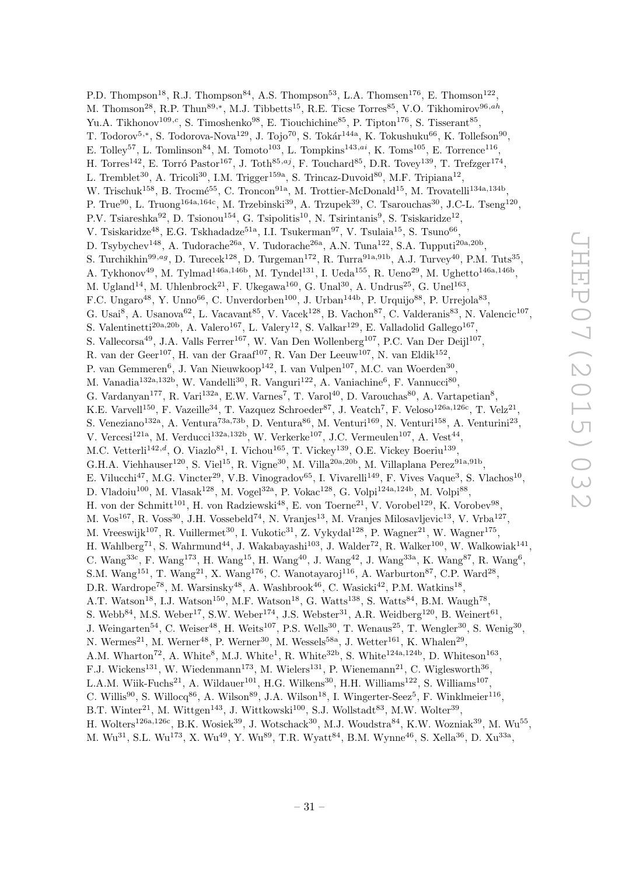P.D. Thompson<sup>18</sup>, R.J. Thompson<sup>84</sup>, A.S. Thompson<sup>53</sup>, L.A. Thomsen<sup>176</sup>, E. Thomson<sup>122</sup>, M. Thomson<sup>28</sup>, R.P. Thun<sup>89,\*</sup>, M.J. Tibbetts<sup>15</sup>, R.E. Ticse Torres<sup>85</sup>, V.O. Tikhomirov<sup>96,ah</sup>, Yu.A. Tikhonov<sup>109,c</sup>, S. Timoshenko<sup>98</sup>, E. Tiouchichine<sup>85</sup>, P. Tipton<sup>176</sup>, S. Tisserant<sup>85</sup>, T. Todorov<sup>5,\*</sup>, S. Todorova-Nova<sup>129</sup>, J. Tojo<sup>70</sup>, S. Tokár<sup>144a</sup>, K. Tokushuku<sup>66</sup>, K. Tollefson<sup>90</sup>, E. Tolley<sup>57</sup>, L. Tomlinson<sup>84</sup>, M. Tomoto<sup>103</sup>, L. Tompkins<sup>143,ai</sup>, K. Toms<sup>105</sup>, E. Torrence<sup>116</sup>, H. Torres<sup>142</sup>, E. Torró Pastor<sup>167</sup>, J. Toth<sup>85,aj</sup>, F. Touchard<sup>85</sup>, D.R. Tovey<sup>139</sup>, T. Trefzger<sup>174</sup>, L. Tremblet<sup>30</sup>, A. Tricoli<sup>30</sup>, I.M. Trigger<sup>159a</sup>, S. Trincaz-Duvoid<sup>80</sup>, M.F. Tripiana<sup>12</sup>, W. Trischuk<sup>158</sup>, B. Trocmé<sup>55</sup>, C. Troncon<sup>91a</sup>, M. Trottier-McDonald<sup>15</sup>, M. Trovatelli<sup>134a,134b</sup>, P. True<sup>90</sup>, L. Truong<sup>164a,164c</sup>, M. Trzebinski<sup>39</sup>, A. Trzupek<sup>39</sup>, C. Tsarouchas<sup>30</sup>, J.C-L. Tseng<sup>120</sup>, P.V. Tsiareshka<sup>92</sup>, D. Tsionou<sup>154</sup>, G. Tsipolitis<sup>10</sup>, N. Tsirintanis<sup>9</sup>, S. Tsiskaridze<sup>12</sup>, V. Tsiskaridze<sup>48</sup>, E.G. Tskhadadze<sup>51a</sup>, I.I. Tsukerman<sup>97</sup>, V. Tsulaia<sup>15</sup>, S. Tsuno<sup>66</sup>, D. Tsybychev<sup>148</sup>, A. Tudorache<sup>26a</sup>, V. Tudorache<sup>26a</sup>, A.N. Tuna<sup>122</sup>, S.A. Tupputi<sup>20a,20b</sup>, S. Turchikhin<sup>99,ag</sup>, D. Turecek<sup>128</sup>, D. Turgeman<sup>172</sup>, R. Turra<sup>91a,91b</sup>, A.J. Turvey<sup>40</sup>, P.M. Tuts<sup>35</sup>, A. Tykhonov<sup>49</sup>, M. Tylmad<sup>146a,146b</sup>, M. Tyndel<sup>131</sup>, I. Ueda<sup>155</sup>, R. Ueno<sup>29</sup>, M. Ughetto<sup>146a,146b</sup>, M. Ugland<sup>14</sup>, M. Uhlenbrock<sup>21</sup>, F. Ukegawa<sup>160</sup>, G. Unal<sup>30</sup>, A. Undrus<sup>25</sup>, G. Unel<sup>163</sup>, F.C. Ungaro<sup>48</sup>, Y. Unno<sup>66</sup>, C. Unverdorben<sup>100</sup>, J. Urban<sup>144b</sup>, P. Urquijo<sup>88</sup>, P. Urrejola<sup>83</sup>, G. Usai<sup>8</sup>, A. Usanova<sup>62</sup>, L. Vacavant<sup>85</sup>, V. Vacek<sup>128</sup>, B. Vachon<sup>87</sup>, C. Valderanis<sup>83</sup>, N. Valencic<sup>107</sup>, S. Valentinetti<sup>20a,20b</sup>, A. Valero<sup>167</sup>, L. Valery<sup>12</sup>, S. Valkar<sup>129</sup>, E. Valladolid Gallego<sup>167</sup>, S. Vallecorsa<sup>49</sup>, J.A. Valls Ferrer<sup>167</sup>, W. Van Den Wollenberg<sup>107</sup>, P.C. Van Der Deijl<sup>107</sup>, R. van der Geer<sup>107</sup>, H. van der Graaf<sup>107</sup>, R. Van Der Leeuw<sup>107</sup>, N. van Eldik<sup>152</sup>, P. van Gemmeren<sup>6</sup>, J. Van Nieuwkoop<sup>142</sup>, I. van Vulpen<sup>107</sup>, M.C. van Woerden<sup>30</sup>, M. Vanadia<sup>132a,132b</sup>, W. Vandelli<sup>30</sup>, R. Vanguri<sup>122</sup>, A. Vaniachine<sup>6</sup>, F. Vannucci<sup>80</sup>, G. Vardanyan<sup>177</sup>, R. Vari<sup>132a</sup>, E.W. Varnes<sup>7</sup>, T. Varol<sup>40</sup>, D. Varouchas<sup>80</sup>, A. Vartapetian<sup>8</sup>, K.E. Varvell<sup>150</sup>, F. Vazeille<sup>34</sup>, T. Vazquez Schroeder<sup>87</sup>, J. Veatch<sup>7</sup>, F. Veloso<sup>126a,126c</sup>, T. Velz<sup>21</sup>, S. Veneziano<sup>132a</sup>, A. Ventura<sup>73a,73b</sup>, D. Ventura<sup>86</sup>, M. Venturi<sup>169</sup>, N. Venturi<sup>158</sup>, A. Venturini<sup>23</sup>, V. Vercesi<sup>121a</sup>, M. Verducci<sup>132a,132b</sup>, W. Verkerke<sup>107</sup>, J.C. Vermeulen<sup>107</sup>, A. Vest<sup>44</sup>, M.C. Vetterli<sup>142,d</sup>, O. Viazlo<sup>81</sup>, I. Vichou<sup>165</sup>, T. Vickey<sup>139</sup>, O.E. Vickey Boeriu<sup>139</sup>, G.H.A. Viehhauser<sup>120</sup>, S. Viel<sup>15</sup>, R. Vigne<sup>30</sup>, M. Villa<sup>20a,20b</sup>, M. Villaplana Perez<sup>91a,91b</sup>, E. Vilucchi<sup>47</sup>, M.G. Vincter<sup>29</sup>, V.B. Vinogradov<sup>65</sup>, I. Vivarelli<sup>149</sup>, F. Vives Vaque<sup>3</sup>, S. Vlachos<sup>10</sup>, D. Vladoiu<sup>100</sup>, M. Vlasak<sup>128</sup>, M. Vogel<sup>32a</sup>, P. Vokac<sup>128</sup>, G. Volpi<sup>124a,124b</sup>, M. Volpi<sup>88</sup>, H. von der Schmitt<sup>101</sup>, H. von Radziewski<sup>48</sup>, E. von Toerne<sup>21</sup>, V. Vorobel<sup>129</sup>, K. Vorobev<sup>98</sup>, M. Vos<sup>167</sup>, R. Voss<sup>30</sup>, J.H. Vossebeld<sup>74</sup>, N. Vranjes<sup>13</sup>, M. Vranjes Milosavljevic<sup>13</sup>, V. Vrba<sup>127</sup>, M. Vreeswijk<sup>107</sup>, R. Vuillermet<sup>30</sup>, I. Vukotic<sup>31</sup>, Z. Vykydal<sup>128</sup>, P. Wagner<sup>21</sup>, W. Wagner<sup>175</sup>, H. Wahlberg<sup>71</sup>, S. Wahrmund<sup>44</sup>, J. Wakabayashi<sup>103</sup>, J. Walder<sup>72</sup>, R. Walker<sup>100</sup>, W. Walkowiak<sup>141</sup>, C. Wang<sup>33c</sup>, F. Wang<sup>173</sup>, H. Wang<sup>15</sup>, H. Wang<sup>40</sup>, J. Wang<sup>42</sup>, J. Wang<sup>33a</sup>, K. Wang<sup>87</sup>, R. Wang<sup>6</sup>, S.M. Wang<sup>151</sup>, T. Wang<sup>21</sup>, X. Wang<sup>176</sup>, C. Wanotayaroj<sup>116</sup>, A. Warburton<sup>87</sup>, C.P. Ward<sup>28</sup>, D.R. Wardrope<sup>78</sup>, M. Warsinsky<sup>48</sup>, A. Washbrook<sup>46</sup>, C. Wasicki<sup>42</sup>, P.M. Watkins<sup>18</sup>, A.T. Watson<sup>18</sup>, I.J. Watson<sup>150</sup>, M.F. Watson<sup>18</sup>, G. Watts<sup>138</sup>, S. Watts<sup>84</sup>, B.M. Waugh<sup>78</sup>, S. Webb<sup>84</sup>, M.S. Weber<sup>17</sup>, S.W. Weber<sup>174</sup>, J.S. Webster<sup>31</sup>, A.R. Weidberg<sup>120</sup>, B. Weinert<sup>61</sup>, J. Weingarten<sup>54</sup>, C. Weiser<sup>48</sup>, H. Weits<sup>107</sup>, P.S. Wells<sup>30</sup>, T. Wenaus<sup>25</sup>, T. Wengler<sup>30</sup>, S. Wenig<sup>30</sup>, N. Wermes<sup>21</sup>, M. Werner<sup>48</sup>, P. Werner<sup>30</sup>, M. Wessels<sup>58a</sup>, J. Wetter<sup>161</sup>, K. Whalen<sup>29</sup>, A.M. Wharton<sup>72</sup>, A. White<sup>8</sup>, M.J. White<sup>1</sup>, R. White<sup>32b</sup>, S. White<sup>124a,124b</sup>, D. Whiteson<sup>163</sup>, F.J. Wickens<sup>131</sup>, W. Wiedenmann<sup>173</sup>, M. Wielers<sup>131</sup>, P. Wienemann<sup>21</sup>, C. Wiglesworth<sup>36</sup>, L.A.M. Wiik-Fuchs<sup>21</sup>, A. Wildauer<sup>101</sup>, H.G. Wilkens<sup>30</sup>, H.H. Williams<sup>122</sup>, S. Williams<sup>107</sup>, C. Willis<sup>90</sup>, S. Willocq<sup>86</sup>, A. Wilson<sup>89</sup>, J.A. Wilson<sup>18</sup>, I. Wingerter-Seez<sup>5</sup>, F. Winklmeier<sup>116</sup>, B.T. Winter<sup>21</sup>, M. Wittgen<sup>143</sup>, J. Wittkowski<sup>100</sup>, S.J. Wollstadt<sup>83</sup>, M.W. Wolter<sup>39</sup>, H. Wolters<sup>126a,126c</sup>, B.K. Wosiek<sup>39</sup>, J. Wotschack<sup>30</sup>, M.J. Woudstra<sup>84</sup>, K.W. Wozniak<sup>39</sup>, M. Wu<sup>55</sup>,

M. Wu<sup>31</sup>, S.L. Wu<sup>173</sup>, X. Wu<sup>49</sup>, Y. Wu<sup>89</sup>, T.R. Wyatt<sup>84</sup>, B.M. Wynne<sup>46</sup>, S. Xella<sup>36</sup>, D. Xu<sup>33a</sup>,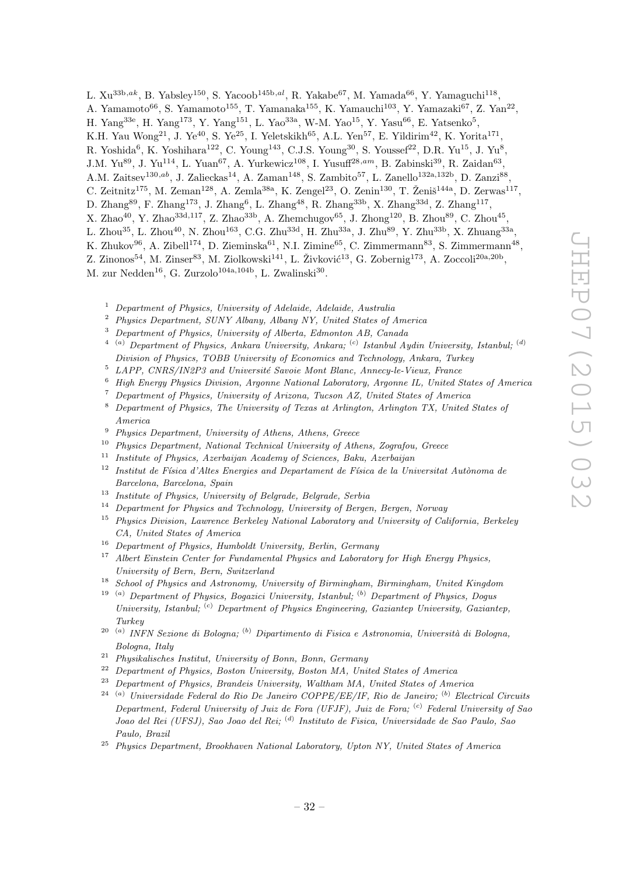L.  $Xu^{33b,ak}$ , B. Yabsley<sup>150</sup>, S. Yacoob<sup>145b,al</sup>, R. Yakabe<sup>67</sup>, M. Yamada<sup>66</sup>, Y. Yamaguchi<sup>118</sup>,

- A. Yamamoto<sup>66</sup>, S. Yamamoto<sup>155</sup>, T. Yamanaka<sup>155</sup>, K. Yamauchi<sup>103</sup>, Y. Yamazaki<sup>67</sup>, Z. Yan<sup>22</sup>,
- H. Yang<sup>33e</sup>, H. Yang<sup>173</sup>, Y. Yang<sup>151</sup>, L. Yao<sup>33a</sup>, W-M. Yao<sup>15</sup>, Y. Yasu<sup>66</sup>, E. Yatsenko<sup>5</sup>,
- K.H. Yau Wong<sup>21</sup>, J. Ye<sup>40</sup>, S. Ye<sup>25</sup>, I. Yeletskikh<sup>65</sup>, A.L. Yen<sup>57</sup>, E. Yildirim<sup>42</sup>, K. Yorita<sup>171</sup>,
- R. Yoshida<sup>6</sup>, K. Yoshihara<sup>122</sup>, C. Young<sup>143</sup>, C.J.S. Young<sup>30</sup>, S. Youssef<sup>22</sup>, D.R. Yu<sup>15</sup>, J. Yu<sup>8</sup>,
- J.M. Yu<sup>89</sup>, J. Yu<sup>114</sup>, L. Yuan<sup>67</sup>, A. Yurkewicz<sup>108</sup>, I. Yusuff<sup>28,am</sup>, B. Zabinski<sup>39</sup>, R. Zaidan<sup>63</sup>,
- A.M. Zaitsev<sup>130,ab</sup>, J. Zalieckas<sup>14</sup>, A. Zaman<sup>148</sup>, S. Zambito<sup>57</sup>, L. Zanello<sup>132a,132b</sup>, D. Zanzi<sup>88</sup>,
- C. Zeitnitz<sup>175</sup>, M. Zeman<sup>128</sup>, A. Zemla<sup>38a</sup>, K. Zengel<sup>23</sup>, O. Zenin<sup>130</sup>, T. Ženiš<sup>144a</sup>, D. Zerwas<sup>117</sup>,
- D. Zhang<sup>89</sup>, F. Zhang<sup>173</sup>, J. Zhang<sup>6</sup>, L. Zhang<sup>48</sup>, R. Zhang<sup>33b</sup>, X. Zhang<sup>33d</sup>, Z. Zhang<sup>117</sup>,
- X. Zhao<sup>40</sup>, Y. Zhao<sup>33d,117</sup>, Z. Zhao<sup>33b</sup>, A. Zhemchugov<sup>65</sup>, J. Zhong<sup>120</sup>, B. Zhou<sup>89</sup>, C. Zhou<sup>45</sup>,
- L. Zhou $^{35}$ , L. Zhou $^{40}$ , N. Zhou $^{163}$ , C.G. Zhu $^{33d}$ , H. Zhu $^{33a}$ , J. Zhu $^{89}$ , Y. Zhu $^{33b}$ , X. Zhuang $^{33a}$ ,
- K. Zhukov $^{96}$ , A. Zibell<sup>174</sup>, D. Zieminska<sup>61</sup>, N.I. Zimine<sup>65</sup>, C. Zimmermann<sup>83</sup>, S. Zimmermann<sup>48</sup>,

Z. Zinonos<sup>54</sup>, M. Zinser<sup>83</sup>, M. Ziolkowski<sup>141</sup>, L. Živković<sup>13</sup>, G. Zobernig<sup>173</sup>, A. Zoccoli<sup>20a,20b</sup>, M. zur Nedden<sup>16</sup>, G. Zurzolo<sup>104a,104b</sup>, L. Zwalinski<sup>30</sup>.

- <sup>1</sup> Department of Physics, University of Adelaide, Adelaide, Australia
- <sup>2</sup> Physics Department, SUNY Albany, Albany NY, United States of America
- <sup>3</sup> Department of Physics, University of Alberta, Edmonton AB, Canada
- $^{4-(a)}$  Department of Physics, Ankara University, Ankara;  $^{(c)}$  Istanbul Aydin University, Istanbul;  $^{(d)}$ Division of Physics, TOBB University of Economics and Technology, Ankara, Turkey
- $5$  LAPP, CNRS/IN2P3 and Université Savoie Mont Blanc, Annecy-le-Vieux, France
- <sup>6</sup> High Energy Physics Division, Argonne National Laboratory, Argonne IL, United States of America
- <sup>7</sup> Department of Physics, University of Arizona, Tucson AZ, United States of America
- <sup>8</sup> Department of Physics, The University of Texas at Arlington, Arlington TX, United States of America
- <sup>9</sup> Physics Department, University of Athens, Athens, Greece
- <sup>10</sup> Physics Department, National Technical University of Athens, Zografou, Greece
- <sup>11</sup> Institute of Physics, Azerbaijan Academy of Sciences, Baku, Azerbaijan
- $12$  Institut de Física d'Altes Energies and Departament de Física de la Universitat Autònoma de Barcelona, Barcelona, Spain
- <sup>13</sup> Institute of Physics, University of Belgrade, Belgrade, Serbia
- <sup>14</sup> Department for Physics and Technology, University of Bergen, Bergen, Norway
- <sup>15</sup> Physics Division, Lawrence Berkeley National Laboratory and University of California, Berkeley CA, United States of America
- <sup>16</sup> Department of Physics, Humboldt University, Berlin, Germany
- <sup>17</sup> Albert Einstein Center for Fundamental Physics and Laboratory for High Energy Physics, University of Bern, Bern, Switzerland
- <sup>18</sup> School of Physics and Astronomy, University of Birmingham, Birmingham, United Kingdom
- <sup>19 (a)</sup> Department of Physics, Bogazici University, Istanbul; <sup>(b)</sup> Department of Physics, Dogus University, Istanbul; <sup>(c)</sup> Department of Physics Engineering, Gaziantep University, Gaziantep, Turkey
- <sup>20 (a)</sup> INFN Sezione di Bologna; <sup>(b)</sup> Dipartimento di Fisica e Astronomia, Università di Bologna, Bologna, Italy
- <sup>21</sup> Physikalisches Institut, University of Bonn, Bonn, Germany
- $22$  Department of Physics, Boston University, Boston MA, United States of America
- <sup>23</sup> Department of Physics, Brandeis University, Waltham MA, United States of America
- $24$ <sup>(a)</sup> Universidade Federal do Rio De Janeiro COPPE/EE/IF, Rio de Janeiro; <sup>(b)</sup> Electrical Circuits Department, Federal University of Juiz de Fora (UFJF), Juiz de Fora;  $\binom{c}{r}$  Federal University of Sao Joao del Rei (UFSJ), Sao Joao del Rei; <sup>(d)</sup> Instituto de Fisica, Universidade de Sao Paulo, Sao Paulo, Brazil
- $25$  Physics Department, Brookhaven National Laboratory, Upton NY, United States of America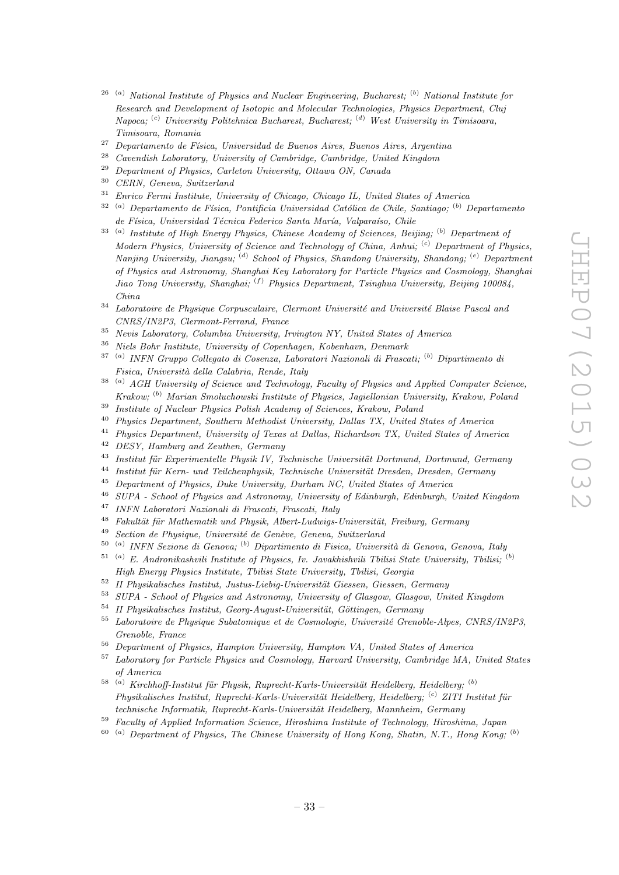- $26$ <sup>(a)</sup> National Institute of Physics and Nuclear Engineering, Bucharest; <sup>(b)</sup> National Institute for Research and Development of Isotopic and Molecular Technologies, Physics Department, Cluj  $Napoca; {}^{(c)}$  University Politehnica Bucharest, Bucharest;  ${}^{(d)}$  West University in Timisoara, Timisoara, Romania
- <sup>27</sup> Departamento de Física, Universidad de Buenos Aires, Buenos Aires, Argentina
- <sup>28</sup> Cavendish Laboratory, University of Cambridge, Cambridge, United Kingdom
- <sup>29</sup> Department of Physics, Carleton University, Ottawa ON, Canada<br><sup>30</sup> CERN Current Suite value
- $30$  CERN, Geneva, Switzerland<br> $31$  Equive Equipment Leading Luis
- <sup>31</sup> Enrico Fermi Institute, University of Chicago, Chicago IL, United States of America
- $32$ <sup>(a)</sup> Departamento de Física, Pontificia Universidad Católica de Chile, Santiago; <sup>(b)</sup> Departamento de Física, Universidad Técnica Federico Santa María, Valparaíso, Chile
- $33$ <sup>(a)</sup> Institute of High Energy Physics, Chinese Academy of Sciences, Beijing; <sup>(b)</sup> Department of Modern Physics, University of Science and Technology of China, Anhui; <sup>(c)</sup> Department of Physics, Nanjing University, Jiangsu; <sup>(d)</sup> School of Physics, Shandong University, Shandong; <sup>(e)</sup> Department of Physics and Astronomy, Shanghai Key Laboratory for Particle Physics and Cosmology, Shanghai Jiao Tong University, Shanghai; <sup>(f)</sup> Physics Department, Tsinghua University, Beijing 100084, China
- $34$  Laboratoire de Physique Corpusculaire, Clermont Université and Université Blaise Pascal and CNRS/IN2P3, Clermont-Ferrand, France
- <sup>35</sup> Nevis Laboratory, Columbia University, Irvington NY, United States of America
- <sup>36</sup> Niels Bohr Institute, University of Copenhagen, Kobenhavn, Denmark
- <sup>37 (a)</sup> INFN Gruppo Collegato di Cosenza, Laboratori Nazionali di Frascati; <sup>(b)</sup> Dipartimento di Fisica, Universit`a della Calabria, Rende, Italy
- $38$ <sup>(a)</sup> AGH University of Science and Technology, Faculty of Physics and Applied Computer Science, Krakow; (b) Marian Smoluchowski Institute of Physics, Jagiellonian University, Krakow, Poland
- <sup>39</sup> Institute of Nuclear Physics Polish Academy of Sciences, Krakow, Poland
- <sup>40</sup> Physics Department, Southern Methodist University, Dallas TX, United States of America
- <sup>41</sup> Physics Department, University of Texas at Dallas, Richardson TX, United States of America
- <sup>42</sup> DESY, Hamburg and Zeuthen, Germany
- $43$  Institut für Experimentelle Physik IV, Technische Universität Dortmund, Dortmund, Germany
- <sup>44</sup> Institut für Kern- und Teilchenphysik, Technische Universität Dresden, Dresden, Germany
- <sup>45</sup> Department of Physics, Duke University, Durham NC, United States of America<br><sup>46</sup> SUPA School of Physics and Advances University of Elisband Editorial of
- <sup>46</sup> SUPA School of Physics and Astronomy, University of Edinburgh, Edinburgh, United Kingdom<br><sup>47</sup> INEN Laboratori Nazionali di Freesati, Freesati, Italy
- <sup>47</sup> INFN Laboratori Nazionali di Frascati, Frascati, Italy
- $48$  Fakultät für Mathematik und Physik, Albert-Ludwigs-Universität, Freiburg, Germany
- $49$  Section de Physique, Université de Genève, Geneva, Switzerland
- <sup>50 (a)</sup> INFN Sezione di Genova; <sup>(b)</sup> Dipartimento di Fisica, Università di Genova, Genova, Italy
- $51$ <sup>(a)</sup> E. Andronikashvili Institute of Physics, Iv. Javakhishvili Tbilisi State University, Tbilisi; <sup>(b)</sup> High Energy Physics Institute, Tbilisi State University, Tbilisi, Georgia
- $52$  II Physikalisches Institut, Justus-Liebig-Universität Giessen, Giessen, Germany
- <sup>53</sup> SUPA School of Physics and Astronomy, University of Glasgow, Glasgow, United Kingdom
- $54$  II Physikalisches Institut, Georg-August-Universität, Göttingen, Germany
- $55$  Laboratoire de Physique Subatomique et de Cosmologie, Université Grenoble-Alpes, CNRS/IN2P3, Grenoble, France
- $^{56}$  Department of Physics, Hampton University, Hampton VA, United States of America
- <sup>57</sup> Laboratory for Particle Physics and Cosmology, Harvard University, Cambridge MA, United States of America
- $^{58}$  (a) Kirchhoff-Institut für Physik, Ruprecht-Karls-Universität Heidelberg, Heidelberg; (b)  $Phusikalisches Institut, Ruprecht-Karls-Universität Heidelberg, Heidelberg; <sup>(c)</sup> ZITI Institut für$ technische Informatik, Ruprecht-Karls-Universität Heidelberg, Mannheim, Germany
- <sup>59</sup> Faculty of Applied Information Science, Hiroshima Institute of Technology, Hiroshima, Japan
- $^{60}$  (a) Department of Physics, The Chinese University of Hong Kong, Shatin, N.T., Hong Kong; (b)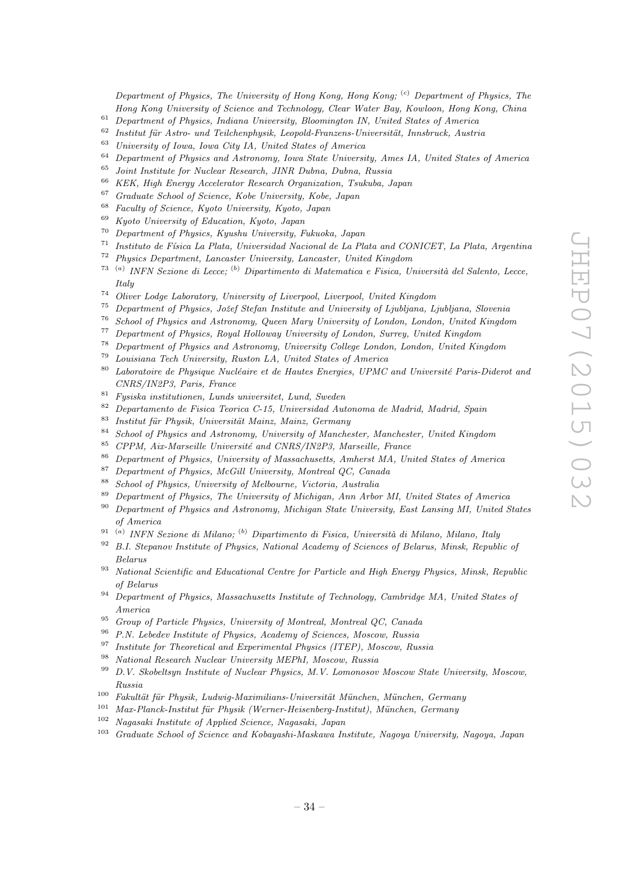Department of Physics, The University of Hong Kong, Hong Kong; <sup>(c)</sup> Department of Physics, The Hong Kong University of Science and Technology, Clear Water Bay, Kowloon, Hong Kong, China

- <sup>61</sup> Department of Physics, Indiana University, Bloomington IN, United States of America
- <sup>62</sup> Institut für Astro- und Teilchenphysik, Leopold-Franzens-Universität, Innsbruck, Austria<sup>63</sup> University of Issue City IA, United States of America
- <sup>63</sup> University of Iowa, Iowa City IA, United States of America
- $^{64}$  Department of Physics and Astronomy, Iowa State University, Ames IA, United States of America
- $^{65}$  Joint Institute for Nuclear Research, JINR Dubna, Dubna, Russia<br> $^{66}$  KEK, High France Assetunter Research Organization, Turkels, 1
- <sup>66</sup> KEK, High Energy Accelerator Research Organization, Tsukuba, Japan<br><sup>67</sup> Curricular School of Science Kehr Huisensity Kehr Japan
- <sup>67</sup> Graduate School of Science, Kobe University, Kobe, Japan
- <sup>68</sup> Faculty of Science, Kyoto University, Kyoto, Japan
- <sup>69</sup> Kyoto University of Education, Kyoto, Japan<br><sup>70</sup> Department of Physics Kyyota University E
- <sup>70</sup> Department of Physics, Kyushu University, Fukuoka, Japan
- $^{71}$  Instituto de Física La Plata, Universidad Nacional de La Plata and CONICET, La Plata, Argentina
- <sup>72</sup> Physics Department, Lancaster University, Lancaster, United Kingdom<br><sup>73</sup> (a) INEN Sextence di Lecce: <sup>(b)</sup> Dinartimento di Matematica e Fisica II
- <sup>73 (a)</sup> INFN Sezione di Lecce; <sup>(b)</sup> Dipartimento di Matematica e Fisica, Università del Salento, Lecce, Italy
- <sup>74</sup> Oliver Lodge Laboratory, University of Liverpool, Liverpool, United Kingdom
- $75$  Department of Physics, Jožef Stefan Institute and University of Ljubljana, Ljubljana, Slovenia
- <sup>76</sup> School of Physics and Astronomy, Queen Mary University of London, London, United Kingdom
- <sup>77</sup> Department of Physics, Royal Holloway University of London, Surrey, United Kingdom
- <sup>78</sup> Department of Physics and Astronomy, University College London, London, United Kingdom
- <sup>79</sup> Louisiana Tech University, Ruston LA, United States of America
- $80$  Laboratoire de Physique Nucléaire et de Hautes Energies, UPMC and Université Paris-Diderot and CNRS/IN2P3, Paris, France
- <sup>81</sup> Fysiska institutionen, Lunds universitet, Lund, Sweden
- <sup>82</sup> Departamento de Fisica Teorica C-15, Universidad Autonoma de Madrid, Madrid, Spain
- $83$  Institut für Physik, Universität Mainz, Mainz, Germany
- <sup>84</sup> School of Physics and Astronomy, University of Manchester, Manchester, United Kingdom
- $85$  CPPM, Aix-Marseille Université and CNRS/IN2P3, Marseille, France
- <sup>86</sup> Department of Physics, University of Massachusetts, Amherst MA, United States of America
- $^{87}$  Department of Physics, McGill University, Montreal QC, Canada
- <sup>88</sup> School of Physics, University of Melbourne, Victoria, Australia
- <sup>89</sup> Department of Physics, The University of Michigan, Ann Arbor MI, United States of America<br><sup>90</sup> Department of Physics and Astronomy, Michigan State University, East Lansing MI, United S
- <sup>90</sup> Department of Physics and Astronomy, Michigan State University, East Lansing MI, United States of America
- <sup>91 (a)</sup> INFN Sezione di Milano; <sup>(b)</sup> Dipartimento di Fisica, Università di Milano, Milano, Italy
- $92$  B.I. Stepanov Institute of Physics, National Academy of Sciences of Belarus, Minsk, Republic of Belarus
- <sup>93</sup> National Scientific and Educational Centre for Particle and High Energy Physics, Minsk, Republic of Belarus
- <sup>94</sup> Department of Physics, Massachusetts Institute of Technology, Cambridge MA, United States of America
- <sup>95</sup> Group of Particle Physics, University of Montreal, Montreal QC, Canada
- <sup>96</sup> P.N. Lebedev Institute of Physics, Academy of Sciences, Moscow, Russia<br><sup>97</sup> Institute for Theoretisel and Experimental Physics (ITED), Moscow, Pur
- <sup>97</sup> Institute for Theoretical and Experimental Physics (ITEP), Moscow, Russia
- <sup>98</sup> National Research Nuclear University MEPhI, Moscow, Russia
- <sup>99</sup> D.V. Skobeltsyn Institute of Nuclear Physics, M.V. Lomonosov Moscow State University, Moscow, Russia
- $100$  Fakultät für Physik, Ludwig-Maximilians-Universität München, München, Germany
- $101$  Max-Planck-Institut für Physik (Werner-Heisenberg-Institut), München, Germany
- <sup>102</sup> Nagasaki Institute of Applied Science, Nagasaki, Japan
- <sup>103</sup> Graduate School of Science and Kobayashi-Maskawa Institute, Nagoya University, Nagoya, Japan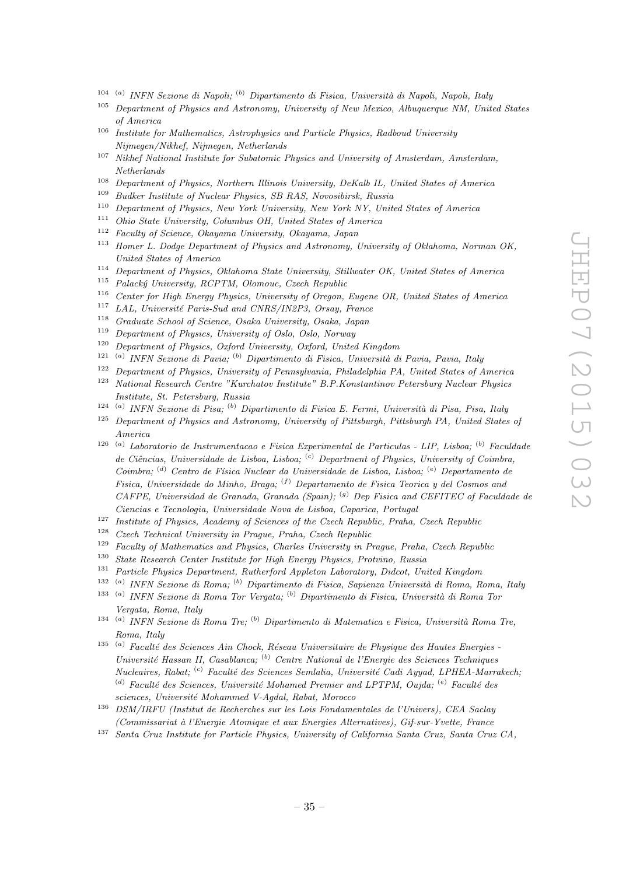- <sup>104 (a)</sup> INFN Sezione di Napoli; <sup>(b)</sup> Dipartimento di Fisica, Università di Napoli, Napoli, Italy
- <sup>105</sup> Department of Physics and Astronomy, University of New Mexico, Albuquerque NM, United States of America
- <sup>106</sup> Institute for Mathematics, Astrophysics and Particle Physics, Radboud University Nijmegen/Nikhef, Nijmegen, Netherlands
- $107$  Nikhef National Institute for Subatomic Physics and University of Amsterdam, Amsterdam, Netherlands
- <sup>108</sup> Department of Physics, Northern Illinois University, DeKalb IL, United States of America<br><sup>109</sup> Bullion Institute of Newley Physics, SB RAS, New sitial, Paulis
- <sup>109</sup> Budker Institute of Nuclear Physics, SB RAS, Novosibirsk, Russia
- <sup>110</sup> Department of Physics, New York University, New York NY, United States of America
- <sup>111</sup> Ohio State University, Columbus OH, United States of America<br><sup>112</sup> Example of Science Obsusms University Obsusms January
- <sup>112</sup> Faculty of Science, Okayama University, Okayama, Japan
- <sup>113</sup> Homer L. Dodge Department of Physics and Astronomy, University of Oklahoma, Norman OK, United States of America
- <sup>114</sup> Department of Physics, Oklahoma State University, Stillwater OK, United States of America
- $115$  Palacký University, RCPTM, Olomouc, Czech Republic
- <sup>116</sup> Center for High Energy Physics, University of Oregon, Eugene OR, United States of America
- <sup>117</sup> LAL, Université Paris-Sud and CNRS/IN2P3, Orsay, France<br><sup>118</sup> Craducto School of Science, Osaka University, Osaka Japan
- <sup>118</sup> Graduate School of Science, Osaka University, Osaka, Japan<br><sup>119</sup> Department of Physics University of Oslo, Oslo, Namuay
- <sup>119</sup> Department of Physics, University of Oslo, Oslo, Norway<br><sup>120</sup> Department of Physics, Orford University, Orford United
- <sup>120</sup> Department of Physics, Oxford University, Oxford, United Kingdom
- <sup>121 (a)</sup> INFN Sezione di Pavia; <sup>(b)</sup> Dipartimento di Fisica, Università di Pavia, Pavia, Italy
- <sup>122</sup> Department of Physics, University of Pennsylvania, Philadelphia PA, United States of America
- <sup>123</sup> National Research Centre "Kurchatov Institute" B.P.Konstantinov Petersburg Nuclear Physics Institute, St. Petersburg, Russia
- <sup>124 (a)</sup> INFN Sezione di Pisa; <sup>(b)</sup> Dipartimento di Fisica E. Fermi, Università di Pisa, Pisa, Italy
- <sup>125</sup> Department of Physics and Astronomy, University of Pittsburgh, Pittsburgh PA, United States of America
- <sup>126 (a)</sup> Laboratorio de Instrumentacao e Fisica Experimental de Particulas LIP, Lisboa; <sup>(b)</sup> Faculdade de Ciências, Universidade de Lisboa, Lisboa;  $^{(c)}$  Department of Physics, University of Coimbra, Coimbra; <sup>(d)</sup> Centro de Física Nuclear da Universidade de Lisboa, Lisboa; <sup>(e)</sup> Departamento de Fisica, Universidade do Minho, Braga;  $(f)$  Departamento de Fisica Teorica y del Cosmos and  $CAFPE$ , Universidad de Granada, Granada (Spain); <sup>(g)</sup> Dep Fisica and CEFITEC of Faculdade de Ciencias e Tecnologia, Universidade Nova de Lisboa, Caparica, Portugal
- <sup>127</sup> Institute of Physics, Academy of Sciences of the Czech Republic, Praha, Czech Republic
- <sup>128</sup> Czech Technical University in Prague, Praha, Czech Republic
- <sup>129</sup> Faculty of Mathematics and Physics, Charles University in Prague, Praha, Czech Republic
- <sup>130</sup> State Research Center Institute for High Energy Physics, Protvino, Russia
- <sup>131</sup> Particle Physics Department, Rutherford Appleton Laboratory, Didcot, United Kingdom
- $132$  $\alpha$ <sup>(a)</sup> INFN Sezione di Roma; <sup>(b)</sup> Dipartimento di Fisica, Sapienza Università di Roma, Roma, Italy
- <sup>133 (a)</sup> INFN Sezione di Roma Tor Vergata; <sup>(b)</sup> Dipartimento di Fisica, Università di Roma Tor Vergata, Roma, Italy
- <sup>134 (a)</sup> INFN Sezione di Roma Tre; <sup>(b)</sup> Dipartimento di Matematica e Fisica, Università Roma Tre, Roma, Italy
- $135$  (a) Faculté des Sciences Ain Chock, Réseau Universitaire de Physique des Hautes Energies -Université Hassan II, Casablanca; <sup>(b)</sup> Centre National de l'Energie des Sciences Techniques  $Nucleaires, Rabat;$  (c) Faculté des Sciences Semlalia, Université Cadi Ayyad, LPHEA-Marrakech; (d) Faculté des Sciences, Université Mohamed Premier and LPTPM, Oujda;  $(e)$  Faculté des sciences, Université Mohammed V-Agdal, Rabat, Morocco
- <sup>136</sup> DSM/IRFU (Institut de Recherches sur les Lois Fondamentales de l'Univers), CEA Saclay (Commissariat `a l'Energie Atomique et aux Energies Alternatives), Gif-sur-Yvette, France
- <sup>137</sup> Santa Cruz Institute for Particle Physics, University of California Santa Cruz, Santa Cruz CA,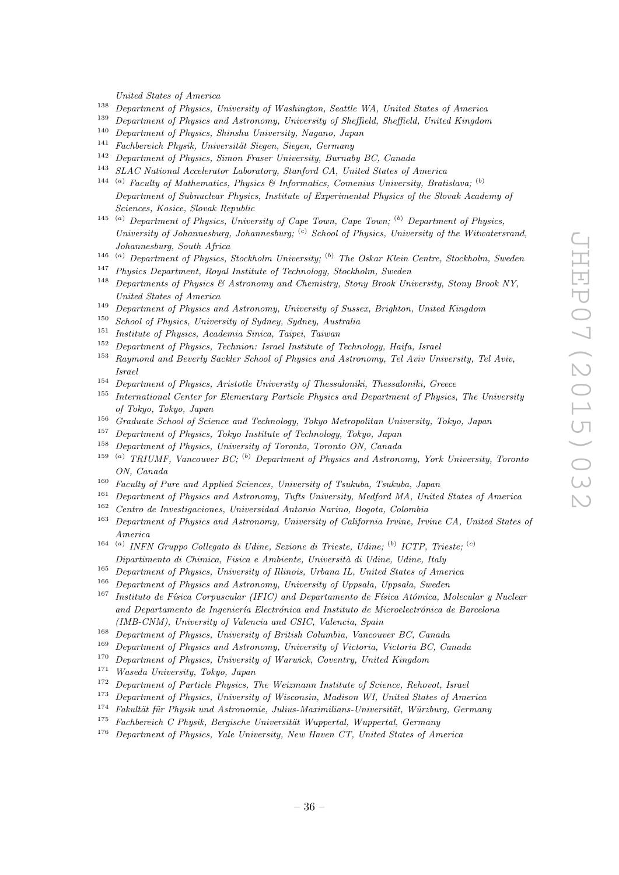United States of America

- <sup>138</sup> Department of Physics, University of Washington, Seattle WA, United States of America<sup>139</sup> Department of Physics and Astronomy, University of Sheffield, Sheffield, United Kingdom
- <sup>139</sup> Department of Physics and Astronomy, University of Sheffield, Sheffield, United Kingdom
- <sup>140</sup> Department of Physics, Shinshu University, Nagano, Japan<br><sup>141</sup> Eachbaraich Physik University Sisson, Sisson, Carmony
- <sup>141</sup> Fachbereich Physik, Universität Siegen, Siegen, Germany<br><sup>142</sup> Danasturat of Physics Simon France University Present
- <sup>142</sup> Department of Physics, Simon Fraser University, Burnaby BC, Canada<br><sup>143</sup> SLAC National Assolution Lehanstony, Stanford CA, United States of the
- SLAC National Accelerator Laboratory, Stanford CA, United States of America <sup>144</sup> <sup>(a)</sup> Faculty of Mathematics, Physics & Informatics, Comenius University, Bratislava; <sup>(b)</sup> Department of Subnuclear Physics, Institute of Experimental Physics of the Slovak Academy of Sciences, Kosice, Slovak Republic
- $145$  (a) Department of Physics, University of Cape Town, Cape Town; (b) Department of Physics, University of Johannesburg, Johannesburg;  $\left( \begin{array}{c} c \\ c \end{array} \right)$  School of Physics, University of the Witwatersrand, Johannesburg, South Africa
- <sup>146</sup> (a) Department of Physics, Stockholm University; <sup>(b)</sup> The Oskar Klein Centre, Stockholm, Sweden
- <sup>147</sup> Physics Department, Royal Institute of Technology, Stockholm, Sweden
- <sup>148</sup> Departments of Physics & Astronomy and Chemistry, Stony Brook University, Stony Brook NY, United States of America
- <sup>149</sup> Department of Physics and Astronomy, University of Sussex, Brighton, United Kingdom<br><sup>150</sup> School of Physics University of Sudney Sudney, Australia
- <sup>150</sup> School of Physics, University of Sydney, Sydney, Australia<br><sup>151</sup> Institute of Physics Academia Sinica Tainei Taiwan
- <sup>151</sup> Institute of Physics, Academia Sinica, Taipei, Taiwan
- <sup>152</sup> Department of Physics, Technion: Israel Institute of Technology, Haifa, Israel
- <sup>153</sup> Raymond and Beverly Sackler School of Physics and Astronomy, Tel Aviv University, Tel Aviv, Israel
- <sup>154</sup> Department of Physics, Aristotle University of Thessaloniki, Thessaloniki, Greece<br><sup>155</sup> International Center for Elementary Particle Physics and Department of Physics
- <sup>155</sup> International Center for Elementary Particle Physics and Department of Physics, The University of Tokyo, Tokyo, Japan
- <sup>156</sup> Graduate School of Science and Technology, Tokyo Metropolitan University, Tokyo, Japan
- <sup>157</sup> Department of Physics, Tokyo Institute of Technology, Tokyo, Japan
- <sup>158</sup> Department of Physics, University of Toronto, Toronto ON, Canada
- <sup>159</sup> (a) TRIUMF, Vancouver BC; <sup>(b)</sup> Department of Physics and Astronomy, York University, Toronto ON, Canada
- <sup>160</sup> Faculty of Pure and Applied Sciences, University of Tsukuba, Tsukuba, Japan<br><sup>161</sup> Danmark and Charles and Astronomy Telections in Malford MA United
- <sup>161</sup> Department of Physics and Astronomy, Tufts University, Medford MA, United States of America<br><sup>162</sup> Centre de Investigaciones, Universidad Antonio Narino, Peasta Colombia
- <sup>162</sup> Centro de Investigaciones, Universidad Antonio Narino, Bogota, Colombia
- <sup>163</sup> Department of Physics and Astronomy, University of California Irvine, Irvine CA, United States of America
- <sup>164 (a)</sup> INFN Gruppo Collegato di Udine, Sezione di Trieste, Udine; <sup>(b)</sup> ICTP, Trieste; <sup>(c)</sup> Dipartimento di Chimica, Fisica e Ambiente, Università di Udine, Udine, Italy
- <sup>165</sup> Department of Physics, University of Illinois, Urbana IL, United States of America
- <sup>166</sup> Department of Physics and Astronomy, University of Uppsala, Uppsala, Sweden
- $167$  Instituto de Física Corpuscular (IFIC) and Departamento de Física Atómica, Molecular y Nuclear and Departamento de Ingeniería Electrónica and Instituto de Microelectrónica de Barcelona (IMB-CNM), University of Valencia and CSIC, Valencia, Spain
- <sup>168</sup> Department of Physics, University of British Columbia, Vancouver BC, Canada
- <sup>169</sup> Department of Physics and Astronomy, University of Victoria, Victoria BC, Canada<br><sup>170</sup> Department of Physics University of Warwick Coventry, United Kingdom
- <sup>170</sup> Department of Physics, University of Warwick, Coventry, United Kingdom
- <sup>171</sup> Waseda University, Tokyo, Japan
- <sup>172</sup> Department of Particle Physics, The Weizmann Institute of Science, Rehovot, Israel
- <sup>173</sup> Department of Physics, University of Wisconsin, Madison WI, United States of America
- $174$  Fakultät für Physik und Astronomie, Julius-Maximilians-Universität, Würzburg, Germany
- $175$  Fachbereich C Physik, Bergische Universität Wuppertal, Wuppertal, Germany
- <sup>176</sup> Department of Physics, Yale University, New Haven CT, United States of America